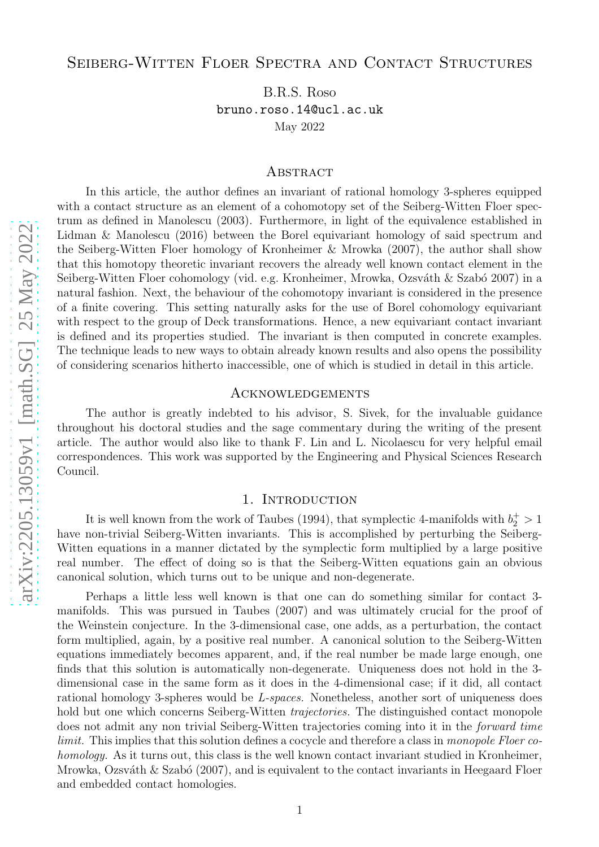# Seiberg-Witten Floer Spectra and Contact Structures

B.R.S. Roso bruno.roso.14@ucl.ac.uk May 2022

#### **ABSTRACT**

In this article, the author defines an invariant of rational homology 3-spheres equipped with a contact structure as an element of a cohomotopy set of the Seiberg-Witten Floer spectrum as defined in Manolescu (2003). Furthermore, in light of the equivalence established in Lidman & Manolescu (2016) between the Borel equivariant homology of said spectrum and the Seiberg-Witten Floer homology of Kronheimer & Mrowka (2007), the author shall show that this homotopy theoretic invariant recovers the already well known contact element in the Seiberg-Witten Floer cohomology (vid. e.g. Kronheimer, Mrowka, Ozsváth & Szabó 2007) in a natural fashion. Next, the behaviour of the cohomotopy invariant is considered in the presence of a finite covering. This setting naturally asks for the use of Borel cohomology equivariant with respect to the group of Deck transformations. Hence, a new equivariant contact invariant is defined and its properties studied. The invariant is then computed in concrete examples. The technique leads to new ways to obtain already known results and also opens the possibility of considering scenarios hitherto inaccessible, one of which is studied in detail in this article.

## **ACKNOWLEDGEMENTS**

The author is greatly indebted to his advisor, S. Sivek, for the invaluable guidance throughout his doctoral studies and the sage commentary during the writing of the present article. The author would also like to thank F. Lin and L. Nicolaescu for very helpful email correspondences. This work was supported by the Engineering and Physical Sciences Research Council.

#### 1. INTRODUCTION

It is well known from the work of Taubes (1994), that symplectic 4-manifolds with  $b_2^+ > 1$ have non-trivial Seiberg-Witten invariants. This is accomplished by perturbing the Seiberg-Witten equations in a manner dictated by the symplectic form multiplied by a large positive real number. The effect of doing so is that the Seiberg-Witten equations gain an obvious canonical solution, which turns out to be unique and non-degenerate.

Perhaps a little less well known is that one can do something similar for contact 3 manifolds. This was pursued in Taubes (2007) and was ultimately crucial for the proof of the Weinstein conjecture. In the 3-dimensional case, one adds, as a perturbation, the contact form multiplied, again, by a positive real number. A canonical solution to the Seiberg-Witten equations immediately becomes apparent, and, if the real number be made large enough, one finds that this solution is automatically non-degenerate. Uniqueness does not hold in the 3 dimensional case in the same form as it does in the 4-dimensional case; if it did, all contact rational homology 3-spheres would be L-spaces. Nonetheless, another sort of uniqueness does hold but one which concerns Seiberg-Witten *trajectories*. The distinguished contact monopole does not admit any non trivial Seiberg-Witten trajectories coming into it in the forward time limit. This implies that this solution defines a cocycle and therefore a class in monopole Floer cohomology. As it turns out, this class is the well known contact invariant studied in Kronheimer, Mrowka, Ozsváth & Szabó (2007), and is equivalent to the contact invariants in Heegaard Floer and embedded contact homologies.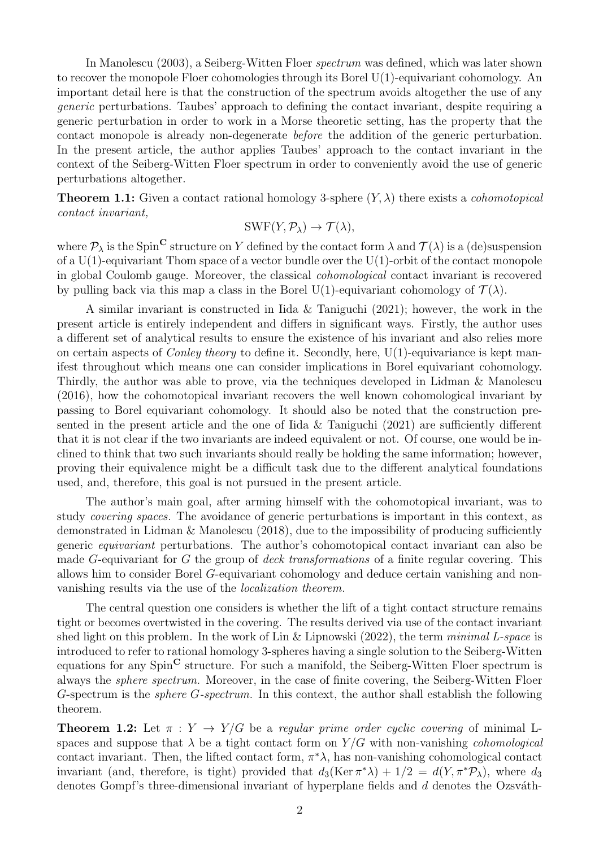In Manolescu (2003), a Seiberg-Witten Floer spectrum was defined, which was later shown to recover the monopole Floer cohomologies through its Borel U(1)-equivariant cohomology. An important detail here is that the construction of the spectrum avoids altogether the use of any generic perturbations. Taubes' approach to defining the contact invariant, despite requiring a generic perturbation in order to work in a Morse theoretic setting, has the property that the contact monopole is already non-degenerate before the addition of the generic perturbation. In the present article, the author applies Taubes' approach to the contact invariant in the context of the Seiberg-Witten Floer spectrum in order to conveniently avoid the use of generic perturbations altogether.

**Theorem 1.1:** Given a contact rational homology 3-sphere  $(Y, \lambda)$  there exists a *cohomotopical* contact invariant,

$$
SWF(Y, \mathcal{P}_{\lambda}) \to \mathcal{T}(\lambda),
$$

where  $\mathcal{P}_{\lambda}$  is the Spin<sup>C</sup> structure on Y defined by the contact form  $\lambda$  and  $\mathcal{T}(\lambda)$  is a (de)suspension of a  $U(1)$ -equivariant Thom space of a vector bundle over the  $U(1)$ -orbit of the contact monopole in global Coulomb gauge. Moreover, the classical cohomological contact invariant is recovered by pulling back via this map a class in the Borel U(1)-equivariant cohomology of  $\mathcal{T}(\lambda)$ .

A similar invariant is constructed in Iida & Taniguchi (2021); however, the work in the present article is entirely independent and differs in significant ways. Firstly, the author uses a different set of analytical results to ensure the existence of his invariant and also relies more on certain aspects of *Conley theory* to define it. Secondly, here,  $U(1)$ -equivariance is kept manifest throughout which means one can consider implications in Borel equivariant cohomology. Thirdly, the author was able to prove, via the techniques developed in Lidman & Manolescu (2016), how the cohomotopical invariant recovers the well known cohomological invariant by passing to Borel equivariant cohomology. It should also be noted that the construction presented in the present article and the one of Iida & Taniguchi (2021) are sufficiently different that it is not clear if the two invariants are indeed equivalent or not. Of course, one would be inclined to think that two such invariants should really be holding the same information; however, proving their equivalence might be a difficult task due to the different analytical foundations used, and, therefore, this goal is not pursued in the present article.

The author's main goal, after arming himself with the cohomotopical invariant, was to study covering spaces. The avoidance of generic perturbations is important in this context, as demonstrated in Lidman & Manolescu (2018), due to the impossibility of producing sufficiently generic equivariant perturbations. The author's cohomotopical contact invariant can also be made G-equivariant for G the group of *deck transformations* of a finite regular covering. This allows him to consider Borel G-equivariant cohomology and deduce certain vanishing and nonvanishing results via the use of the localization theorem.

The central question one considers is whether the lift of a tight contact structure remains tight or becomes overtwisted in the covering. The results derived via use of the contact invariant shed light on this problem. In the work of Lin & Lipnowski  $(2022)$ , the term minimal L-space is introduced to refer to rational homology 3-spheres having a single solution to the Seiberg-Witten equations for any  $Spin^{\mathbb{C}}$  structure. For such a manifold, the Seiberg-Witten Floer spectrum is always the sphere spectrum. Moreover, in the case of finite covering, the Seiberg-Witten Floer G-spectrum is the sphere G-spectrum. In this context, the author shall establish the following theorem.

**Theorem 1.2:** Let  $\pi : Y \to Y/G$  be a regular prime order cyclic covering of minimal Lspaces and suppose that  $\lambda$  be a tight contact form on  $Y/G$  with non-vanishing *cohomological* contact invariant. Then, the lifted contact form,  $\pi^* \lambda$ , has non-vanishing cohomological contact invariant (and, therefore, is tight) provided that  $d_3(\text{Ker } \pi^* \lambda) + 1/2 = d(Y, \pi^* \mathcal{P}_{\lambda})$ , where  $d_3$ denotes Gompf's three-dimensional invariant of hyperplane fields and  $d$  denotes the Ozsváth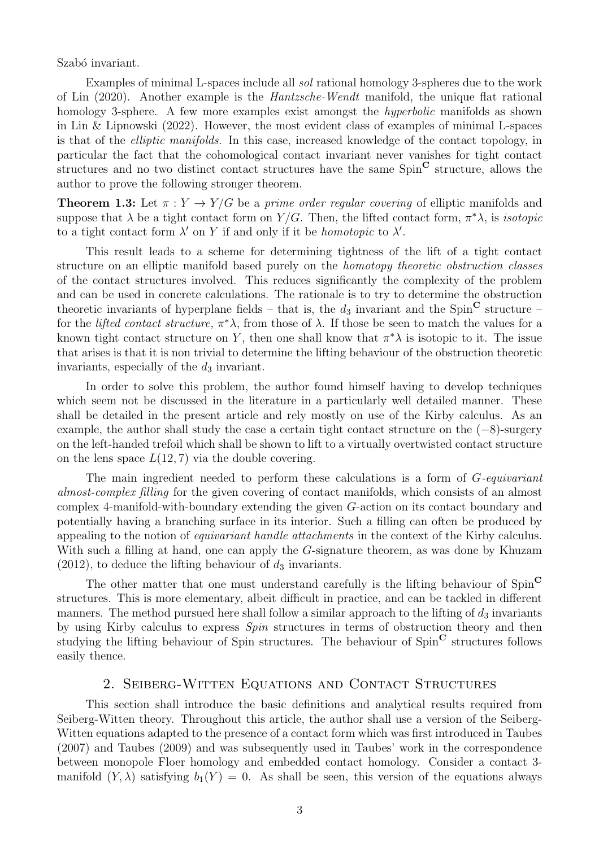Szabó invariant.

Examples of minimal L-spaces include all sol rational homology 3-spheres due to the work of Lin (2020). Another example is the Hantzsche-Wendt manifold, the unique flat rational homology 3-sphere. A few more examples exist amongst the *hyperbolic* manifolds as shown in Lin & Lipnowski (2022). However, the most evident class of examples of minimal L-spaces is that of the elliptic manifolds. In this case, increased knowledge of the contact topology, in particular the fact that the cohomological contact invariant never vanishes for tight contact structures and no two distinct contact structures have the same  $Spin^{\mathbb{C}}$  structure, allows the author to prove the following stronger theorem.

**Theorem 1.3:** Let  $\pi: Y \to Y/G$  be a prime order regular covering of elliptic manifolds and suppose that  $\lambda$  be a tight contact form on  $Y/G$ . Then, the lifted contact form,  $\pi^*\lambda$ , is *isotopic* to a tight contact form  $\lambda'$  on Y if and only if it be *homotopic* to  $\lambda'$ .

This result leads to a scheme for determining tightness of the lift of a tight contact structure on an elliptic manifold based purely on the homotopy theoretic obstruction classes of the contact structures involved. This reduces significantly the complexity of the problem and can be used in concrete calculations. The rationale is to try to determine the obstruction theoretic invariants of hyperplane fields – that is, the  $d_3$  invariant and the Spin<sup>C</sup> structure – for the *lifted contact structure*,  $\pi^*\lambda$ , from those of  $\lambda$ . If those be seen to match the values for a known tight contact structure on Y, then one shall know that  $\pi^*\lambda$  is isotopic to it. The issue that arises is that it is non trivial to determine the lifting behaviour of the obstruction theoretic invariants, especially of the  $d_3$  invariant.

In order to solve this problem, the author found himself having to develop techniques which seem not be discussed in the literature in a particularly well detailed manner. These shall be detailed in the present article and rely mostly on use of the Kirby calculus. As an example, the author shall study the case a certain tight contact structure on the  $(-8)$ -surgery on the left-handed trefoil which shall be shown to lift to a virtually overtwisted contact structure on the lens space  $L(12, 7)$  via the double covering.

The main ingredient needed to perform these calculations is a form of G-equivariant almost-complex filling for the given covering of contact manifolds, which consists of an almost complex 4-manifold-with-boundary extending the given G-action on its contact boundary and potentially having a branching surface in its interior. Such a filling can often be produced by appealing to the notion of equivariant handle attachments in the context of the Kirby calculus. With such a filling at hand, one can apply the G-signature theorem, as was done by Khuzam  $(2012)$ , to deduce the lifting behaviour of  $d_3$  invariants.

The other matter that one must understand carefully is the lifting behaviour of  $Spin^{\mathbb{C}}$ structures. This is more elementary, albeit difficult in practice, and can be tackled in different manners. The method pursued here shall follow a similar approach to the lifting of  $d_3$  invariants by using Kirby calculus to express Spin structures in terms of obstruction theory and then studying the lifting behaviour of Spin structures. The behaviour of  $Spin^{\mathbb{C}}$  structures follows easily thence.

# 2. Seiberg-Witten Equations and Contact Structures

This section shall introduce the basic definitions and analytical results required from Seiberg-Witten theory. Throughout this article, the author shall use a version of the Seiberg-Witten equations adapted to the presence of a contact form which was first introduced in Taubes (2007) and Taubes (2009) and was subsequently used in Taubes' work in the correspondence between monopole Floer homology and embedded contact homology. Consider a contact 3 manifold  $(Y, \lambda)$  satisfying  $b_1(Y) = 0$ . As shall be seen, this version of the equations always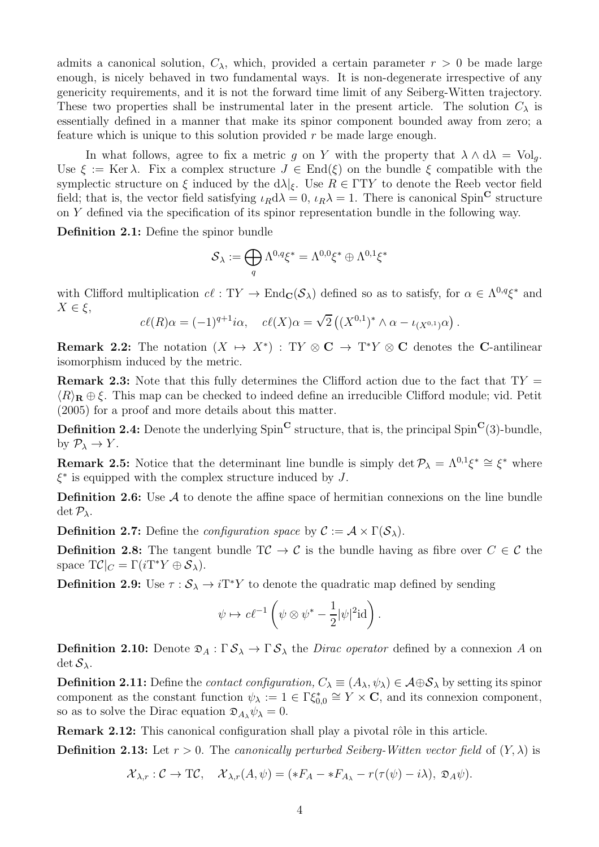admits a canonical solution,  $C_{\lambda}$ , which, provided a certain parameter  $r > 0$  be made large enough, is nicely behaved in two fundamental ways. It is non-degenerate irrespective of any genericity requirements, and it is not the forward time limit of any Seiberg-Witten trajectory. These two properties shall be instrumental later in the present article. The solution  $C_{\lambda}$  is essentially defined in a manner that make its spinor component bounded away from zero; a feature which is unique to this solution provided  $r$  be made large enough.

In what follows, agree to fix a metric g on Y with the property that  $\lambda \wedge d\lambda = Vol_a$ . Use  $\xi := \text{Ker }\lambda$ . Fix a complex structure  $J \in \text{End}(\xi)$  on the bundle  $\xi$  compatible with the symplectic structure on  $\xi$  induced by the  $d\lambda|_{\xi}$ . Use  $R \in \Gamma T Y$  to denote the Reeb vector field field; that is, the vector field satisfying  $\iota_R d\lambda = 0$ ,  $\iota_R \lambda = 1$ . There is canonical Spin<sup>C</sup> structure on Y defined via the specification of its spinor representation bundle in the following way.

Definition 2.1: Define the spinor bundle

$$
{\mathcal S}_\lambda:=\bigoplus_q \Lambda^{0,q}\xi^*=\Lambda^{0,0}\xi^*\oplus \Lambda^{0,1}\xi^*
$$

with Clifford multiplication  $c\ell$ :  $TY \to \text{End}_{\mathbf{C}}(\mathcal{S}_{\lambda})$  defined so as to satisfy, for  $\alpha \in \Lambda^{0,q} \xi^*$  and  $X \in \xi$ ,

$$
c\ell(R)\alpha = (-1)^{q+1}i\alpha, \quad c\ell(X)\alpha = \sqrt{2}\left( (X^{0,1})^* \wedge \alpha - \iota_{(X^{0,1})}\alpha \right).
$$

**Remark 2.2:** The notation  $(X \rightarrow X^*)$ : TY  $\otimes$  **C**  $\rightarrow$  T<sup>\*</sup>*Y*  $\otimes$  **C** denotes the **C**-antilinear isomorphism induced by the metric.

**Remark 2.3:** Note that this fully determines the Clifford action due to the fact that  $TY =$  $\langle R \rangle_{\mathbf{R}} \oplus \xi$ . This map can be checked to indeed define an irreducible Clifford module; vid. Petit (2005) for a proof and more details about this matter.

**Definition 2.4:** Denote the underlying  $Spin^{\mathbf{C}}$  structure, that is, the principal  $Spin^{\mathbf{C}}(3)$ -bundle, by  $\mathcal{P}_{\lambda} \to Y$ .

**Remark 2.5:** Notice that the determinant line bundle is simply  $\det \mathcal{P}_{\lambda} = \Lambda^{0,1} \xi^* \cong \xi^*$  where  $\xi^*$  is equipped with the complex structure induced by  $J$ .

**Definition 2.6:** Use  $\mathcal A$  to denote the affine space of hermitian connexions on the line bundle  $\det \mathcal{P}_{\lambda}$ .

**Definition 2.7:** Define the *configuration space* by  $\mathcal{C} := \mathcal{A} \times \Gamma(\mathcal{S}_{\lambda})$ .

**Definition 2.8:** The tangent bundle  $T\mathcal{C} \to \mathcal{C}$  is the bundle having as fibre over  $C \in \mathcal{C}$  the space  $T\mathcal{C}|_C = \Gamma(iT^*Y \oplus \mathcal{S}_\lambda).$ 

**Definition 2.9:** Use  $\tau : \mathcal{S}_{\lambda} \to i\mathrm{T}^*Y$  to denote the quadratic map defined by sending

$$
\psi \mapsto c\ell^{-1}\left(\psi \otimes \psi^* - \frac{1}{2}|\psi|^2\mathrm{id}\right).
$$

**Definition 2.10:** Denote  $\mathfrak{D}_A : \Gamma \mathcal{S}_{\lambda} \to \Gamma \mathcal{S}_{\lambda}$  the *Dirac operator* defined by a connexion A on  $\det S_\lambda$ .

**Definition 2.11:** Define the *contact configuration,*  $C_{\lambda} \equiv (A_{\lambda}, \psi_{\lambda}) \in \mathcal{A} \oplus \mathcal{S}_{\lambda}$  by setting its spinor component as the constant function  $\psi_{\lambda} := 1 \in \Gamma \xi_{0,0}^* \cong Y \times \mathbf{C}$ , and its connexion component, so as to solve the Dirac equation  $\mathfrak{D}_{A_{\lambda}} \psi_{\lambda} = 0$ .

Remark 2.12: This canonical configuration shall play a pivotal rôle in this article.

**Definition 2.13:** Let  $r > 0$ . The canonically perturbed Seiberg-Witten vector field of  $(Y, \lambda)$  is

$$
\mathcal{X}_{\lambda,r}: \mathcal{C} \to \mathrm{T}\mathcal{C}, \quad \mathcal{X}_{\lambda,r}(A,\psi) = (*F_A - *F_{A_{\lambda}} - r(\tau(\psi) - i\lambda), \mathfrak{D}_A\psi).
$$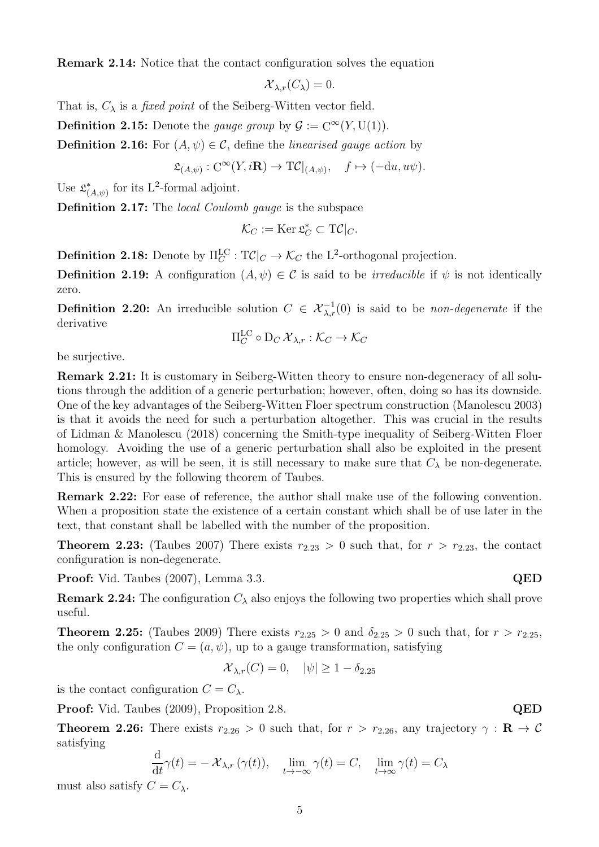Remark 2.14: Notice that the contact configuration solves the equation

$$
\mathcal{X}_{\lambda,r}(C_{\lambda})=0.
$$

That is,  $C_{\lambda}$  is a *fixed point* of the Seiberg-Witten vector field.

**Definition 2.15:** Denote the *gauge group* by  $\mathcal{G} := C^{\infty}(Y, U(1)).$ 

**Definition 2.16:** For  $(A, \psi) \in \mathcal{C}$ , define the *linearised gauge action* by

$$
\mathfrak{L}_{(A,\psi)} : C^{\infty}(Y, i\mathbf{R}) \to \mathrm{T\mathcal{C}}|_{(A,\psi)}, \quad f \mapsto (-\mathrm{d}u, u\psi).
$$

Use  $\mathfrak{L}_{\ell}^*$  $_{(A,\psi)}^*$  for its L<sup>2</sup>-formal adjoint.

Definition 2.17: The local Coulomb gauge is the subspace

$$
\mathcal{K}_C := \text{Ker } \mathfrak{L}_C^* \subset \mathrm{T}\mathcal{C}|_C.
$$

**Definition 2.18:** Denote by  $\Pi_C^{\text{LC}}$ :  $T\mathcal{C}|_C \to \mathcal{K}_C$  the L<sup>2</sup>-orthogonal projection.

**Definition 2.19:** A configuration  $(A, \psi) \in C$  is said to be *irreducible* if  $\psi$  is not identically zero.

**Definition 2.20:** An irreducible solution  $C \in \mathcal{X}_{\lambda,r}^{-1}(0)$  is said to be *non-degenerate* if the derivative

$$
\Pi_C^{\mathrm{LC}} \circ D_C \mathcal{X}_{\lambda,r} : \mathcal{K}_C \to \mathcal{K}_C
$$

be surjective.

Remark 2.21: It is customary in Seiberg-Witten theory to ensure non-degeneracy of all solutions through the addition of a generic perturbation; however, often, doing so has its downside. One of the key advantages of the Seiberg-Witten Floer spectrum construction (Manolescu 2003) is that it avoids the need for such a perturbation altogether. This was crucial in the results of Lidman & Manolescu (2018) concerning the Smith-type inequality of Seiberg-Witten Floer homology. Avoiding the use of a generic perturbation shall also be exploited in the present article; however, as will be seen, it is still necessary to make sure that  $C_{\lambda}$  be non-degenerate. This is ensured by the following theorem of Taubes.

Remark 2.22: For ease of reference, the author shall make use of the following convention. When a proposition state the existence of a certain constant which shall be of use later in the text, that constant shall be labelled with the number of the proposition.

**Theorem 2.23:** (Taubes 2007) There exists  $r_{2.23} > 0$  such that, for  $r > r_{2.23}$ , the contact configuration is non-degenerate.

Proof: Vid. Taubes (2007), Lemma 3.3. QED

**Remark 2.24:** The configuration  $C_{\lambda}$  also enjoys the following two properties which shall prove useful.

**Theorem 2.25:** (Taubes 2009) There exists  $r_{2.25} > 0$  and  $\delta_{2.25} > 0$  such that, for  $r > r_{2.25}$ , the only configuration  $C = (a, \psi)$ , up to a gauge transformation, satisfying

$$
\mathcal{X}_{\lambda,r}(C) = 0, \quad |\psi| \ge 1 - \delta_{2.25}
$$

is the contact configuration  $C = C_{\lambda}$ .

**Proof:** Vid. Taubes (2009), Proposition 2.8. **QED** 

**Theorem 2.26:** There exists  $r_{2.26} > 0$  such that, for  $r > r_{2.26}$ , any trajectory  $\gamma : \mathbf{R} \to \mathcal{C}$ satisfying

$$
\frac{\mathrm{d}}{\mathrm{d}t}\gamma(t) = -\mathcal{X}_{\lambda,r}\left(\gamma(t)\right), \quad \lim_{t \to -\infty} \gamma(t) = C, \quad \lim_{t \to \infty} \gamma(t) = C_{\lambda}
$$

must also satisfy  $C = C_{\lambda}$ .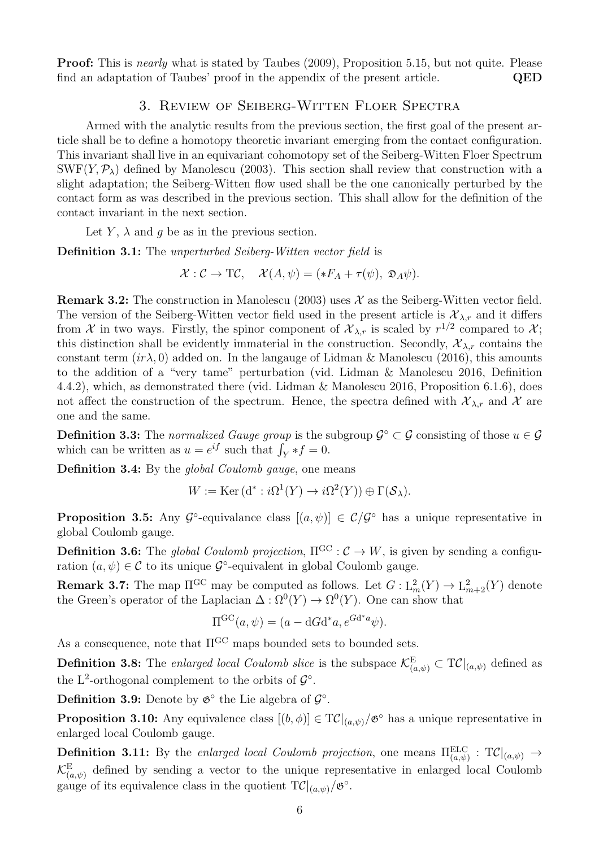Proof: This is *nearly* what is stated by Taubes (2009), Proposition 5.15, but not quite. Please find an adaptation of Taubes' proof in the appendix of the present article. QED

# 3. Review of Seiberg-Witten Floer Spectra

Armed with the analytic results from the previous section, the first goal of the present article shall be to define a homotopy theoretic invariant emerging from the contact configuration. This invariant shall live in an equivariant cohomotopy set of the Seiberg-Witten Floer Spectrum SWF(Y,  $\mathcal{P}_{\lambda}$ ) defined by Manolescu (2003). This section shall review that construction with a slight adaptation; the Seiberg-Witten flow used shall be the one canonically perturbed by the contact form as was described in the previous section. This shall allow for the definition of the contact invariant in the next section.

Let Y,  $\lambda$  and q be as in the previous section.

Definition 3.1: The unperturbed Seiberg-Witten vector field is

$$
\mathcal{X}: \mathcal{C} \to \mathrm{T}\mathcal{C}, \quad \mathcal{X}(A,\psi) = (*F_A + \tau(\psi), \mathfrak{D}_A\psi).
$$

**Remark 3.2:** The construction in Manolescu (2003) uses  $\mathcal{X}$  as the Seiberg-Witten vector field. The version of the Seiberg-Witten vector field used in the present article is  $\mathcal{X}_{\lambda,r}$  and it differs from X in two ways. Firstly, the spinor component of  $\mathcal{X}_{\lambda,r}$  is scaled by  $r^{1/2}$  compared to X; this distinction shall be evidently immaterial in the construction. Secondly,  $\mathcal{X}_{\lambda,r}$  contains the constant term  $(i r \lambda, 0)$  added on. In the language of Lidman & Manolescu (2016), this amounts to the addition of a "very tame" perturbation (vid. Lidman & Manolescu 2016, Definition 4.4.2), which, as demonstrated there (vid. Lidman & Manolescu 2016, Proposition 6.1.6), does not affect the construction of the spectrum. Hence, the spectra defined with  $\mathcal{X}_{\lambda,r}$  and X are one and the same.

**Definition 3.3:** The normalized Gauge group is the subgroup  $\mathcal{G}^{\circ} \subset \mathcal{G}$  consisting of those  $u \in \mathcal{G}$ which can be written as  $u = e^{if}$  such that  $\int_Y *f = 0$ .

Definition 3.4: By the *global Coulomb gauge*, one means

 $W := \text{Ker}(\text{d}^* : i\Omega^1(Y) \to i\Omega^2(Y)) \oplus \Gamma(\mathcal{S}_\lambda).$ 

**Proposition 3.5:** Any  $\mathcal{G}^{\circ}$ -equivalance class  $[(a, \psi)] \in \mathcal{C}/\mathcal{G}^{\circ}$  has a unique representative in global Coulomb gauge.

**Definition 3.6:** The global Coulomb projection,  $\Pi^{GC}$  :  $C \rightarrow W$ , is given by sending a configuration  $(a, \psi) \in \mathcal{C}$  to its unique  $\mathcal{G}^{\circ}$ -equivalent in global Coulomb gauge.

**Remark 3.7:** The map  $\Pi^{\text{GC}}$  may be computed as follows. Let  $G: L^2_m(Y) \to L^2_{m+2}(Y)$  denote the Green's operator of the Laplacian  $\Delta : \Omega^0(Y) \to \Omega^0(Y)$ . One can show that

$$
\Pi^{\rm GC}(a,\psi) = (a - dGd^*a, e^{Gd^*a}\psi).
$$

As a consequence, note that  $\Pi^{\rm GC}$  maps bounded sets to bounded sets.

**Definition 3.8:** The enlarged local Coulomb slice is the subspace  $\mathcal{K}^{\text{E}}_{(a,\psi)} \subset \text{TC}|_{(a,\psi)}$  defined as the L<sup>2</sup>-orthogonal complement to the orbits of  $\mathcal{G}^{\circ}$ .

**Definition 3.9:** Denote by  $\mathfrak{G}^{\circ}$  the Lie algebra of  $\mathcal{G}^{\circ}$ .

**Proposition 3.10:** Any equivalence class  $[(b, \phi)] \in T\mathcal{C}|_{(a,\psi)}/\mathfrak{G}^{\circ}$  has a unique representative in enlarged local Coulomb gauge.

**Definition 3.11:** By the enlarged local Coulomb projection, one means  $\Pi_{(a,\psi)}^{\text{ELC}}$  :  $T\mathcal{C}|_{(a,\psi)} \to$  $\mathcal{K}_{(a,\psi)}^{\text{E}}$  defined by sending a vector to the unique representative in enlarged local Coulomb gauge of its equivalence class in the quotient  $T\mathcal{C}|_{(a,\psi)}/\mathfrak{G}^{\circ}$ .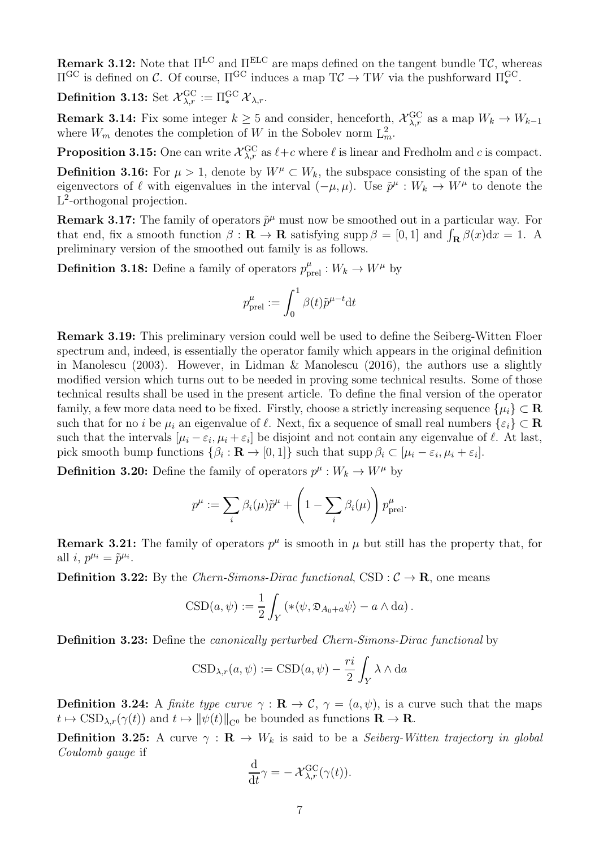Remark 3.12: Note that  $\Pi^{\text{LC}}$  and  $\Pi^{\text{ELC}}$  are maps defined on the tangent bundle TC, whereas  $\Pi^{\text{GC}}$  is defined on C. Of course,  $\Pi^{\text{GC}}$  induces a map  $T\mathcal{C} \to TW$  via the pushforward  $\Pi^{\text{GC}}_*$ .

Definition 3.13: Set  ${\mathcal X}_{\lambda, r}^{\rm GC} := \Pi_*^{\rm GC}\,{\mathcal X}_{\lambda, r}.$ 

**Remark 3.14:** Fix some integer  $k \geq 5$  and consider, henceforth,  $\mathcal{X}_{\lambda,r}^{\text{GC}}$  as a map  $W_k \to W_{k-1}$ where  $W_m$  denotes the completion of W in the Sobolev norm  $L_m^2$ .

**Proposition 3.15:** One can write  $\mathcal{X}_{\lambda,r}^{\text{GC}}$  as  $\ell+c$  where  $\ell$  is linear and Fredholm and c is compact.

**Definition 3.16:** For  $\mu > 1$ , denote by  $W^{\mu} \subset W_k$ , the subspace consisting of the span of the eigenvectors of  $\ell$  with eigenvalues in the interval  $(-\mu, \mu)$ . Use  $\tilde{p}^{\mu}: W_k \to W^{\mu}$  to denote the L<sup>2</sup>-orthogonal projection.

**Remark 3.17:** The family of operators  $\tilde{p}^{\mu}$  must now be smoothed out in a particular way. For that end, fix a smooth function  $\beta : \mathbf{R} \to \mathbf{R}$  satisfying supp  $\beta = [0, 1]$  and  $\int_{\mathbf{R}} \beta(x) dx = 1$ . A preliminary version of the smoothed out family is as follows.

**Definition 3.18:** Define a family of operators  $p_{\text{prel}}^{\mu}: W_k \to W^{\mu}$  by

$$
p_{\text{prel}}^{\mu} := \int_0^1 \beta(t) \tilde{p}^{\mu - t} \mathrm{d}t
$$

Remark 3.19: This preliminary version could well be used to define the Seiberg-Witten Floer spectrum and, indeed, is essentially the operator family which appears in the original definition in Manolescu (2003). However, in Lidman  $\&$  Manolescu (2016), the authors use a slightly modified version which turns out to be needed in proving some technical results. Some of those technical results shall be used in the present article. To define the final version of the operator family, a few more data need to be fixed. Firstly, choose a strictly increasing sequence  $\{\mu_i\} \subset \mathbf{R}$ such that for no *i* be  $\mu_i$  an eigenvalue of  $\ell$ . Next, fix a sequence of small real numbers  $\{\varepsilon_i\} \subset \mathbf{R}$ such that the intervals  $[\mu_i - \varepsilon_i, \mu_i + \varepsilon_i]$  be disjoint and not contain any eigenvalue of  $\ell$ . At last, pick smooth bump functions  $\{\beta_i : \mathbf{R} \to [0,1]\}$  such that supp  $\beta_i \subset [\mu_i - \varepsilon_i, \mu_i + \varepsilon_i]$ .

**Definition 3.20:** Define the family of operators  $p^{\mu}: W_k \to W^{\mu}$  by

$$
p^{\mu} := \sum_{i} \beta_{i}(\mu)\tilde{p}^{\mu} + \left(1 - \sum_{i} \beta_{i}(\mu)\right) p^{\mu}_{\text{prel}}.
$$

**Remark 3.21:** The family of operators  $p^{\mu}$  is smooth in  $\mu$  but still has the property that, for all *i*,  $p^{\mu_i} = \tilde{p}^{\mu_i}$ .

**Definition 3.22:** By the Chern-Simons-Dirac functional, CSD :  $C \rightarrow \mathbb{R}$ , one means

$$
CSD(a, \psi) := \frac{1}{2} \int_Y \left( \ast \langle \psi, \mathfrak{D}_{A_0 + a} \psi \rangle - a \wedge da \right).
$$

Definition 3.23: Define the canonically perturbed Chern-Simons-Dirac functional by

$$
CSD_{\lambda,r}(a,\psi) := CSD(a,\psi) - \frac{ri}{2} \int_Y \lambda \wedge da
$$

**Definition 3.24:** A *finite type curve*  $\gamma : \mathbf{R} \to \mathcal{C}$ ,  $\gamma = (a, \psi)$ , is a curve such that the maps  $t \mapsto \text{CSD}_{\lambda,r}(\gamma(t))$  and  $t \mapsto ||\psi(t)||_{C^0}$  be bounded as functions  $\mathbf{R} \to \mathbf{R}$ .

**Definition 3.25:** A curve  $\gamma : \mathbf{R} \to W_k$  is said to be a *Seiberg-Witten trajectory in global* Coulomb gauge if

$$
\frac{\mathrm{d}}{\mathrm{d}t}\gamma = -\mathcal{X}_{\lambda,r}^{\mathrm{GC}}(\gamma(t)).
$$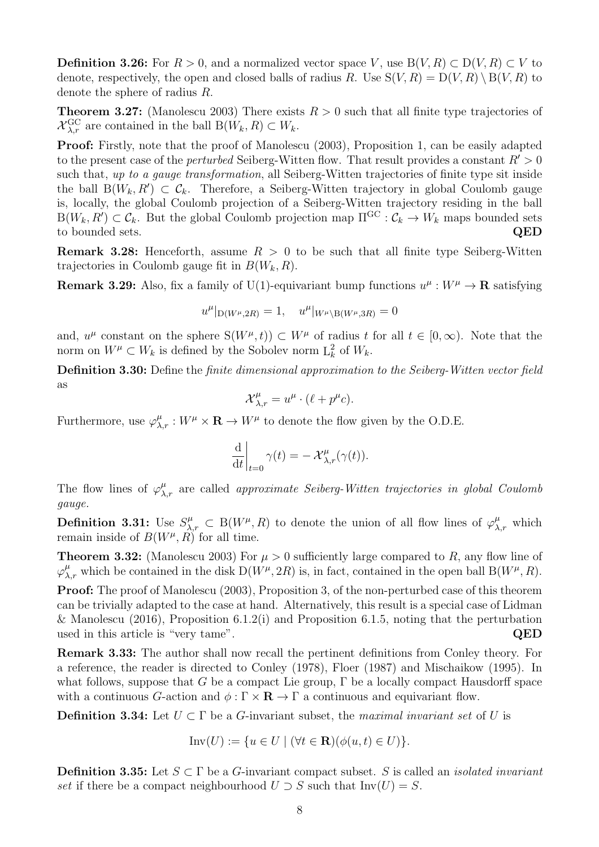**Definition 3.26:** For  $R > 0$ , and a normalized vector space V, use B(V, R) ⊂ D(V, R) ⊂ V to denote, respectively, the open and closed balls of radius R. Use  $S(V, R) = D(V, R) \setminus B(V, R)$  to denote the sphere of radius R.

**Theorem 3.27:** (Manolescu 2003) There exists  $R > 0$  such that all finite type trajectories of  $\mathcal{X}_{\lambda,r}^{\text{GC}}$  are contained in the ball  $B(W_k, R) \subset W_k$ .

Proof: Firstly, note that the proof of Manolescu (2003), Proposition 1, can be easily adapted to the present case of the *perturbed* Seiberg-Witten flow. That result provides a constant  $R' > 0$ such that, up to a gauge transformation, all Seiberg-Witten trajectories of finite type sit inside the ball  $B(W_k, R') \subset C_k$ . Therefore, a Seiberg-Witten trajectory in global Coulomb gauge is, locally, the global Coulomb projection of a Seiberg-Witten trajectory residing in the ball  $B(W_k, R') \subset C_k$ . But the global Coulomb projection map  $\Pi^{\rm GC} : C_k \to W_k$  maps bounded sets to bounded sets. QED

**Remark 3.28:** Henceforth, assume  $R > 0$  to be such that all finite type Seiberg-Witten trajectories in Coulomb gauge fit in  $B(W_k, R)$ .

**Remark 3.29:** Also, fix a family of U(1)-equivariant bump functions  $u^{\mu}: W^{\mu} \to \mathbf{R}$  satisfying

$$
u^{\mu}|_{D(W^{\mu},2R)} = 1, \quad u^{\mu}|_{W^{\mu}\setminus B(W^{\mu},3R)} = 0
$$

and,  $u^{\mu}$  constant on the sphere  $S(W^{\mu}, t)$   $\subset W^{\mu}$  of radius t for all  $t \in [0, \infty)$ . Note that the norm on  $W^{\mu} \subset W_k$  is defined by the Sobolev norm  $L_k^2$  of  $W_k$ .

Definition 3.30: Define the finite dimensional approximation to the Seiberg-Witten vector field as

$$
\mathcal{X}_{\lambda,r}^{\mu} = u^{\mu} \cdot (\ell + p^{\mu}c).
$$

Furthermore, use  $\varphi_{\lambda,r}^{\mu}: W^{\mu} \times \mathbf{R} \to W^{\mu}$  to denote the flow given by the O.D.E.

$$
\left.\frac{\mathrm{d}}{\mathrm{d}t}\right|_{t=0}\gamma(t)=-\left.\mathcal{X}^{\mu}_{\lambda,r}(\gamma(t)).\right.
$$

The flow lines of  $\varphi_{\lambda,r}^{\mu}$  are called *approximate Seiberg-Witten trajectories in global Coulomb* gauge.

**Definition 3.31:** Use  $S^{\mu}_{\lambda,r} \subset B(W^{\mu}, R)$  to denote the union of all flow lines of  $\varphi^{\mu}_{\lambda,r}$  which remain inside of  $B(W^{\mu}, R)$  for all time.

**Theorem 3.32:** (Manolescu 2003) For  $\mu > 0$  sufficiently large compared to R, any flow line of  $\varphi_{\lambda,r}^{\mu}$  which be contained in the disk  $D(W^{\mu}, 2R)$  is, in fact, contained in the open ball  $B(W^{\mu}, R)$ .

Proof: The proof of Manolescu (2003), Proposition 3, of the non-perturbed case of this theorem can be trivially adapted to the case at hand. Alternatively, this result is a special case of Lidman & Manolescu (2016), Proposition 6.1.2(i) and Proposition 6.1.5, noting that the perturbation used in this article is "very tame". QED

Remark 3.33: The author shall now recall the pertinent definitions from Conley theory. For a reference, the reader is directed to Conley (1978), Floer (1987) and Mischaikow (1995). In what follows, suppose that G be a compact Lie group,  $\Gamma$  be a locally compact Hausdorff space with a continuous G-action and  $\phi : \Gamma \times \mathbf{R} \to \Gamma$  a continuous and equivariant flow.

**Definition 3.34:** Let  $U \subset \Gamma$  be a G-invariant subset, the maximal invariant set of U is

$$
Inv(U) := \{ u \in U \mid (\forall t \in \mathbf{R})(\phi(u, t) \in U) \}.
$$

**Definition 3.35:** Let  $S \subset \Gamma$  be a G-invariant compact subset. S is called an *isolated invariant* set if there be a compact neighbourhood  $U \supset S$  such that  $Inv(U) = S$ .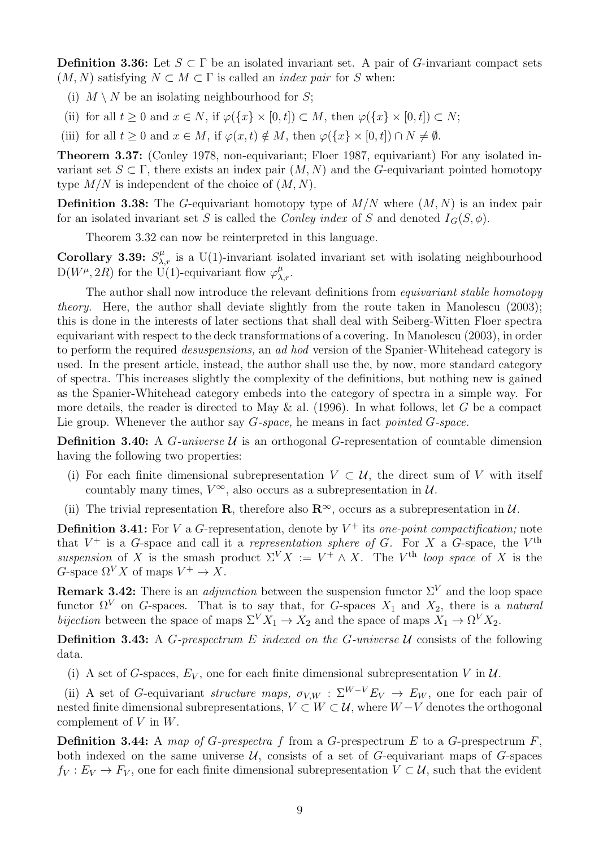Definition 3.36: Let  $S \subset \Gamma$  be an isolated invariant set. A pair of G-invariant compact sets  $(M, N)$  satisfying  $N \subset M \subset \Gamma$  is called an *index pair* for S when:

- (i)  $M \setminus N$  be an isolating neighbourhood for S;
- (ii) for all  $t \geq 0$  and  $x \in N$ , if  $\varphi({x} \times [0,t]) \subset M$ , then  $\varphi({x} \times [0,t]) \subset N$ ;

(iii) for all  $t \geq 0$  and  $x \in M$ , if  $\varphi(x, t) \notin M$ , then  $\varphi({x} \times [0, t]) \cap N \neq \emptyset$ .

Theorem 3.37: (Conley 1978, non-equivariant; Floer 1987, equivariant) For any isolated invariant set  $S \subset \Gamma$ , there exists an index pair  $(M, N)$  and the G-equivariant pointed homotopy type  $M/N$  is independent of the choice of  $(M, N)$ .

**Definition 3.38:** The G-equivariant homotopy type of  $M/N$  where  $(M, N)$  is an index pair for an isolated invariant set S is called the Conley index of S and denoted  $I_G(S, \phi)$ .

Theorem 3.32 can now be reinterpreted in this language.

Corollary 3.39:  $S^{\mu}_{\lambda,r}$  is a U(1)-invariant isolated invariant set with isolating neighbourhood  $D(W^{\mu}, 2R)$  for the U(1)-equivariant flow  $\varphi_{\lambda,r}^{\mu}$ .

The author shall now introduce the relevant definitions from *equivariant stable homotopy* theory. Here, the author shall deviate slightly from the route taken in Manolescu (2003); this is done in the interests of later sections that shall deal with Seiberg-Witten Floer spectra equivariant with respect to the deck transformations of a covering. In Manolescu (2003), in order to perform the required *desuspensions*, an ad hod version of the Spanier-Whitehead category is used. In the present article, instead, the author shall use the, by now, more standard category of spectra. This increases slightly the complexity of the definitions, but nothing new is gained as the Spanier-Whitehead category embeds into the category of spectra in a simple way. For more details, the reader is directed to May & al. (1996). In what follows, let G be a compact Lie group. Whenever the author say  $G$ -space, he means in fact pointed  $G$ -space.

**Definition 3.40:** A *G*-universe  $U$  is an orthogonal *G*-representation of countable dimension having the following two properties:

- (i) For each finite dimensional subrepresentation  $V \subset U$ , the direct sum of V with itself countably many times,  $V^{\infty}$ , also occurs as a subrepresentation in  $\mathcal{U}$ .
- (ii) The trivial representation R, therefore also  $\mathbb{R}^{\infty}$ , occurs as a subrepresentation in  $\mathcal{U}$ .

**Definition 3.41:** For V a G-representation, denote by  $V^+$  its one-point compactification; note that  $V^+$  is a G-space and call it a representation sphere of G. For X a G-space, the  $V^{\text{th}}$ suspension of X is the smash product  $\Sigma^V X := V^+ \wedge X$ . The V<sup>th</sup> loop space of X is the G-space  $\Omega^V X$  of maps  $V^+ \to X$ .

**Remark 3.42:** There is an *adjunction* between the suspension functor  $\Sigma^V$  and the loop space functor  $\Omega^V$  on G-spaces. That is to say that, for G-spaces  $X_1$  and  $X_2$ , there is a natural bijection between the space of maps  $\Sigma^V X_1 \to X_2$  and the space of maps  $X_1 \to \Omega^V X_2$ .

**Definition 3.43:** A *G*-prespectrum *E* indexed on the *G*-universe  $U$  consists of the following data.

(i) A set of G-spaces,  $E_V$ , one for each finite dimensional subrepresentation V in  $\mathcal{U}$ .

(ii) A set of G-equivariant *structure maps*,  $\sigma_{V,W}$ :  $\Sigma^{W-V}E_V \rightarrow E_W$ , one for each pair of nested finite dimensional subrepresentations,  $V \subset W \subset U$ , where  $W - V$  denotes the orthogonal complement of  $V$  in  $W$ .

**Definition 3.44:** A map of G-prespectra f from a G-prespectrum E to a G-prespectrum  $F$ , both indexed on the same universe  $U$ , consists of a set of G-equivariant maps of G-spaces  $f_V: E_V \to F_V$ , one for each finite dimensional subrepresentation  $V \subset U$ , such that the evident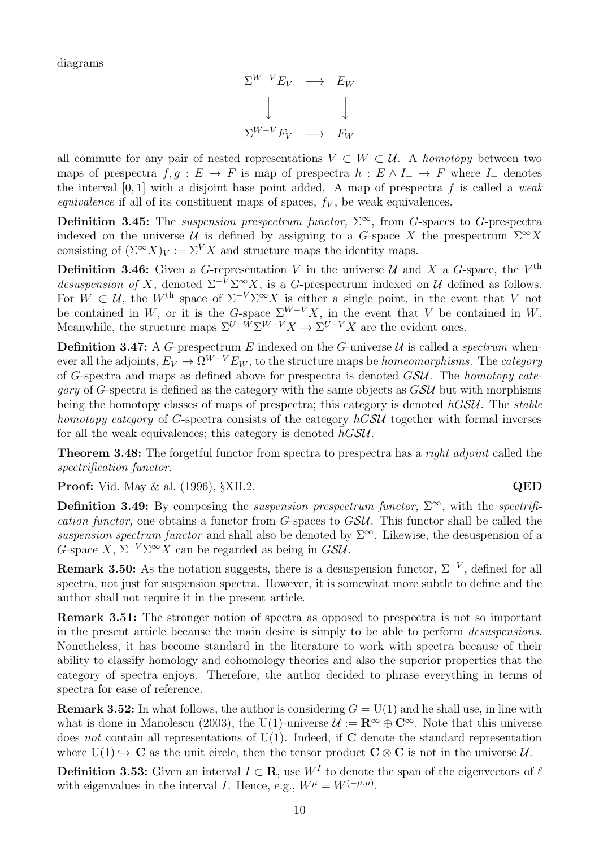diagrams

$$
\Sigma^{W-V} E_V \longrightarrow E_W
$$
  
\n
$$
\downarrow \qquad \qquad \downarrow
$$
  
\n
$$
\Sigma^{W-V} F_V \longrightarrow F_W
$$

all commute for any pair of nested representations  $V \subset W \subset \mathcal{U}$ . A homotopy between two maps of prespectra  $f, q : E \to F$  is map of prespectra  $h : E \wedge I_+ \to F$  where  $I_+$  denotes the interval  $[0, 1]$  with a disjoint base point added. A map of prespectra f is called a weak equivalence if all of its constituent maps of spaces,  $f_V$ , be weak equivalences.

**Definition 3.45:** The *suspension prespectrum functor*,  $\Sigma^{\infty}$ , from *G*-spaces to *G*-prespectra indexed on the universe U is defined by assigning to a G-space X the prespectrum  $\Sigma^{\infty} X$ consisting of  $(\Sigma^{\infty} X)_V := \Sigma^V X$  and structure maps the identity maps.

**Definition 3.46:** Given a G-representation V in the universe U and X a G-space, the V<sup>th</sup> desuspension of X, denoted  $\Sigma^{-V} \Sigma^{\infty} X$ , is a G-prespectrum indexed on U defined as follows. For  $W \subset \mathcal{U}$ , the W<sup>th</sup> space of  $\Sigma^{-V} \Sigma^{\infty} X$  is either a single point, in the event that V not be contained in W, or it is the G-space  $\Sigma^{W-V}X$ , in the event that V be contained in W. Meanwhile, the structure maps  $\Sigma^{U-W} \Sigma^{W-V} X \to \Sigma^{U-V} X$  are the evident ones.

**Definition 3.47:** A G-prespectrum E indexed on the G-universe  $\mathcal{U}$  is called a *spectrum* whenever all the adjoints,  $E_V \to \Omega^{W-V} E_W$ , to the structure maps be *homeomorphisms*. The *category* of G-spectra and maps as defined above for prespectra is denoted GSU. The homotopy cate*gory* of G-spectra is defined as the category with the same objects as  $GSU$  but with morphisms being the homotopy classes of maps of prespectra; this category is denoted  $hGSU$ . The stable homotopy category of G-spectra consists of the category  $hGSU$  together with formal inverses for all the weak equivalences; this category is denoted  $hG\mathcal{S}U$ .

**Theorem 3.48:** The forgetful functor from spectra to prespectra has a *right adjoint* called the spectrification functor.

**Proof:** Vid. May & al. (1996), §XII.2. **QED** 

Definition 3.49: By composing the *suspension prespectrum functor*,  $\Sigma^{\infty}$ , with the *spectrifi*cation functor, one obtains a functor from G-spaces to GSU. This functor shall be called the suspension spectrum functor and shall also be denoted by  $\Sigma^{\infty}$ . Likewise, the desuspension of a G-space X,  $\Sigma^{-V} \Sigma^{\infty} X$  can be regarded as being in GSU.

**Remark 3.50:** As the notation suggests, there is a desuspension functor,  $\Sigma^{-V}$ , defined for all spectra, not just for suspension spectra. However, it is somewhat more subtle to define and the author shall not require it in the present article.

Remark 3.51: The stronger notion of spectra as opposed to prespectra is not so important in the present article because the main desire is simply to be able to perform desuspensions. Nonetheless, it has become standard in the literature to work with spectra because of their ability to classify homology and cohomology theories and also the superior properties that the category of spectra enjoys. Therefore, the author decided to phrase everything in terms of spectra for ease of reference.

**Remark 3.52:** In what follows, the author is considering  $G = U(1)$  and he shall use, in line with what is done in Manolescu (2003), the U(1)-universe  $\mathcal{U} := \mathbb{R}^{\infty} \oplus \mathbb{C}^{\infty}$ . Note that this universe does not contain all representations of  $U(1)$ . Indeed, if **C** denote the standard representation where  $U(1) \hookrightarrow C$  as the unit circle, then the tensor product  $C \otimes C$  is not in the universe  $U$ .

**Definition 3.53:** Given an interval  $I \subset \mathbf{R}$ , use  $W^I$  to denote the span of the eigenvectors of  $\ell$ with eigenvalues in the interval I. Hence, e.g.,  $W^{\mu} = W^{(-\mu,\mu)}$ .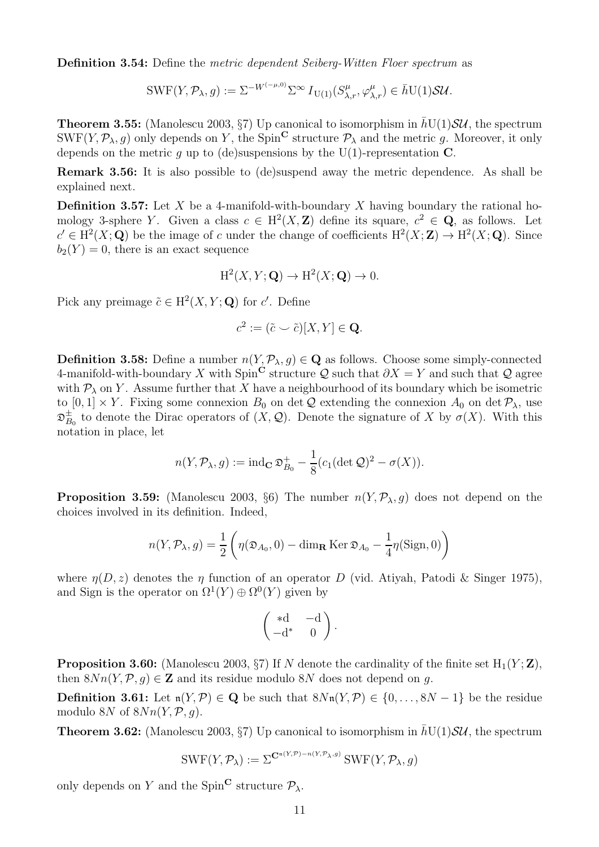Definition 3.54: Define the metric dependent Seiberg-Witten Floer spectrum as

 $\text{SWF}(Y, \mathcal{P}_\lambda, g) := \Sigma^{-W^{(-\mu, 0)}} \Sigma^\infty I_{\text{U}(1)}(S^\mu_{\lambda, r}, \varphi^\mu_{\lambda, r}) \in \bar{h} \text{U}(1) \mathcal{S} \mathcal{U}.$ 

**Theorem 3.55:** (Manolescu 2003, §7) Up canonical to isomorphism in  $\overline{hU(1)}\mathcal{SU}$ , the spectrum SWF(Y,  $\mathcal{P}_{\lambda}$ , g) only depends on Y, the Spin<sup>C</sup> structure  $\mathcal{P}_{\lambda}$  and the metric g. Moreover, it only depends on the metric g up to (de)suspensions by the U(1)-representation  $\tilde{C}$ .

Remark 3.56: It is also possible to (de)suspend away the metric dependence. As shall be explained next.

**Definition 3.57:** Let X be a 4-manifold-with-boundary X having boundary the rational homology 3-sphere Y. Given a class  $c \in H^2(X, \mathbb{Z})$  define its square,  $c^2 \in \mathbb{Q}$ , as follows. Let  $c' \in H^2(X; \mathbf{Q})$  be the image of c under the change of coefficients  $H^2(X; \mathbf{Z}) \to H^2(X; \mathbf{Q})$ . Since  $b_2(Y) = 0$ , there is an exact sequence

$$
H^2(X, Y; \mathbf{Q}) \to H^2(X; \mathbf{Q}) \to 0.
$$

Pick any preimage  $\tilde{c} \in \mathrm{H}^2(X, Y; \mathbf{Q})$  for  $c'$ . Define

$$
c^2 := (\tilde{c} \smile \tilde{c})[X, Y] \in \mathbf{Q}.
$$

**Definition 3.58:** Define a number  $n(Y, \mathcal{P}_{\lambda}, g) \in \mathbf{Q}$  as follows. Choose some simply-connected 4-manifold-with-boundary X with Spin<sup>C</sup> structure Q such that  $\partial X = Y$  and such that Q agree with  $P_\lambda$  on Y. Assume further that X have a neighbourhood of its boundary which be isometric to  $[0,1] \times Y$ . Fixing some connexion  $B_0$  on det Q extending the connexion  $A_0$  on det  $\mathcal{P}_{\lambda}$ , use  ${\mathfrak D}_B^\pm$  $\mathcal{L}_{B_0}^{\pm}$  to denote the Dirac operators of  $(X, \mathcal{Q})$ . Denote the signature of X by  $\sigma(X)$ . With this notation in place, let

$$
n(Y, \mathcal{P}_{\lambda}, g) := \operatorname{ind}_{\mathbf{C}} \mathfrak{D}_{B_0}^+ - \frac{1}{8} (c_1 (\det \mathcal{Q})^2 - \sigma(X)).
$$

**Proposition 3.59:** (Manolescu 2003, §6) The number  $n(Y, \mathcal{P}_{\lambda}, g)$  does not depend on the choices involved in its definition. Indeed,

$$
n(Y, \mathcal{P}_{\lambda}, g) = \frac{1}{2} \left( \eta(\mathfrak{D}_{A_0}, 0) - \dim_{\mathbf{R}} \operatorname{Ker} \mathfrak{D}_{A_0} - \frac{1}{4} \eta(\operatorname{Sign}, 0) \right)
$$

where  $\eta(D, z)$  denotes the  $\eta$  function of an operator D (vid. Atiyah, Patodi & Singer 1975), and Sign is the operator on  $\Omega^1(Y) \oplus \Omega^0(Y)$  given by

$$
\begin{pmatrix} *d & -d \\ -d^* & 0 \end{pmatrix}.
$$

**Proposition 3.60:** (Manolescu 2003,  $\S7$ ) If N denote the cardinality of the finite set  $H_1(Y; Z)$ , then  $8Nn(Y, \mathcal{P}, q) \in \mathbb{Z}$  and its residue modulo 8N does not depend on q.

Definition 3.61: Let  $n(Y, \mathcal{P}) \in \mathbb{Q}$  be such that  $8Nn(Y, \mathcal{P}) \in \{0, \ldots, 8N-1\}$  be the residue modulo 8N of  $8Nn(Y, \mathcal{P}, q)$ .

**Theorem 3.62:** (Manolescu 2003, §7) Up canonical to isomorphism in  $\bar{h}U(1)S\mathcal{U}$ , the spectrum

$$
\operatorname{SWF}(Y, \mathcal{P}_{\lambda}) := \Sigma^{\mathbf{C}^{n(Y, \mathcal{P}) - n(Y, \mathcal{P}_{\lambda}, g)}} \operatorname{SWF}(Y, \mathcal{P}_{\lambda}, g)
$$

only depends on Y and the Spin<sup>C</sup> structure  $\mathcal{P}_{\lambda}$ .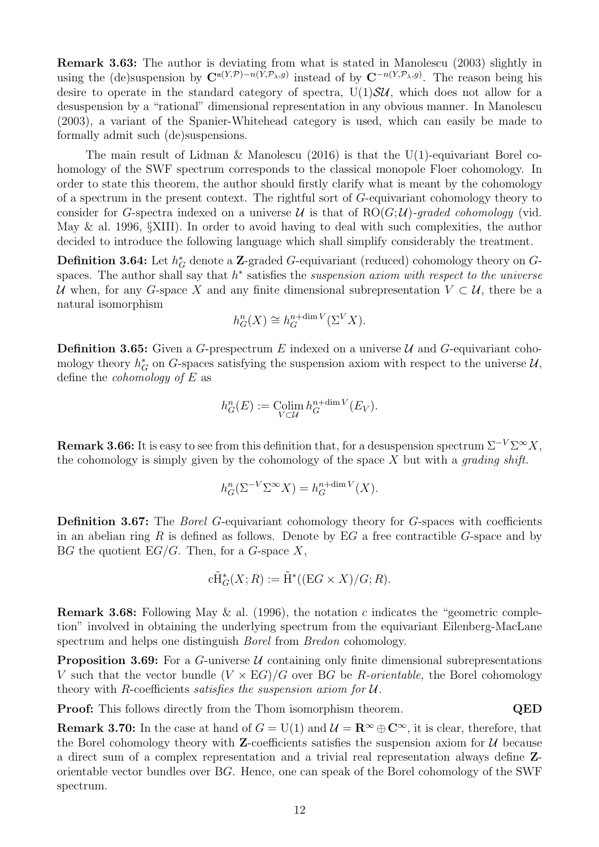Remark 3.63: The author is deviating from what is stated in Manolescu (2003) slightly in using the (de)suspension by  $\mathbb{C}^{n(Y,\mathcal{P})-n(Y,\mathcal{P}_{\lambda},g)}$  instead of by  $\mathbb{C}^{-n(Y,\mathcal{P}_{\lambda},g)}$ . The reason being his desire to operate in the standard category of spectra,  $U(1)S\mathcal{U}$ , which does not allow for a desuspension by a "rational" dimensional representation in any obvious manner. In Manolescu (2003), a variant of the Spanier-Whitehead category is used, which can easily be made to formally admit such (de)suspensions.

The main result of Lidman & Manolescu (2016) is that the U(1)-equivariant Borel cohomology of the SWF spectrum corresponds to the classical monopole Floer cohomology. In order to state this theorem, the author should firstly clarify what is meant by the cohomology of a spectrum in the present context. The rightful sort of G-equivariant cohomology theory to consider for G-spectra indexed on a universe  $\mathcal U$  is that of  $RO(G; \mathcal U)$ -graded cohomology (vid. May & al. 1996, §XIII). In order to avoid having to deal with such complexities, the author decided to introduce the following language which shall simplify considerably the treatment.

**Definition 3.64:** Let  $h_G^*$  denote a **Z**-graded *G*-equivariant (reduced) cohomology theory on *G*spaces. The author shall say that  $h^*$  satisfies the *suspension axiom with respect to the universe* U when, for any G-space X and any finite dimensional subrepresentation  $V \subset U$ , there be a natural isomorphism

$$
h_G^n(X) \cong h_G^{n + \dim V}(\Sigma^V X).
$$

**Definition 3.65:** Given a G-prespectrum E indexed on a universe  $\mathcal{U}$  and G-equivariant cohomology theory  $h_G^*$  on G-spaces satisfying the suspension axiom with respect to the universe  $\mathcal{U}$ , define the *cohomology* of  $E$  as

$$
h_G^n(E) := \underset{V \subset \mathcal{U}}{\text{Colim}} \, h_G^{n + \dim V}(E_V).
$$

**Remark 3.66:** It is easy to see from this definition that, for a desuspension spectrum  $\Sigma^{-V} \Sigma^{\infty} X$ , the cohomology is simply given by the cohomology of the space  $X$  but with a *grading shift*.

$$
h_G^n(\Sigma^{-V}\Sigma^{\infty}X) = h_G^{n+\dim V}(X).
$$

Definition 3.67: The *Borel G*-equivariant cohomology theory for *G*-spaces with coefficients in an abelian ring R is defined as follows. Denote by  $EG$  a free contractible G-space and by BG the quotient  $EG/G$ . Then, for a G-space X,

$$
c\tilde{H}^*_{G}(X;R) := \tilde{H}^*((EG \times X)/G;R).
$$

**Remark 3.68:** Following May & al. (1996), the notation c indicates the "geometric completion" involved in obtaining the underlying spectrum from the equivariant Eilenberg-MacLane spectrum and helps one distinguish Borel from Bredon cohomology.

**Proposition 3.69:** For a G-universe  $U$  containing only finite dimensional subrepresentations V such that the vector bundle  $(V \times EG)/G$  over BG be R-orientable, the Borel cohomology theory with R-coefficients *satisfies the suspension axiom for*  $U$ .

**Proof:** This follows directly from the Thom isomorphism theorem. QED

**Remark 3.70:** In the case at hand of  $G = U(1)$  and  $\mathcal{U} = \mathbb{R}^{\infty} \oplus \mathbb{C}^{\infty}$ , it is clear, therefore, that the Borel cohomology theory with **Z**-coefficients satisfies the suspension axiom for  $\mathcal{U}$  because a direct sum of a complex representation and a trivial real representation always define Zorientable vector bundles over BG. Hence, one can speak of the Borel cohomology of the SWF spectrum.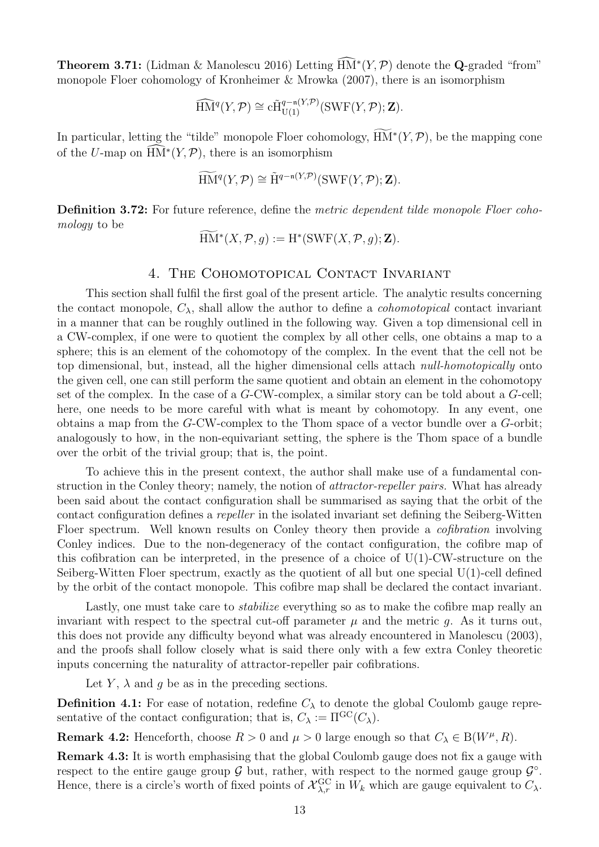**Theorem 3.71:** (Lidman & Manolescu 2016) Letting  $\widehat{HM}^*(Y, \mathcal{P})$  denote the **Q**-graded "from" monopole Floer cohomology of Kronheimer & Mrowka (2007), there is an isomorphism

$$
\widehat{\text{HM}}^{q}(Y,\mathcal{P}) \cong \tilde{\text{CH}}_{\text{U}(1)}^{q-\text{n}(Y,\mathcal{P})}(\text{SWF}(Y,\mathcal{P});\mathbf{Z}).
$$

In particular, letting the "tilde" monopole Floer cohomology,  $HM^*(Y, \mathcal{P})$ , be the mapping cone of the U-map on  $\widehat{\text{HM}}^*(Y, \mathcal{P})$ , there is an isomorphism

$$
\widetilde{\mathop{\rm HM}\nolimits^q}(Y, \mathcal{P}) \cong \widetilde{\mathop{\rm H}\nolimits^{q-n(Y, \mathcal{P})}}(\mathop{\rm SWF}\nolimits(Y, \mathcal{P}); \mathbf{Z}).
$$

Definition 3.72: For future reference, define the metric dependent tilde monopole Floer cohomology to be

$$
\widetilde{\mathop{\rm HM}\nolimits}^*(X,{\mathcal P},g):={\mathop{\rm H}\nolimits}^*(\mathop{\rm SWF}\nolimits(X,{\mathcal P},g);{\mathbf Z}).
$$

# 4. The Cohomotopical Contact Invariant

This section shall fulfil the first goal of the present article. The analytic results concerning the contact monopole,  $C_{\lambda}$ , shall allow the author to define a *cohomotopical* contact invariant in a manner that can be roughly outlined in the following way. Given a top dimensional cell in a CW-complex, if one were to quotient the complex by all other cells, one obtains a map to a sphere; this is an element of the cohomotopy of the complex. In the event that the cell not be top dimensional, but, instead, all the higher dimensional cells attach null-homotopically onto the given cell, one can still perform the same quotient and obtain an element in the cohomotopy set of the complex. In the case of a G-CW-complex, a similar story can be told about a G-cell; here, one needs to be more careful with what is meant by cohomotopy. In any event, one obtains a map from the G-CW-complex to the Thom space of a vector bundle over a G-orbit; analogously to how, in the non-equivariant setting, the sphere is the Thom space of a bundle over the orbit of the trivial group; that is, the point.

To achieve this in the present context, the author shall make use of a fundamental construction in the Conley theory; namely, the notion of attractor-repeller pairs. What has already been said about the contact configuration shall be summarised as saying that the orbit of the contact configuration defines a repeller in the isolated invariant set defining the Seiberg-Witten Floer spectrum. Well known results on Conley theory then provide a *cofibration* involving Conley indices. Due to the non-degeneracy of the contact configuration, the cofibre map of this cofibration can be interpreted, in the presence of a choice of  $U(1)$ -CW-structure on the Seiberg-Witten Floer spectrum, exactly as the quotient of all but one special U(1)-cell defined by the orbit of the contact monopole. This cofibre map shall be declared the contact invariant.

Lastly, one must take care to *stabilize* everything so as to make the cofibre map really an invariant with respect to the spectral cut-off parameter  $\mu$  and the metric g. As it turns out, this does not provide any difficulty beyond what was already encountered in Manolescu (2003), and the proofs shall follow closely what is said there only with a few extra Conley theoretic inputs concerning the naturality of attractor-repeller pair cofibrations.

Let Y,  $\lambda$  and q be as in the preceding sections.

**Definition 4.1:** For ease of notation, redefine  $C_{\lambda}$  to denote the global Coulomb gauge representative of the contact configuration; that is,  $C_{\lambda} := \Pi^{GC}(C_{\lambda}).$ 

**Remark 4.2:** Henceforth, choose  $R > 0$  and  $\mu > 0$  large enough so that  $C_{\lambda} \in B(W^{\mu}, R)$ .

Remark 4.3: It is worth emphasising that the global Coulomb gauge does not fix a gauge with respect to the entire gauge group  $G$  but, rather, with respect to the normed gauge group  $G^{\circ}$ . Hence, there is a circle's worth of fixed points of  $\mathcal{X}_{\lambda,r}^{\text{GC}}$  in  $W_k$  which are gauge equivalent to  $C_{\lambda}$ .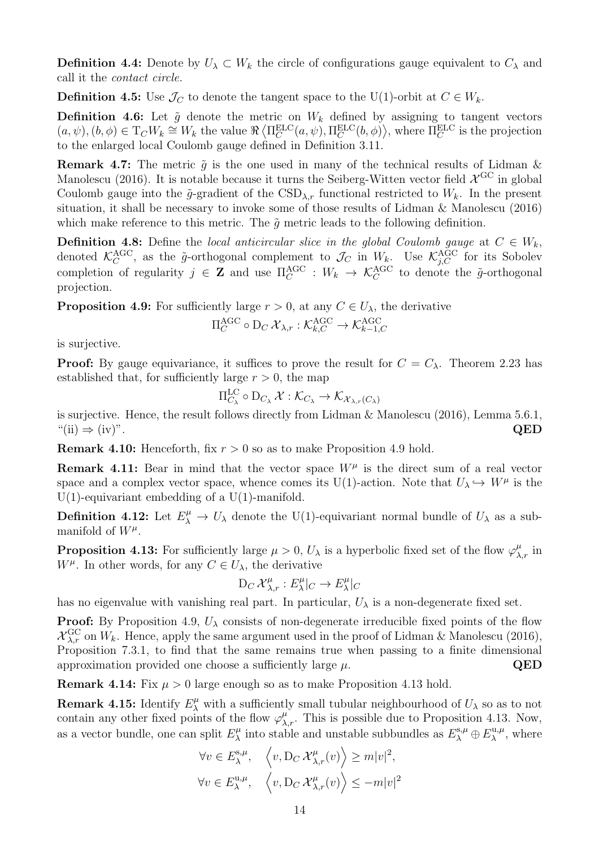**Definition 4.4:** Denote by  $U_{\lambda} \subset W_k$  the circle of configurations gauge equivalent to  $C_{\lambda}$  and call it the contact circle.

**Definition 4.5:** Use  $\mathcal{J}_C$  to denote the tangent space to the U(1)-orbit at  $C \in W_k$ .

**Definition 4.6:** Let  $\tilde{g}$  denote the metric on  $W_k$  defined by assigning to tangent vectors  $(a, \psi), (b, \phi) \in T_C W_k \cong W_k$  the value  $\Re \left\langle \Pi_C^{\text{ELC}}(a, \psi), \Pi_C^{\text{ELC}}(b, \phi) \right\rangle$ , where  $\Pi_C^{\text{ELC}}$  is the projection to the enlarged local Coulomb gauge defined in Definition 3.11.

**Remark 4.7:** The metric  $\tilde{g}$  is the one used in many of the technical results of Lidman & Manolescu (2016). It is notable because it turns the Seiberg-Witten vector field  $\chi^{\text{GC}}$  in global Coulomb gauge into the  $\tilde{q}$ -gradient of the CSD<sub> $\lambda$ r</sub> functional restricted to  $W_k$ . In the present situation, it shall be necessary to invoke some of those results of Lidman & Manolescu (2016) which make reference to this metric. The  $\tilde{q}$  metric leads to the following definition.

**Definition 4.8:** Define the local anticircular slice in the global Coulomb gauge at  $C \in W_k$ , denoted  $\mathcal{K}_C^{\text{AGC}}$ , as the  $\tilde{g}$ -orthogonal complement to  $\mathcal{J}_C$  in  $W_k$ . Use  $\mathcal{K}_{j,C}^{\text{AGC}}$  for its Sobolev completion of regularity  $j \in \mathbf{Z}$  and use  $\Pi_C^{\text{AGC}} : W_k \to \mathcal{K}_C^{\text{AGC}}$  to denote the  $\tilde{g}$ -orthogonal projection.

**Proposition 4.9:** For sufficiently large  $r > 0$ , at any  $C \in U_\lambda$ , the derivative

$$
\Pi_C^{\rm AGC} \circ D_C \, \mathcal{X}_{\lambda,r} : \mathcal{K}_{k,C}^{\rm AGC} \to \mathcal{K}_{k-1,C}^{\rm AGC}
$$

is surjective.

**Proof:** By gauge equivariance, it suffices to prove the result for  $C = C_{\lambda}$ . Theorem 2.23 has established that, for sufficiently large  $r > 0$ , the map

$$
\Pi_{C_{\lambda}}^{\mathrm{LC}} \circ \mathrm{D}_{C_{\lambda}} \mathcal{X} : \mathcal{K}_{C_{\lambda}} \to \mathcal{K}_{\mathcal{X}_{\lambda,r}(C_{\lambda})}
$$

is surjective. Hence, the result follows directly from Lidman & Manolescu (2016), Lemma 5.6.1,  $\text{QED}$   $\text{QED}$ 

**Remark 4.10:** Henceforth, fix  $r > 0$  so as to make Proposition 4.9 hold.

**Remark 4.11:** Bear in mind that the vector space  $W^{\mu}$  is the direct sum of a real vector space and a complex vector space, whence comes its U(1)-action. Note that  $U_{\lambda} \hookrightarrow W^{\mu}$  is the  $U(1)$ -equivariant embedding of a  $U(1)$ -manifold.

**Definition 4.12:** Let  $E^{\mu}_{\lambda} \to U_{\lambda}$  denote the U(1)-equivariant normal bundle of  $U_{\lambda}$  as a submanifold of  $W^{\mu}$ .

**Proposition 4.13:** For sufficiently large  $\mu > 0$ ,  $U_{\lambda}$  is a hyperbolic fixed set of the flow  $\varphi_{\lambda,r}^{\mu}$  in  $W^{\mu}$ . In other words, for any  $C \in U_{\lambda}$ , the derivative

$$
\mathrm{D}_C\, \mathcal{X}_{\lambda,r}^{\mu}: E_{\lambda}^{\mu}|_C \to E_{\lambda}^{\mu}|_C
$$

has no eigenvalue with vanishing real part. In particular,  $U_{\lambda}$  is a non-degenerate fixed set.

**Proof:** By Proposition 4.9,  $U_{\lambda}$  consists of non-degenerate irreducible fixed points of the flow  $\mathcal{X}_{\lambda,r}^{\text{GC}}$  on  $W_k$ . Hence, apply the same argument used in the proof of Lidman & Manolescu (2016), Proposition 7.3.1, to find that the same remains true when passing to a finite dimensional approximation provided one choose a sufficiently large  $\mu$ . QED

**Remark 4.14:** Fix  $\mu > 0$  large enough so as to make Proposition 4.13 hold.

**Remark 4.15:** Identify  $E^{\mu}_{\lambda}$  with a sufficiently small tubular neighbourhood of  $U_{\lambda}$  so as to not contain any other fixed points of the flow  $\varphi_{\lambda,r}^{\mu}$ . This is possible due to Proposition 4.13. Now, as a vector bundle, one can split  $E_{\lambda}^{\mu}$  $L_{\lambda}^{\mu}$  into stable and unstable subbundles as  $E_{\lambda}^{\text{s},\mu} \oplus E_{\lambda}^{\text{u},\mu}$  $\lambda^{\mathbf{u},\mu}$ , where

$$
\forall v \in E_{\lambda}^{\mathbf{s},\mu}, \quad \left\langle v, \mathbf{D}_C \, \mathcal{X}_{\lambda,r}^{\mu}(v) \right\rangle \ge m|v|^2,
$$
  

$$
\forall v \in E_{\lambda}^{\mathbf{u},\mu}, \quad \left\langle v, \mathbf{D}_C \, \mathcal{X}_{\lambda,r}^{\mu}(v) \right\rangle \le -m|v|^2
$$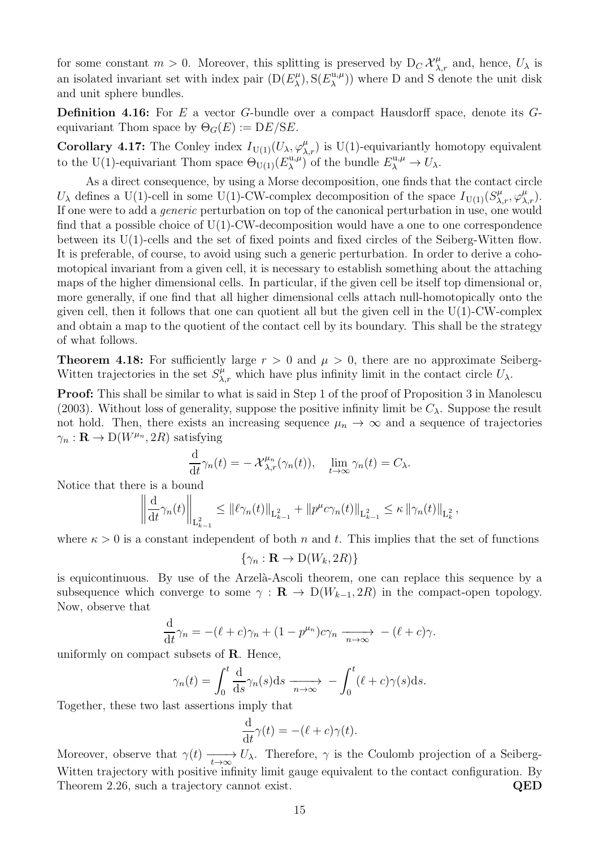for some constant  $m > 0$ . Moreover, this splitting is preserved by  $D_C \mathcal{X}_{\lambda,r}^{\mu}$  and, hence,  $U_{\lambda}$  is an isolated invariant set with index pair  $(D(E_{\lambda}^{\mu}))$  $_{\lambda}^{\mu}$ ), S( $E_{\lambda}^{\text{u},\mu}$  $\lambda^{u,\mu}$ ) where D and S denote the unit disk and unit sphere bundles.

**Definition 4.16:** For E a vector G-bundle over a compact Hausdorff space, denote its  $G$ equivariant Thom space by  $\Theta_G(E) := DE/SE$ .

**Corollary 4.17:** The Conley index  $I_{U(1)}(U_\lambda, \varphi_{\lambda,r}^{\mu})$  is U(1)-equivariantly homotopy equivalent to the U(1)-equivariant Thom space  $\Theta_{\mathrm{U(1)}}(E_{\lambda}^{\mathrm{u},\mu})$  $(\lambda^{\mathbf{u},\mu})$  of the bundle  $E_{\lambda}^{\mathbf{u},\mu} \to U_{\lambda}$ .

As a direct consequence, by using a Morse decomposition, one finds that the contact circle  $U_{\lambda}$  defines a U(1)-cell in some U(1)-CW-complex decomposition of the space  $I_{U(1)}(S^{\mu}_{\lambda,r}, \varphi^{\mu}_{\lambda,r}).$ If one were to add a generic perturbation on top of the canonical perturbation in use, one would find that a possible choice of  $U(1)$ -CW-decomposition would have a one to one correspondence between its  $U(1)$ -cells and the set of fixed points and fixed circles of the Seiberg-Witten flow. It is preferable, of course, to avoid using such a generic perturbation. In order to derive a cohomotopical invariant from a given cell, it is necessary to establish something about the attaching maps of the higher dimensional cells. In particular, if the given cell be itself top dimensional or, more generally, if one find that all higher dimensional cells attach null-homotopically onto the given cell, then it follows that one can quotient all but the given cell in the  $U(1)$ -CW-complex and obtain a map to the quotient of the contact cell by its boundary. This shall be the strategy of what follows.

**Theorem 4.18:** For sufficiently large  $r > 0$  and  $\mu > 0$ , there are no approximate Seiberg-Witten trajectories in the set  $S^{\mu}_{\lambda,r}$  which have plus infinity limit in the contact circle  $U_{\lambda}$ .

Proof: This shall be similar to what is said in Step 1 of the proof of Proposition 3 in Manolescu (2003). Without loss of generality, suppose the positive infinity limit be  $C_{\lambda}$ . Suppose the result not hold. Then, there exists an increasing sequence  $\mu_n \to \infty$  and a sequence of trajectories  $\gamma_n : \mathbf{R} \to D(W^{\mu_n}, 2R)$  satisfying

$$
\frac{\mathrm{d}}{\mathrm{d}t}\gamma_n(t)=-\mathcal{X}_{\lambda,r}^{\mu_n}(\gamma_n(t)),\quad \lim_{t\to\infty}\gamma_n(t)=C_\lambda.
$$

Notice that there is a bound

$$
\left\|\frac{d}{dt}\gamma_n(t)\right\|_{L^2_{k-1}} \leq \left\|\ell\gamma_n(t)\right\|_{L^2_{k-1}} + \left\|p^{\mu}c\gamma_n(t)\right\|_{L^2_{k-1}} \leq \kappa \left\|\gamma_n(t)\right\|_{L^2_{k}},
$$

where  $\kappa > 0$  is a constant independent of both n and t. This implies that the set of functions

$$
\{\gamma_n : \mathbf{R} \to \mathrm{D}(W_k, 2R)\}
$$

is equicontinuous. By use of the Arzelà-Ascoli theorem, one can replace this sequence by a subsequence which converge to some  $\gamma : \mathbf{R} \to D(W_{k-1}, 2R)$  in the compact-open topology. Now, observe that

$$
\frac{\mathrm{d}}{\mathrm{d}t}\gamma_n = -(\ell + c)\gamma_n + (1 - p^{\mu_n})c\gamma_n \xrightarrow[n \to \infty]{} - (\ell + c)\gamma.
$$

uniformly on compact subsets of R. Hence,

$$
\gamma_n(t) = \int_0^t \frac{d}{ds} \gamma_n(s) ds \xrightarrow[n \to \infty]{} - \int_0^t (\ell + c) \gamma(s) ds.
$$

Together, these two last assertions imply that

$$
\frac{\mathrm{d}}{\mathrm{d}t}\gamma(t) = -(\ell + c)\gamma(t).
$$

Moreover, observe that  $\gamma(t) \longrightarrow U_{\lambda}$ . Therefore,  $\gamma$  is the Coulomb projection of a Seiberg-Witten trajectory with positive infinity limit gauge equivalent to the contact configuration. By Theorem 2.26, such a trajectory cannot exist. QED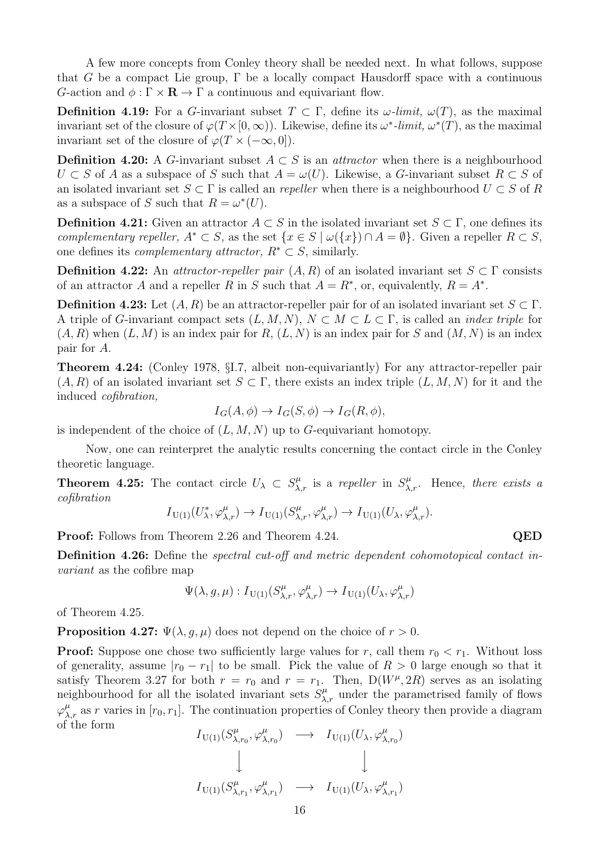A few more concepts from Conley theory shall be needed next. In what follows, suppose that G be a compact Lie group,  $\Gamma$  be a locally compact Hausdorff space with a continuous G-action and  $\phi : \Gamma \times \mathbf{R} \to \Gamma$  a continuous and equivariant flow.

Definition 4.19: For a G-invariant subset  $T \subset \Gamma$ , define its  $\omega$ -limit,  $\omega(T)$ , as the maximal invariant set of the closure of  $\varphi(T \times [0, \infty))$ . Likewise, define its  $\omega^*$ -limit,  $\omega^*(T)$ , as the maximal invariant set of the closure of  $\varphi(T \times (-\infty, 0)).$ 

**Definition 4.20:** A G-invariant subset  $A \subset S$  is an *attractor* when there is a neighbourhood  $U \subset S$  of A as a subspace of S such that  $A = \omega(U)$ . Likewise, a G-invariant subset  $R \subset S$  of an isolated invariant set  $S \subset \Gamma$  is called an *repeller* when there is a neighbourhood  $U \subset S$  of R as a subspace of S such that  $R = \omega^*(U)$ .

**Definition 4.21:** Given an attractor  $A \subset S$  in the isolated invariant set  $S \subset \Gamma$ , one defines its complementary repeller,  $A^* \subset S$ , as the set  $\{x \in S \mid \omega(\{x\}) \cap A = \emptyset\}$ . Given a repeller  $R \subset S$ , one defines its *complementary attractor*,  $R^* \subset S$ , similarly.

**Definition 4.22:** An *attractor-repeller pair*  $(A, R)$  of an isolated invariant set  $S \subset \Gamma$  consists of an attractor A and a repeller R in S such that  $A = R^*$ , or, equivalently,  $R = A^*$ .

**Definition 4.23:** Let  $(A, R)$  be an attractor-repeller pair for of an isolated invariant set  $S \subset \Gamma$ . A triple of G-invariant compact sets  $(L, M, N)$ ,  $N \subset M \subset L \subset \Gamma$ , is called an *index triple* for  $(A, R)$  when  $(L, M)$  is an index pair for R,  $(L, N)$  is an index pair for S and  $(M, N)$  is an index pair for A.

Theorem 4.24: (Conley 1978, §I.7, albeit non-equivariantly) For any attractor-repeller pair  $(A, R)$  of an isolated invariant set  $S \subset \Gamma$ , there exists an index triple  $(L, M, N)$  for it and the induced cofibration,

$$
I_G(A, \phi) \to I_G(S, \phi) \to I_G(R, \phi),
$$

is independent of the choice of  $(L, M, N)$  up to G-equivariant homotopy.

Now, one can reinterpret the analytic results concerning the contact circle in the Conley theoretic language.

**Theorem 4.25:** The contact circle  $U_{\lambda} \subset S_{\lambda,r}^{\mu}$  is a repeller in  $S_{\lambda,r}^{\mu}$ . Hence, there exists a cofibration

$$
I_{\mathrm{U}(1)}(U^*_{\lambda}, \varphi^{\mu}_{\lambda, r}) \to I_{\mathrm{U}(1)}(S^{\mu}_{\lambda, r}, \varphi^{\mu}_{\lambda, r}) \to I_{\mathrm{U}(1)}(U_{\lambda}, \varphi^{\mu}_{\lambda, r}).
$$

**Proof:** Follows from Theorem 2.26 and Theorem 4.24. QED

Definition 4.26: Define the spectral cut-off and metric dependent cohomotopical contact invariant as the cofibre map

$$
\Psi(\lambda,g,\mu):I_{\mathrm{U}(1)}(S_{\lambda,r}^\mu,\varphi_{\lambda,r}^\mu)\to I_{\mathrm{U}(1)}(U_\lambda,\varphi_{\lambda,r}^\mu)
$$

of Theorem 4.25.

**Proposition 4.27:**  $\Psi(\lambda, g, \mu)$  does not depend on the choice of  $r > 0$ .

**Proof:** Suppose one chose two sufficiently large values for r, call them  $r_0 < r_1$ . Without loss of generality, assume  $|r_0 - r_1|$  to be small. Pick the value of  $R > 0$  large enough so that it satisfy Theorem 3.27 for both  $r = r_0$  and  $r = r_1$ . Then,  $D(W^{\mu}, 2R)$  serves as an isolating neighbourhood for all the isolated invariant sets  $S^{\mu}_{\lambda,r}$  under the parametrised family of flows  $\varphi_{\lambda,r}^{\mu}$  as r varies in  $[r_0, r_1]$ . The continuation properties of Conley theory then provide a diagram of the form

$$
I_{\mathrm{U}(1)}(S_{\lambda,r_0}^{\mu}, \varphi_{\lambda,r_0}^{\mu}) \longrightarrow I_{\mathrm{U}(1)}(U_{\lambda}, \varphi_{\lambda,r_0}^{\mu})
$$
  
\n
$$
\downarrow \qquad \qquad \downarrow
$$
  
\n
$$
I_{\mathrm{U}(1)}(S_{\lambda,r_1}^{\mu}, \varphi_{\lambda,r_1}^{\mu}) \longrightarrow I_{\mathrm{U}(1)}(U_{\lambda}, \varphi_{\lambda,r_1}^{\mu})
$$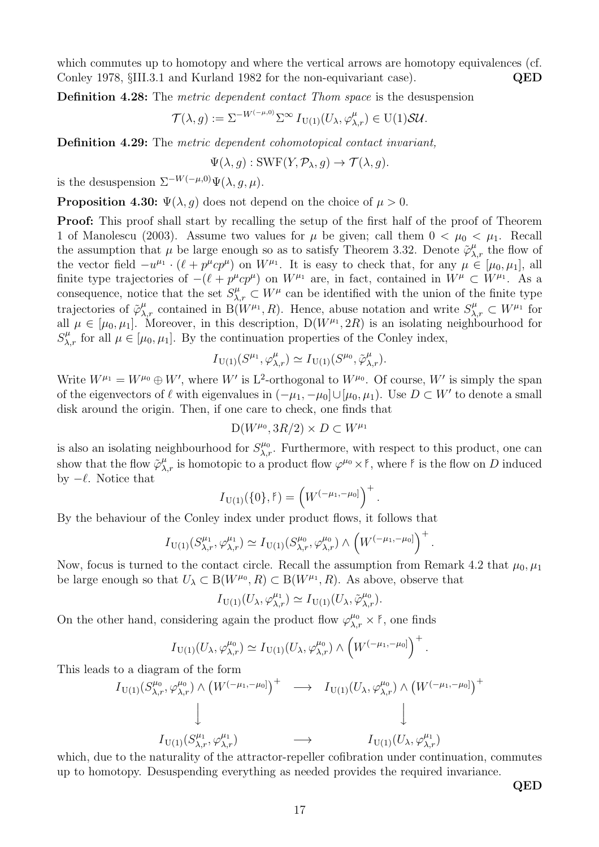which commutes up to homotopy and where the vertical arrows are homotopy equivalences (cf. Conley 1978, §III.3.1 and Kurland 1982 for the non-equivariant case). QED

Definition 4.28: The metric dependent contact Thom space is the desuspension

$$
\mathcal{T}(\lambda, g) := \Sigma^{-W^{(-\mu, 0)}} \Sigma^{\infty} I_{U(1)}(U_{\lambda}, \varphi_{\lambda, r}^{\mu}) \in U(1) \mathcal{SU}.
$$

Definition 4.29: The metric dependent cohomotopical contact invariant,

$$
\Psi(\lambda, g) : SWF(Y, \mathcal{P}_{\lambda}, g) \to \mathcal{T}(\lambda, g).
$$

is the desuspension  $\Sigma^{-W(-\mu,0)}\Psi(\lambda, q, \mu)$ .

**Proposition 4.30:**  $\Psi(\lambda, q)$  does not depend on the choice of  $\mu > 0$ .

Proof: This proof shall start by recalling the setup of the first half of the proof of Theorem 1 of Manolescu (2003). Assume two values for  $\mu$  be given; call them  $0 < \mu_0 < \mu_1$ . Recall the assumption that  $\mu$  be large enough so as to satisfy Theorem 3.32. Denote  $\tilde{\varphi}_{\lambda,r}^{\mu}$  the flow of the vector field  $-u^{\mu_1} \cdot (\ell + p^{\mu} c p^{\mu})$  on  $W^{\mu_1}$ . It is easy to check that, for any  $\mu \in [\mu_0, \mu_1]$ , all finite type trajectories of  $-(\ell + p^{\mu}cp^{\mu})$  on  $W^{\mu_1}$  are, in fact, contained in  $W^{\mu} \subset W^{\mu_1}$ . As a consequence, notice that the set  $S_{\lambda,r}^{\mu} \subset W^{\mu}$  can be identified with the union of the finite type trajectories of  $\tilde{\varphi}_{\lambda,r}^{\mu}$  contained in B( $W^{\mu_1}, R$ ). Hence, abuse notation and write  $S_{\lambda,r}^{\mu} \subset W^{\mu_1}$  for all  $\mu \in [\mu_0, \mu_1]$ . Moreover, in this description,  $D(W^{\mu_1}, 2R)$  is an isolating neighbourhood for  $S^{\mu}_{\lambda,r}$  for all  $\mu \in [\mu_0, \mu_1]$ . By the continuation properties of the Conley index,

$$
I_{\mathrm{U}(1)}(S^{\mu_1}, \varphi_{\lambda,r}^{\mu}) \simeq I_{\mathrm{U}(1)}(S^{\mu_0}, \tilde{\varphi}_{\lambda,r}^{\mu}).
$$

Write  $W^{\mu_1} = W^{\mu_0} \oplus W'$ , where W' is L<sup>2</sup>-orthogonal to  $W^{\mu_0}$ . Of course, W' is simply the span of the eigenvectors of  $\ell$  with eigenvalues in  $(-\mu_1, -\mu_0] \cup [\mu_0, \mu_1)$ . Use  $D \subset W'$  to denote a small disk around the origin. Then, if one care to check, one finds that

$$
\mathrm{D}(W^{\mu_0},3R/2)\times D\subset W^{\mu_1}
$$

is also an isolating neighbourhood for  $S_{\lambda,r}^{\mu_0}$ . Furthermore, with respect to this product, one can show that the flow  $\tilde{\varphi}_{\lambda,r}^{\mu}$  is homotopic to a product flow  $\varphi^{\mu_0} \times f$ , where  $f$  is the flow on D induced by  $-\ell$ . Notice that

$$
I_{\mathrm{U}(1)}(\{0\},\mathfrak{k})=\left(W^{(-\mu_1,-\mu_0]}\right)^+.
$$

By the behaviour of the Conley index under product flows, it follows that

$$
I_{\mathrm{U}(1)}(S^{\mu_1}_{\lambda,r}, \varphi^{\mu_1}_{\lambda,r}) \simeq I_{\mathrm{U}(1)}(S^{\mu_0}_{\lambda,r}, \varphi^{\mu_0}_{\lambda,r}) \wedge \left(W^{(-\mu_1, -\mu_0]}\right)^+
$$

.

Now, focus is turned to the contact circle. Recall the assumption from Remark 4.2 that  $\mu_0$ ,  $\mu_1$ be large enough so that  $U_{\lambda} \subset B(W^{\mu_0}, R) \subset B(W^{\mu_1}, R)$ . As above, observe that

$$
I_{\mathrm{U}(1)}(U_{\lambda},\varphi_{\lambda,r}^{\mu_1})\simeq I_{\mathrm{U}(1)}(U_{\lambda},\tilde{\varphi}_{\lambda,r}^{\mu_0}).
$$

On the other hand, considering again the product flow  $\varphi_{\lambda,r}^{\mu_0} \times \mathfrak{k}$ , one finds

$$
I_{\mathrm{U}(1)}(U_{\lambda},\varphi_{\lambda,r}^{\mu_0}) \simeq I_{\mathrm{U}(1)}(U_{\lambda},\varphi_{\lambda,r}^{\mu_0}) \wedge \left(W^{(-\mu_1,-\mu_0]}\right)^+.
$$

This leads to a diagram of the form

$$
I_{\mathrm{U}(1)}(S^{\mu_0}_{\lambda,r},\varphi^{\mu_0}_{\lambda,r}) \wedge \left(W^{(-\mu_1,-\mu_0]}\right)^+ \longrightarrow I_{\mathrm{U}(1)}(U_{\lambda},\varphi^{\mu_0}_{\lambda,r}) \wedge \left(W^{(-\mu_1,-\mu_0]}\right)^+ \downarrow
$$
  

$$
I_{\mathrm{U}(1)}(S^{\mu_1}_{\lambda,r},\varphi^{\mu_1}_{\lambda,r}) \longrightarrow I_{\mathrm{U}(1)}(U_{\lambda},\varphi^{\mu_1}_{\lambda,r})
$$

which, due to the naturality of the attractor-repeller cofibration under continuation, commutes up to homotopy. Desuspending everything as needed provides the required invariance.

QED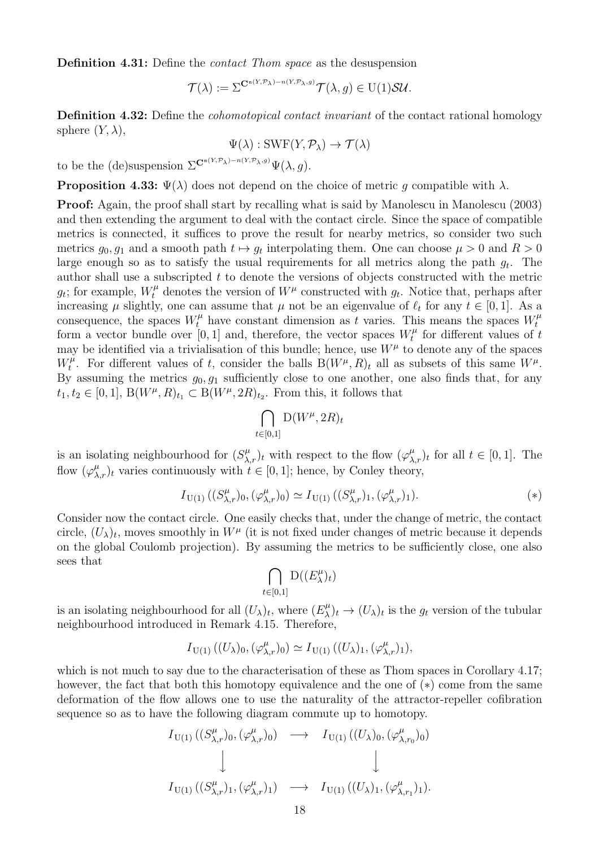Definition 4.31: Define the contact Thom space as the desuspension

$$
\mathcal{T}(\lambda) := \Sigma^{\mathbf{C}^{n(Y,\mathcal{P}_{\lambda})-n(Y,\mathcal{P}_{\lambda},g)}} \mathcal{T}(\lambda,g) \in U(1)\mathcal{SU}.
$$

Definition 4.32: Define the *cohomotopical contact invariant* of the contact rational homology sphere  $(Y, \lambda)$ ,

$$
\Psi(\lambda) : \text{SWF}(Y, \mathcal{P}_\lambda) \to \mathcal{T}(\lambda)
$$

to be the (de)suspension  $\Sigma^{\mathbf{C}^{n(Y,\mathcal{P}_\lambda)-n(Y,\mathcal{P}_\lambda,g)}}\Psi(\lambda,g)$ .

**Proposition 4.33:**  $\Psi(\lambda)$  does not depend on the choice of metric g compatible with  $\lambda$ .

Proof: Again, the proof shall start by recalling what is said by Manolescu in Manolescu (2003) and then extending the argument to deal with the contact circle. Since the space of compatible metrics is connected, it suffices to prove the result for nearby metrics, so consider two such metrics  $g_0, g_1$  and a smooth path  $t \mapsto g_t$  interpolating them. One can choose  $\mu > 0$  and  $R > 0$ large enough so as to satisfy the usual requirements for all metrics along the path  $g_t$ . The author shall use a subscripted  $t$  to denote the versions of objects constructed with the metric  $g_t$ ; for example,  $W_t^{\mu}$  denotes the version of  $W^{\mu}$  constructed with  $g_t$ . Notice that, perhaps after increasing  $\mu$  slightly, one can assume that  $\mu$  not be an eigenvalue of  $\ell_t$  for any  $t \in [0,1]$ . As a consequence, the spaces  $W_t^{\mu}$  have constant dimension as t varies. This means the spaces  $W_t^{\mu}$ t form a vector bundle over [0, 1] and, therefore, the vector spaces  $W_t^{\mu}$  $t_t^{\mu}$  for different values of t may be identified via a trivialisation of this bundle; hence, use  $W^{\mu}$  to denote any of the spaces  $W_t^{\mu}$  $t^{\mu}$ . For different values of t, consider the balls  $B(W^{\mu}, R)$ <sub>t</sub> all as subsets of this same  $W^{\mu}$ . By assuming the metrics  $g_0, g_1$  sufficiently close to one another, one also finds that, for any  $t_1, t_2 \in [0, 1], B(W^{\mu}, R)_{t_1} \subset B(W^{\mu}, 2R)_{t_2}$ . From this, it follows that

$$
\bigcap_{t \in [0,1]} \mathcal{D}(W^{\mu}, 2R)_t
$$

is an isolating neighbourhood for  $(S_{\lambda,r}^{\mu})_t$  with respect to the flow  $(\varphi_{\lambda,r}^{\mu})_t$  for all  $t \in [0,1]$ . The flow  $(\varphi_{\lambda,r}^{\mu})_t$  varies continuously with  $t \in [0,1]$ ; hence, by Conley theory,

$$
I_{\mathrm{U}(1)}\left( (S^{\mu}_{\lambda,r})_0, (\varphi^{\mu}_{\lambda,r})_0 \right) \simeq I_{\mathrm{U}(1)}\left( (S^{\mu}_{\lambda,r})_1, (\varphi^{\mu}_{\lambda,r})_1 \right). \tag{*}
$$

Consider now the contact circle. One easily checks that, under the change of metric, the contact circle,  $(U_\lambda)_t$ , moves smoothly in  $W^\mu$  (it is not fixed under changes of metric because it depends on the global Coulomb projection). By assuming the metrics to be sufficiently close, one also sees that

$$
\bigcap_{t \in [0,1]} \mathcal{D}((E_{\lambda}^{\mu})_t)
$$

is an isolating neighbourhood for all  $(U_\lambda)_t$ , where  $(E_\lambda^\mu)$  $(\mu)$ <sub> $\lambda$ </sub> $(t)$ <sub> $\rightarrow$ </sub>  $(U_{\lambda})$ <sub>*t*</sub> is the *g<sub>t</sub>* version of the tubular neighbourhood introduced in Remark 4.15. Therefore,

$$
I_{\mathrm{U}(1)}((U_{\lambda})_0,(\varphi^{\mu}_{\lambda,r})_0) \simeq I_{\mathrm{U}(1)}((U_{\lambda})_1,(\varphi^{\mu}_{\lambda,r})_1),
$$

which is not much to say due to the characterisation of these as Thom spaces in Corollary 4.17; however, the fact that both this homotopy equivalence and the one of  $(*)$  come from the same deformation of the flow allows one to use the naturality of the attractor-repeller cofibration sequence so as to have the following diagram commute up to homotopy.

$$
I_{\mathrm{U}(1)}((S^{\mu}_{\lambda,r})_0,(\varphi^{\mu}_{\lambda,r})_0) \longrightarrow I_{\mathrm{U}(1)}((U_{\lambda})_0,(\varphi^{\mu}_{\lambda,r_0})_0)
$$
  
\n
$$
\downarrow \qquad \qquad \downarrow
$$
  
\n
$$
I_{\mathrm{U}(1)}((S^{\mu}_{\lambda,r})_1,(\varphi^{\mu}_{\lambda,r})_1) \longrightarrow I_{\mathrm{U}(1)}((U_{\lambda})_1,(\varphi^{\mu}_{\lambda,r_1})_1).
$$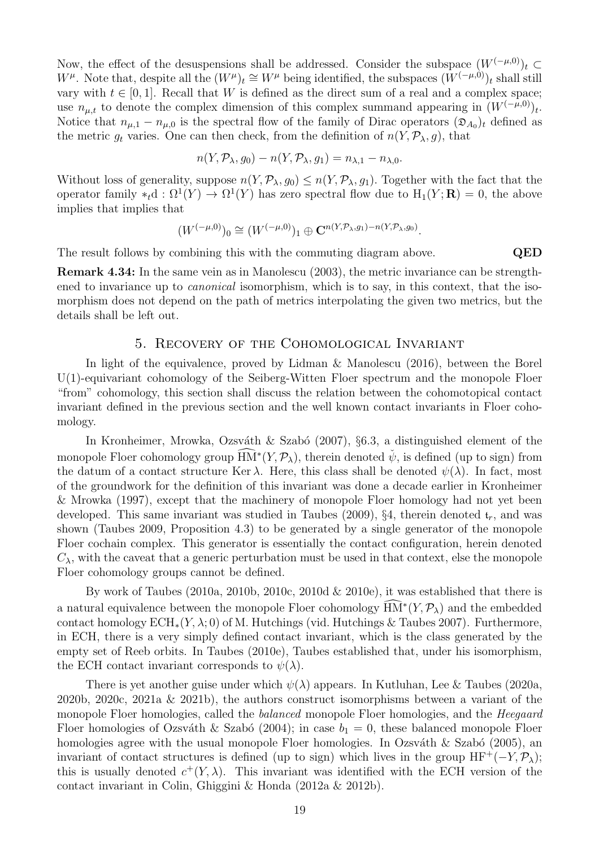Now, the effect of the desuspensions shall be addressed. Consider the subspace  $(W^{(-\mu,0)})_t \subset$ W<sup> $\mu$ </sup>. Note that, despite all the  $(W^{\mu})_t \cong W^{\mu}$  being identified, the subspaces  $(W^{(-\mu,0)})_t$  shall still vary with  $t \in [0, 1]$ . Recall that W is defined as the direct sum of a real and a complex space; use  $n_{\mu,t}$  to denote the complex dimension of this complex summand appearing in  $(W^{(-\mu,0)})_t$ . Notice that  $n_{\mu,1} - n_{\mu,0}$  is the spectral flow of the family of Dirac operators  $(\mathfrak{D}_{A_0})_t$  defined as the metric  $g_t$  varies. One can then check, from the definition of  $n(Y, \mathcal{P}_\lambda, g)$ , that

$$
n(Y, \mathcal{P}_{\lambda}, g_0) - n(Y, \mathcal{P}_{\lambda}, g_1) = n_{\lambda,1} - n_{\lambda,0}.
$$

Without loss of generality, suppose  $n(Y, \mathcal{P}_\lambda, g_0) \leq n(Y, \mathcal{P}_\lambda, g_1)$ . Together with the fact that the operator family \*<sub>t</sub>d :  $\Omega^1(Y) \to \Omega^1(Y)$  has zero spectral flow due to  $H_1(Y; \mathbf{R}) = 0$ , the above implies that implies that

$$
(W^{(-\mu,0)})_0 \cong (W^{(-\mu,0)})_1 \oplus \mathbf{C}^{n(Y,\mathcal{P}_{\lambda},g_1)-n(Y,\mathcal{P}_{\lambda},g_0)}.
$$

The result follows by combining this with the commuting diagram above. QED

Remark 4.34: In the same vein as in Manolescu (2003), the metric invariance can be strengthened to invariance up to *canonical* isomorphism, which is to say, in this context, that the isomorphism does not depend on the path of metrics interpolating the given two metrics, but the details shall be left out.

#### 5. Recovery of the Cohomological Invariant

In light of the equivalence, proved by Lidman & Manolescu (2016), between the Borel U(1)-equivariant cohomology of the Seiberg-Witten Floer spectrum and the monopole Floer "from" cohomology, this section shall discuss the relation between the cohomotopical contact invariant defined in the previous section and the well known contact invariants in Floer cohomology.

In Kronheimer, Mrowka, Ozsváth & Szabó (2007),  $\S6.3$ , a distinguished element of the monopole Floer cohomology group  $\widehat{HM}^*(Y,\mathcal{P}_\lambda)$ , therein denoted  $\check{\psi}$ , is defined (up to sign) from the datum of a contact structure Ker  $\lambda$ . Here, this class shall be denoted  $\psi(\lambda)$ . In fact, most of the groundwork for the definition of this invariant was done a decade earlier in Kronheimer & Mrowka (1997), except that the machinery of monopole Floer homology had not yet been developed. This same invariant was studied in Taubes (2009), §4, therein denoted  $t_r$ , and was shown (Taubes 2009, Proposition 4.3) to be generated by a single generator of the monopole Floer cochain complex. This generator is essentially the contact configuration, herein denoted  $C_{\lambda}$ , with the caveat that a generic perturbation must be used in that context, else the monopole Floer cohomology groups cannot be defined.

By work of Taubes (2010a, 2010b, 2010c, 2010d  $& 2010e$ ), it was established that there is a natural equivalence between the monopole Floer cohomology  $\widehat{HM}^*(Y, \mathcal{P}_\lambda)$  and the embedded contact homology  $ECH_*(Y, \lambda; 0)$  of M. Hutchings (vid. Hutchings & Taubes 2007). Furthermore, in ECH, there is a very simply defined contact invariant, which is the class generated by the empty set of Reeb orbits. In Taubes (2010e), Taubes established that, under his isomorphism, the ECH contact invariant corresponds to  $\psi(\lambda)$ .

There is yet another guise under which  $\psi(\lambda)$  appears. In Kutluhan, Lee & Taubes (2020a, 2020b, 2020c, 2021a & 2021b), the authors construct isomorphisms between a variant of the monopole Floer homologies, called the balanced monopole Floer homologies, and the Heegaard Floer homologies of Ozsváth & Szabó (2004); in case  $b_1 = 0$ , these balanced monopole Floer homologies agree with the usual monopole Floer homologies. In Ozsváth  $\&$  Szabó (2005), an invariant of contact structures is defined (up to sign) which lives in the group  $HF^+(-Y, \mathcal{P}_\lambda)$ ; this is usually denoted  $c^+(Y,\lambda)$ . This invariant was identified with the ECH version of the contact invariant in Colin, Ghiggini & Honda (2012a & 2012b).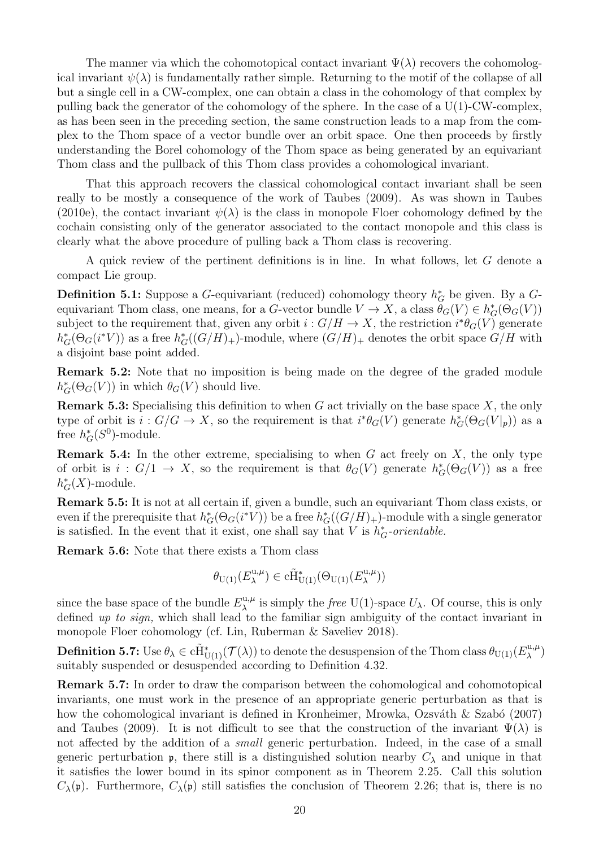The manner via which the cohomotopical contact invariant  $\Psi(\lambda)$  recovers the cohomological invariant  $\psi(\lambda)$  is fundamentally rather simple. Returning to the motif of the collapse of all but a single cell in a CW-complex, one can obtain a class in the cohomology of that complex by pulling back the generator of the cohomology of the sphere. In the case of a  $U(1)$ -CW-complex, as has been seen in the preceding section, the same construction leads to a map from the complex to the Thom space of a vector bundle over an orbit space. One then proceeds by firstly understanding the Borel cohomology of the Thom space as being generated by an equivariant Thom class and the pullback of this Thom class provides a cohomological invariant.

That this approach recovers the classical cohomological contact invariant shall be seen really to be mostly a consequence of the work of Taubes (2009). As was shown in Taubes (2010e), the contact invariant  $\psi(\lambda)$  is the class in monopole Floer cohomology defined by the cochain consisting only of the generator associated to the contact monopole and this class is clearly what the above procedure of pulling back a Thom class is recovering.

A quick review of the pertinent definitions is in line. In what follows, let G denote a compact Lie group.

**Definition 5.1:** Suppose a G-equivariant (reduced) cohomology theory  $h_G^*$  be given. By a Gequivariant Thom class, one means, for a G-vector bundle  $V \to X$ , a class  $\theta_G(V) \in h_G^*(\Theta_G(V))$ subject to the requirement that, given any orbit  $i: G/H \to X$ , the restriction  $i^*\theta_G(V)$  generate  $h_G^*(\Theta_G(i^*V))$  as a free  $h_G^*((G/H)_+)$ -module, where  $(G/H)_+$  denotes the orbit space  $G/H$  with a disjoint base point added.

Remark 5.2: Note that no imposition is being made on the degree of the graded module  $h_G^*(\Theta_G(V))$  in which  $\theta_G(V)$  should live.

**Remark 5.3:** Specialising this definition to when G act trivially on the base space  $X$ , the only type of orbit is  $i : G/G \to X$ , so the requirement is that  $i^*\theta_G(V)$  generate  $h_G^*(\Theta_G(V|_p))$  as a free  $h_G^*(S^0)$ -module.

**Remark 5.4:** In the other extreme, specialising to when G act freely on X, the only type of orbit is  $i: G/1 \to X$ , so the requirement is that  $\theta_G(V)$  generate  $h_G^*(\Theta_G(V))$  as a free  $h_G^*(X)$ -module.

Remark 5.5: It is not at all certain if, given a bundle, such an equivariant Thom class exists, or even if the prerequisite that  $h_G^*(\Theta_G(i^*V))$  be a free  $h_G^*((G/H)_+)$ -module with a single generator is satisfied. In the event that it exist, one shall say that V is  $h_G^*$ -orientable.

Remark 5.6: Note that there exists a Thom class

$$
\theta_{\mathrm{U}(1)}(E^{u,\mu}_\lambda)\in \mathrm{c}\tilde{\mathrm{H}}^*_{\mathrm{U}(1)}(\Theta_{\mathrm{U}(1)}(E^{u,\mu}_\lambda))
$$

since the base space of the bundle  $E_{\lambda}^{\mathrm{u},\mu}$  $\lambda^{\mathfrak{u},\mu}$  is simply the *free* U(1)-space  $U_{\lambda}$ . Of course, this is only defined up to sign, which shall lead to the familiar sign ambiguity of the contact invariant in monopole Floer cohomology (cf. Lin, Ruberman & Saveliev 2018).

**Definition 5.7:** Use  $\theta_{\lambda} \in \tilde{CH}^*_{U(1)}(\mathcal{T}(\lambda))$  to denote the desuspension of the Thom class  $\theta_{U(1)}(E_{\lambda}^{\mathrm{u},\mu})$  $\binom{\mu,\mu}{\lambda}$ suitably suspended or desuspended according to Definition 4.32.

Remark 5.7: In order to draw the comparison between the cohomological and cohomotopical invariants, one must work in the presence of an appropriate generic perturbation as that is how the cohomological invariant is defined in Kronheimer, Mrowka, Ozsváth  $\&$  Szabó (2007) and Taubes (2009). It is not difficult to see that the construction of the invariant  $\Psi(\lambda)$  is not affected by the addition of a small generic perturbation. Indeed, in the case of a small generic perturbation p, there still is a distinguished solution nearby  $C_{\lambda}$  and unique in that it satisfies the lower bound in its spinor component as in Theorem 2.25. Call this solution  $C_{\lambda}(\mathfrak{p})$ . Furthermore,  $C_{\lambda}(\mathfrak{p})$  still satisfies the conclusion of Theorem 2.26; that is, there is no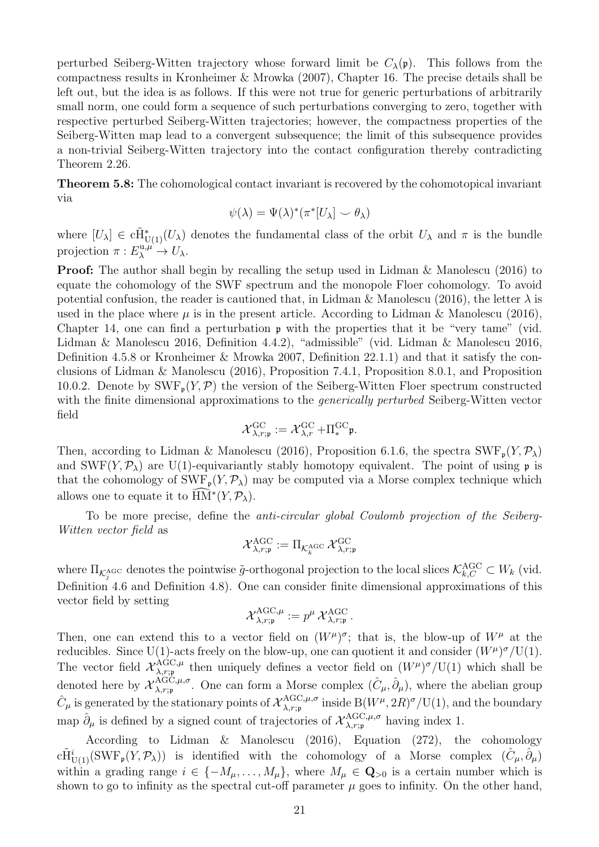perturbed Seiberg-Witten trajectory whose forward limit be  $C_{\lambda}(\mathfrak{p})$ . This follows from the compactness results in Kronheimer & Mrowka (2007), Chapter 16. The precise details shall be left out, but the idea is as follows. If this were not true for generic perturbations of arbitrarily small norm, one could form a sequence of such perturbations converging to zero, together with respective perturbed Seiberg-Witten trajectories; however, the compactness properties of the Seiberg-Witten map lead to a convergent subsequence; the limit of this subsequence provides a non-trivial Seiberg-Witten trajectory into the contact configuration thereby contradicting Theorem 2.26.

Theorem 5.8: The cohomological contact invariant is recovered by the cohomotopical invariant via

$$
\psi(\lambda) = \Psi(\lambda)^*(\pi^*[U_\lambda] \smile \theta_\lambda)
$$

where  $[U_\lambda] \in \tilde{CH}^*_{U(1)}(U_\lambda)$  denotes the fundamental class of the orbit  $U_\lambda$  and  $\pi$  is the bundle projection  $\pi: E_{\lambda}^{\mathbf{u}, \mu} \to U_{\lambda}$ .

Proof: The author shall begin by recalling the setup used in Lidman & Manolescu (2016) to equate the cohomology of the SWF spectrum and the monopole Floer cohomology. To avoid potential confusion, the reader is cautioned that, in Lidman & Manolescu (2016), the letter  $\lambda$  is used in the place where  $\mu$  is in the present article. According to Lidman & Manolescu (2016), Chapter 14, one can find a perturbation p with the properties that it be "very tame" (vid. Lidman & Manolescu 2016, Definition 4.4.2), "admissible" (vid. Lidman & Manolescu 2016, Definition 4.5.8 or Kronheimer & Mrowka 2007, Definition 22.1.1) and that it satisfy the conclusions of Lidman & Manolescu (2016), Proposition 7.4.1, Proposition 8.0.1, and Proposition 10.0.2. Denote by  $\text{SWF}_{p}(Y, \mathcal{P})$  the version of the Seiberg-Witten Floer spectrum constructed with the finite dimensional approximations to the *generically perturbed* Seiberg-Witten vector field

$$
\mathcal{X}_{\lambda, r; \mathfrak{p}}^{\mathrm{GC}} := \mathcal{X}_{\lambda, r}^{\mathrm{GC}} + \Pi_*^{\mathrm{GC}} \mathfrak{p}.
$$

Then, according to Lidman & Manolescu (2016), Proposition 6.1.6, the spectra  $SWF_p(Y, \mathcal{P}_\lambda)$ and SWF( $Y, \mathcal{P}_\lambda$ ) are U(1)-equivariantly stably homotopy equivalent. The point of using p is that the cohomology of  $\text{SWF}_{p}(Y, \mathcal{P}_{\lambda})$  may be computed via a Morse complex technique which allows one to equate it to  $\widehat{\text{HM}}^*(Y, \mathcal{P}_\lambda)$ .

To be more precise, define the anti-circular global Coulomb projection of the Seiberg-Witten vector field as

$$
\mathcal{X}_{\lambda, r; \mathfrak{p}}^{\mathrm{AGC}} := \Pi_{\mathcal{K}^{\mathrm{AGC}}_k} \, \mathcal{X}_{\lambda, r; \mathfrak{p}}^{\mathrm{GC}}
$$

where  $\Pi_{\mathcal{K}^{\text{AGC}}_j}$  denotes the pointwise  $\tilde{g}$ -orthogonal projection to the local slices  $\mathcal{K}^{\text{AGC}}_{k,C} \subset W_k$  (vid. Definition 4.6 and Definition 4.8). One can consider finite dimensional approximations of this vector field by setting

$$
\mathcal{X}_{\lambda,r;\mathfrak{p}}^{\text{AGC},\mu} := p^{\mu} \, \mathcal{X}_{\lambda,r;\mathfrak{p}}^{\text{AGC}} \, .
$$

Then, one can extend this to a vector field on  $(W^{\mu})^{\sigma}$ ; that is, the blow-up of  $W^{\mu}$  at the reducibles. Since U(1)-acts freely on the blow-up, one can quotient it and consider  $(W^{\mu})^{\sigma}/U(1)$ . The vector field  $\mathcal{X}_{\lambda,r;\mathfrak{p}}^{\text{AGC},\mu}$  $\lambda_{\alpha;\mu}^{\text{AGC},\mu}$  then uniquely defines a vector field on  $(W^{\mu})^{\sigma}/U(1)$  which shall be denoted here by  ${\mathcal X}_{\lambda, r; \mathfrak{p}}^{\text{AGC}, \mu, \sigma}$  ${}_{\lambda,r;\mathfrak{p}}^{\text{AGC},\mu,\sigma}$ . One can form a Morse complex  $(\hat{C}_{\mu}, \hat{\partial}_{\mu}),$  where the abelian group  $\hat{C}_{\mu}$  is generated by the stationary points of  ${\cal X}_{\lambda, r; \mathfrak{p}}^{\text{AGC}, \mu, \sigma}$  ${}_{\lambda,r;\mathfrak{p}}^{\rm AGC,\mu,\sigma}$  inside  ${\rm B}(W^\mu,2R)^\sigma/{\rm U}(1),$  and the boundary map  $\hat{\partial}_{\mu}$  is defined by a signed count of trajectories of  $\mathcal{X}_{\lambda,r;\mathfrak{p}}^{\text{AGC},\mu,\sigma}$  $\lim_{\lambda,r;\mathfrak{p}} \text{AUSL}, \mu, \sigma$  having index 1.

According to Lidman & Manolescu (2016), Equation (272), the cohomology  $c\tilde{H}^i_{U(1)}(SWF_{\mathfrak{p}}(Y,\mathcal{P}_\lambda))$  is identified with the cohomology of a Morse complex  $(\hat{C}_{\mu},\hat{\partial}_{\mu})$ within a grading range  $i \in \{-M_\mu, \ldots, M_\mu\}$ , where  $M_\mu \in \mathbf{Q}_{>0}$  is a certain number which is shown to go to infinity as the spectral cut-off parameter  $\mu$  goes to infinity. On the other hand,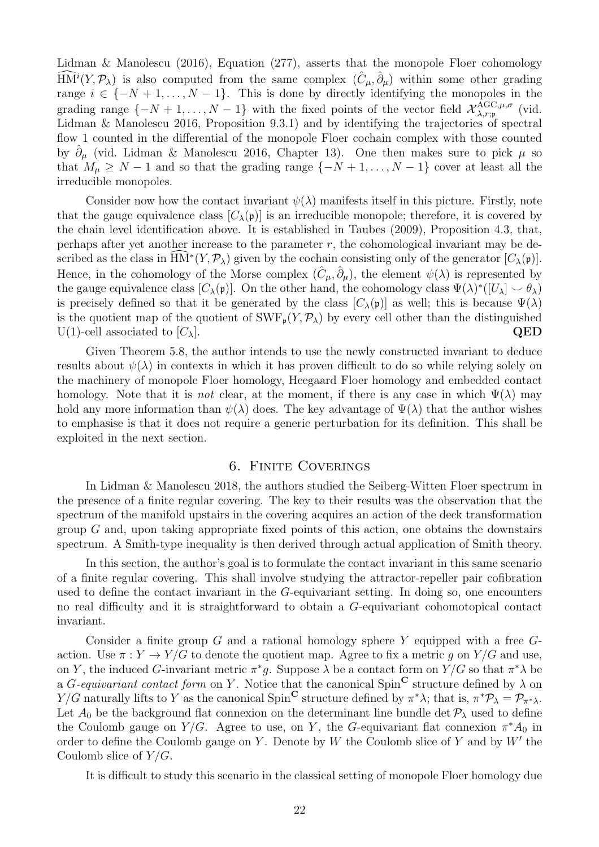Lidman & Manolescu (2016), Equation (277), asserts that the monopole Floer cohomology  $\widehat{HM}^i(Y,\mathcal{P}_\lambda)$  is also computed from the same complex  $(\hat{C}_{\mu},\hat{\partial}_{\mu})$  within some other grading range  $i \in \{-N+1,\ldots,N-1\}$ . This is done by directly identifying the monopoles in the grading range  $\{-N+1,\ldots,N-1\}$  with the fixed points of the vector field  $\mathcal{X}_{\lambda,r;\mathfrak{p}}^{\text{AGC},\mu,\sigma}$  $\lambda, r; \mathfrak{p}$  (vid. Lidman & Manolescu 2016, Proposition 9.3.1) and by identifying the trajectories of spectral flow 1 counted in the differential of the monopole Floer cochain complex with those counted by  $\partial_{\mu}$  (vid. Lidman & Manolescu 2016, Chapter 13). One then makes sure to pick  $\mu$  so that  $M_{\mu} \geq N - 1$  and so that the grading range  $\{-N + 1, \ldots, N - 1\}$  cover at least all the irreducible monopoles.

Consider now how the contact invariant  $\psi(\lambda)$  manifests itself in this picture. Firstly, note that the gauge equivalence class  $[C_{\lambda}(\mathfrak{p})]$  is an irreducible monopole; therefore, it is covered by the chain level identification above. It is established in Taubes (2009), Proposition 4.3, that, perhaps after yet another increase to the parameter  $r$ , the cohomological invariant may be described as the class in  $\widehat{HM}^*(Y,\mathcal{P}_\lambda)$  given by the cochain consisting only of the generator  $[C_\lambda(\mathfrak{p})]$ . Hence, in the cohomology of the Morse complex  $(\hat{C}_{\mu}, \hat{\partial}_{\mu})$ , the element  $\psi(\lambda)$  is represented by the gauge equivalence class  $[C_{\lambda}(\mathfrak{p})]$ . On the other hand, the cohomology class  $\Psi(\lambda)^*([U_{\lambda}] \smile \theta_{\lambda})$ is precisely defined so that it be generated by the class  $[C_{\lambda}(\mathfrak{p})]$  as well; this is because  $\Psi(\lambda)$ is the quotient map of the quotient of  $\text{SWF}_{\mathfrak{p}}(Y, \mathcal{P}_{\lambda})$  by every cell other than the distinguished U(1)-cell associated to  $[C_{\lambda}]$ . QED U(1)-cell associated to  $[C_\lambda]$ .

Given Theorem 5.8, the author intends to use the newly constructed invariant to deduce results about  $\psi(\lambda)$  in contexts in which it has proven difficult to do so while relying solely on the machinery of monopole Floer homology, Heegaard Floer homology and embedded contact homology. Note that it is *not* clear, at the moment, if there is any case in which  $\Psi(\lambda)$  may hold any more information than  $\psi(\lambda)$  does. The key advantage of  $\Psi(\lambda)$  that the author wishes to emphasise is that it does not require a generic perturbation for its definition. This shall be exploited in the next section.

#### 6. Finite Coverings

In Lidman & Manolescu 2018, the authors studied the Seiberg-Witten Floer spectrum in the presence of a finite regular covering. The key to their results was the observation that the spectrum of the manifold upstairs in the covering acquires an action of the deck transformation group  $G$  and, upon taking appropriate fixed points of this action, one obtains the downstairs spectrum. A Smith-type inequality is then derived through actual application of Smith theory.

In this section, the author's goal is to formulate the contact invariant in this same scenario of a finite regular covering. This shall involve studying the attractor-repeller pair cofibration used to define the contact invariant in the G-equivariant setting. In doing so, one encounters no real difficulty and it is straightforward to obtain a G-equivariant cohomotopical contact invariant.

Consider a finite group G and a rational homology sphere Y equipped with a free  $G$ action. Use  $\pi: Y \to Y/G$  to denote the quotient map. Agree to fix a metric g on  $Y/G$  and use, on Y, the induced G-invariant metric  $\pi^*g$ . Suppose  $\lambda$  be a contact form on  $Y/G$  so that  $\pi^*\lambda$  be a G-equivariant contact form on Y. Notice that the canonical Spin<sup>C</sup> structure defined by  $\lambda$  on  $Y/G$  naturally lifts to Y as the canonical Spin<sup>C</sup> structure defined by  $\pi^*\lambda$ ; that is,  $\pi^*\mathcal{P}_\lambda = \mathcal{P}_{\pi^*\lambda}$ . Let  $A_0$  be the background flat connexion on the determinant line bundle det  $P_\lambda$  used to define the Coulomb gauge on  $Y/G$ . Agree to use, on Y, the G-equivariant flat connexion  $\pi^* A_0$  in order to define the Coulomb gauge on Y. Denote by  $W$  the Coulomb slice of Y and by  $W'$  the Coulomb slice of  $Y/G$ .

It is difficult to study this scenario in the classical setting of monopole Floer homology due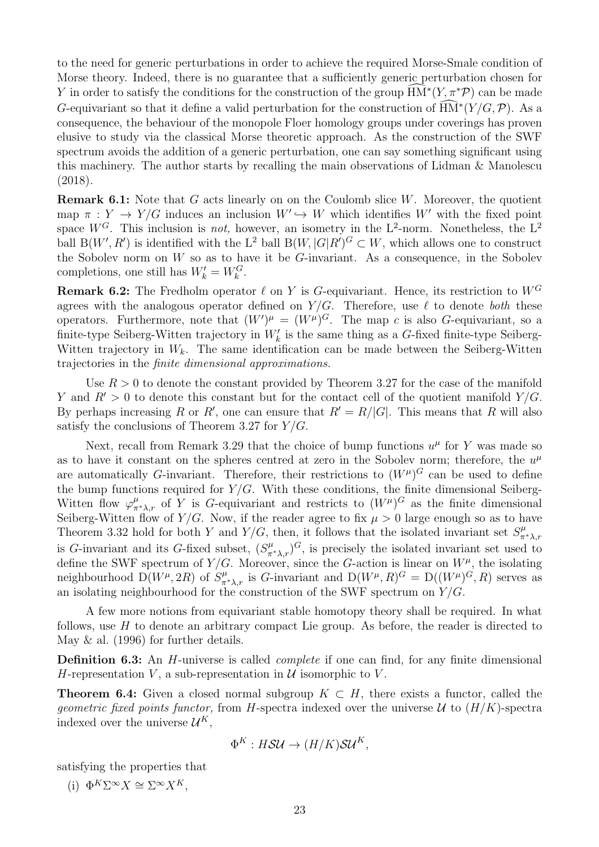to the need for generic perturbations in order to achieve the required Morse-Smale condition of Morse theory. Indeed, there is no guarantee that a sufficiently generic perturbation chosen for Y in order to satisfy the conditions for the construction of the group  $\widehat{\text{HM}}^*(Y, \pi^*\mathcal{P})$  can be made G-equivariant so that it define a valid perturbation for the construction of  $\widehat{HM}^*(Y/G,\mathcal{P})$ . As a consequence, the behaviour of the monopole Floer homology groups under coverings has proven elusive to study via the classical Morse theoretic approach. As the construction of the SWF spectrum avoids the addition of a generic perturbation, one can say something significant using this machinery. The author starts by recalling the main observations of Lidman & Manolescu (2018).

**Remark 6.1:** Note that  $G$  acts linearly on on the Coulomb slice  $W$ . Moreover, the quotient map  $\pi : Y \to Y/G$  induces an inclusion  $W' \to W$  which identifies W' with the fixed point space  $W^G$ . This inclusion is *not*, however, an isometry in the L<sup>2</sup>-norm. Nonetheless, the L<sup>2</sup> ball  $B(W', R')$  is identified with the L<sup>2</sup> ball  $B(W, |G|R')^G \subset W$ , which allows one to construct the Sobolev norm on  $W$  so as to have it be  $G$ -invariant. As a consequence, in the Sobolev completions, one still has  $W'_k = W_k^G$ .

**Remark 6.2:** The Fredholm operator  $\ell$  on Y is G-equivariant. Hence, its restriction to  $W^G$ agrees with the analogous operator defined on  $Y/G$ . Therefore, use  $\ell$  to denote both these operators. Furthermore, note that  $(W')^{\mu} = (W^{\mu})^G$ . The map c is also G-equivariant, so a finite-type Seiberg-Witten trajectory in  $W'_{k}$  is the same thing as a G-fixed finite-type Seiberg-Witten trajectory in  $W_k$ . The same identification can be made between the Seiberg-Witten trajectories in the finite dimensional approximations.

Use  $R > 0$  to denote the constant provided by Theorem 3.27 for the case of the manifold Y and  $R' > 0$  to denote this constant but for the contact cell of the quotient manifold  $Y/G$ . By perhaps increasing R or R', one can ensure that  $R' = R/|G|$ . This means that R will also satisfy the conclusions of Theorem 3.27 for  $Y/G$ .

Next, recall from Remark 3.29 that the choice of bump functions  $u^{\mu}$  for Y was made so as to have it constant on the spheres centred at zero in the Sobolev norm; therefore, the  $u^{\mu}$ are automatically G-invariant. Therefore, their restrictions to  $(W^{\mu})^G$  can be used to define the bump functions required for  $Y/G$ . With these conditions, the finite dimensional Seiberg-Witten flow  $\varphi_{\pi^*\lambda,r}^{\mu}$  of Y is G-equivariant and restricts to  $(W^{\mu})^G$  as the finite dimensional Seiberg-Witten flow of  $Y/G$ . Now, if the reader agree to fix  $\mu > 0$  large enough so as to have Theorem 3.32 hold for both Y and Y/G, then, it follows that the isolated invariant set  $S^{\mu}_{\pi^*\lambda,r}$ is G-invariant and its G-fixed subset,  $(S_{\pi^*\lambda,r}^{\mu})^G$ , is precisely the isolated invariant set used to define the SWF spectrum of  $Y/G$ . Moreover, since the G-action is linear on  $W^{\mu}$ , the isolating neighbourhood  $D(W^{\mu}, 2R)$  of  $S^{\mu}_{\pi^*\lambda,r}$  is G-invariant and  $D(W^{\mu}, R)^G = D((W^{\mu})^G, R)$  serves as an isolating neighbourhood for the construction of the SWF spectrum on  $Y/G$ .

A few more notions from equivariant stable homotopy theory shall be required. In what follows, use H to denote an arbitrary compact Lie group. As before, the reader is directed to May & al. (1996) for further details.

Definition 6.3: An H-universe is called *complete* if one can find, for any finite dimensional H-representation V, a sub-representation in  $\mathcal U$  isomorphic to V.

**Theorem 6.4:** Given a closed normal subgroup  $K \subset H$ , there exists a functor, called the geometric fixed points functor, from H-spectra indexed over the universe  $\mathcal U$  to  $(H/K)$ -spectra indexed over the universe  $\mathcal{U}^K$ ,

$$
\Phi^K : H\mathcal{S}U \to (H/K)\mathcal{S}U^K,
$$

satisfying the properties that

(i)  $\Phi^K \Sigma^{\infty} X \cong \Sigma^{\infty} X^K$ .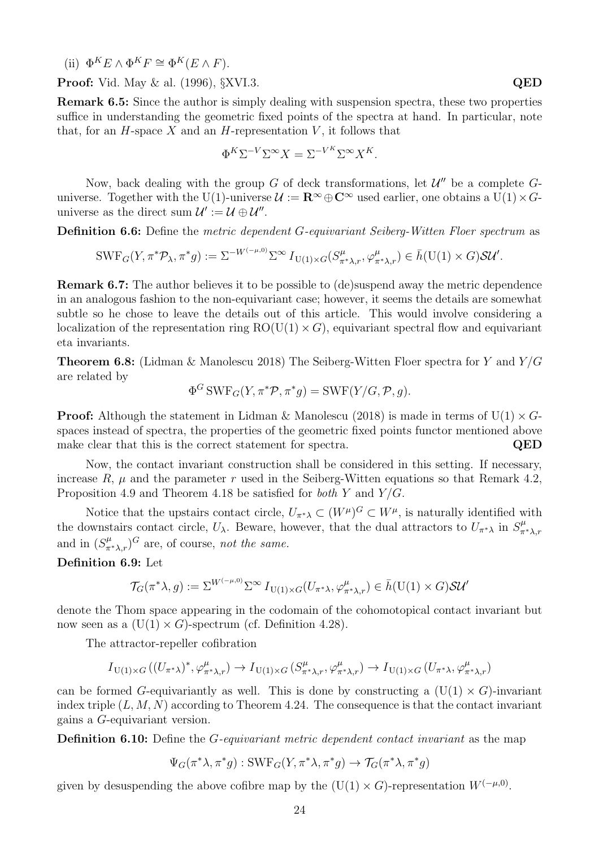(ii)  $\Phi^K E \wedge \Phi^K F \cong \Phi^K (E \wedge F)$ .

**Proof:** Vid. May & al. (1996), §XVI.3. **QED** 

Remark 6.5: Since the author is simply dealing with suspension spectra, these two properties suffice in understanding the geometric fixed points of the spectra at hand. In particular, note that, for an  $H$ -space  $X$  and an  $H$ -representation  $V$ , it follows that

$$
\Phi^K \Sigma^{-V} \Sigma^{\infty} X = \Sigma^{-V^K} \Sigma^{\infty} X^K.
$$

Now, back dealing with the group  $G$  of deck transformations, let  $\mathcal{U}''$  be a complete  $G$ universe. Together with the U(1)-universe  $\mathcal{U} := \mathbb{R}^{\infty} \oplus \mathbb{C}^{\infty}$  used earlier, one obtains a U(1)  $\times$  Guniverse as the direct sum  $\mathcal{U}' := \mathcal{U} \oplus \mathcal{U}''$ .

Definition 6.6: Define the metric dependent G-equivariant Seiberg-Witten Floer spectrum as

$$
\text{SWF}_G(Y, \pi^* \mathcal{P}_\lambda, \pi^* g) := \Sigma^{-W^{(-\mu, 0)}} \Sigma^\infty I_{U(1) \times G}(S^\mu_{\pi^* \lambda, r}, \varphi^\mu_{\pi^* \lambda, r}) \in \bar{h}(U(1) \times G) \mathcal{SU}'.
$$

Remark 6.7: The author believes it to be possible to (de)suspend away the metric dependence in an analogous fashion to the non-equivariant case; however, it seems the details are somewhat subtle so he chose to leave the details out of this article. This would involve considering a localization of the representation ring  $RO(U(1) \times G)$ , equivariant spectral flow and equivariant eta invariants.

**Theorem 6.8:** (Lidman & Manolescu 2018) The Seiberg-Witten Floer spectra for Y and  $Y/G$ are related by

$$
\Phi^G \text{SWF}_G(Y, \pi^* \mathcal{P}, \pi^* g) = \text{SWF}(Y/G, \mathcal{P}, g).
$$

**Proof:** Although the statement in Lidman & Manolescu (2018) is made in terms of  $U(1) \times G$ spaces instead of spectra, the properties of the geometric fixed points functor mentioned above make clear that this is the correct statement for spectra. QED

Now, the contact invariant construction shall be considered in this setting. If necessary, increase R,  $\mu$  and the parameter r used in the Seiberg-Witten equations so that Remark 4.2, Proposition 4.9 and Theorem 4.18 be satisfied for both Y and Y/G.

Notice that the upstairs contact circle,  $U_{\pi^*\lambda} \subset (W^{\mu})^G \subset W^{\mu}$ , is naturally identified with the downstairs contact circle,  $U_\lambda$ . Beware, however, that the dual attractors to  $U_{\pi^*\lambda}$  in  $S_{\pi^*\lambda,r}^\mu$ and in  $(S^{\mu}_{\pi^*\lambda,r})^G$  are, of course, not the same.

#### Definition 6.9: Let

$$
\mathcal{T}_G(\pi^*\lambda, g) := \Sigma^{W^{(-\mu, 0)}} \Sigma^\infty I_{U(1)\times G}(U_{\pi^*\lambda}, \varphi_{\pi^*\lambda, r}^\mu) \in \bar{h}(U(1)\times G)\mathcal{SU}'
$$

denote the Thom space appearing in the codomain of the cohomotopical contact invariant but now seen as a  $(U(1) \times G)$ -spectrum (cf. Definition 4.28).

The attractor-repeller cofibration

$$
I_{\mathrm{U}(1)\times G}\left((U_{\pi^*\lambda})^*,\varphi_{\pi^*\lambda,r}^\mu\right)\to I_{\mathrm{U}(1)\times G}\left(S_{\pi^*\lambda,r}^\mu,\varphi_{\pi^*\lambda,r}^\mu\right)\to I_{\mathrm{U}(1)\times G}\left(U_{\pi^*\lambda},\varphi_{\pi^*\lambda,r}^\mu\right)
$$

can be formed G-equivariantly as well. This is done by constructing a  $(U(1) \times G)$ -invariant index triple  $(L, M, N)$  according to Theorem 4.24. The consequence is that the contact invariant gains a G-equivariant version.

**Definition 6.10:** Define the *G*-equivariant metric dependent contact invariant as the map

 $\Psi_G(\pi^*\lambda, \pi^*g) : \text{SWF}_G(Y, \pi^*\lambda, \pi^*g) \to \mathcal{T}_G(\pi^*\lambda, \pi^*g)$ 

given by desuspending the above cofibre map by the  $(U(1) \times G)$ -representation  $W^{(-\mu,0)}$ .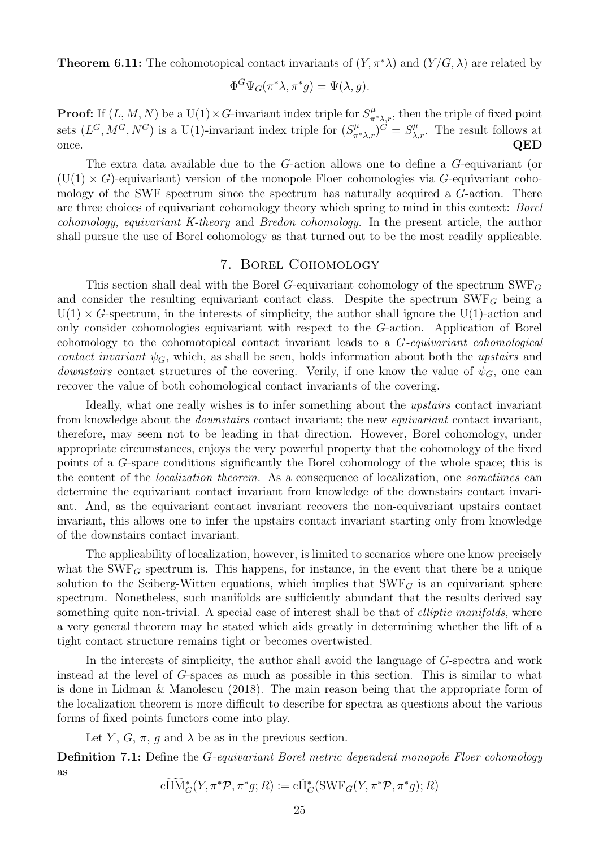**Theorem 6.11:** The cohomotopical contact invariants of  $(Y, \pi^*\lambda)$  and  $(Y/G, \lambda)$  are related by

$$
\Phi^G \Psi_G(\pi^* \lambda, \pi^* g) = \Psi(\lambda, g).
$$

**Proof:** If  $(L, M, N)$  be a U(1) × G-invariant index triple for  $S^{\mu}_{\pi^*\lambda,r}$ , then the triple of fixed point sets  $(L^G, M^G, N^G)$  is a U(1)-invariant index triple for  $(S^{\mu}_{\pi^*\lambda,r})^{\tilde{G}} = S^{\mu}_{\lambda,r}$ . The result follows at once.  $QED$ 

The extra data available due to the G-action allows one to define a G-equivariant (or  $(U(1) \times G)$ -equivariant) version of the monopole Floer cohomologies via G-equivariant cohomology of the SWF spectrum since the spectrum has naturally acquired a G-action. There are three choices of equivariant cohomology theory which spring to mind in this context: Borel cohomology, equivariant K-theory and Bredon cohomology. In the present article, the author shall pursue the use of Borel cohomology as that turned out to be the most readily applicable.

#### 7. Borel Cohomology

This section shall deal with the Borel G-equivariant cohomology of the spectrum  $\text{SWF}_G$ and consider the resulting equivariant contact class. Despite the spectrum  $\text{SWF}_G$  being a  $U(1) \times G$ -spectrum, in the interests of simplicity, the author shall ignore the U(1)-action and only consider cohomologies equivariant with respect to the G-action. Application of Borel cohomology to the cohomotopical contact invariant leads to a G-equivariant cohomological contact invariant  $\psi_G$ , which, as shall be seen, holds information about both the upstairs and *downstairs* contact structures of the covering. Verily, if one know the value of  $\psi_G$ , one can recover the value of both cohomological contact invariants of the covering.

Ideally, what one really wishes is to infer something about the upstairs contact invariant from knowledge about the downstairs contact invariant; the new equivariant contact invariant, therefore, may seem not to be leading in that direction. However, Borel cohomology, under appropriate circumstances, enjoys the very powerful property that the cohomology of the fixed points of a G-space conditions significantly the Borel cohomology of the whole space; this is the content of the localization theorem. As a consequence of localization, one sometimes can determine the equivariant contact invariant from knowledge of the downstairs contact invariant. And, as the equivariant contact invariant recovers the non-equivariant upstairs contact invariant, this allows one to infer the upstairs contact invariant starting only from knowledge of the downstairs contact invariant.

The applicability of localization, however, is limited to scenarios where one know precisely what the SWF<sub>G</sub> spectrum is. This happens, for instance, in the event that there be a unique solution to the Seiberg-Witten equations, which implies that  $\text{SWF}_G$  is an equivariant sphere spectrum. Nonetheless, such manifolds are sufficiently abundant that the results derived say something quite non-trivial. A special case of interest shall be that of *elliptic manifolds*, where a very general theorem may be stated which aids greatly in determining whether the lift of a tight contact structure remains tight or becomes overtwisted.

In the interests of simplicity, the author shall avoid the language of G-spectra and work instead at the level of G-spaces as much as possible in this section. This is similar to what is done in Lidman & Manolescu (2018). The main reason being that the appropriate form of the localization theorem is more difficult to describe for spectra as questions about the various forms of fixed points functors come into play.

Let Y, G,  $\pi$ , g and  $\lambda$  be as in the previous section.

Definition 7.1: Define the *G*-equivariant Borel metric dependent monopole Floer cohomology as

$$
\widetilde{\operatorname{cHM}}_G^*(Y, \pi^* \mathcal{P}, \pi^* g; R) := \widetilde{\operatorname{CH}}_G^*(\operatorname{SWF}_G(Y, \pi^* \mathcal{P}, \pi^* g); R)
$$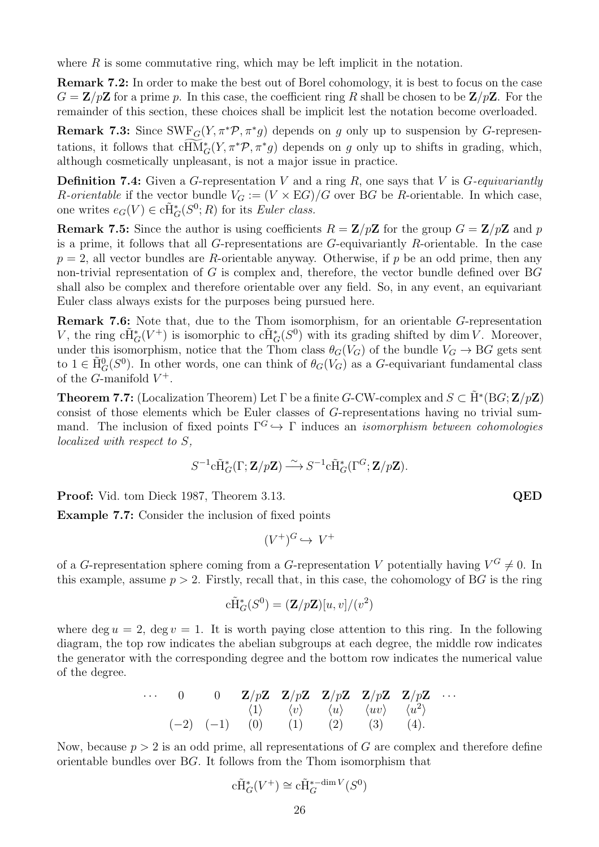where  $R$  is some commutative ring, which may be left implicit in the notation.

Remark 7.2: In order to make the best out of Borel cohomology, it is best to focus on the case  $G = \mathbf{Z}/p\mathbf{Z}$  for a prime p. In this case, the coefficient ring R shall be chosen to be  $\mathbf{Z}/p\mathbf{Z}$ . For the remainder of this section, these choices shall be implicit lest the notation become overloaded.

**Remark 7.3:** Since  $SWF_G(Y, \pi^* \mathcal{P}, \pi^* g)$  depends on g only up to suspension by G-representations, it follows that  $cHM_G^*(Y, \pi^*\mathcal{P}, \pi^*g)$  depends on g only up to shifts in grading, which, although cosmetically unpleasant, is not a major issue in practice.

**Definition 7.4:** Given a G-representation V and a ring R, one says that V is  $G$ -equivariantly R-orientable if the vector bundle  $V_G := (V \times EG)/G$  over BG be R-orientable. In which case, one writes  $e_G(V) \in \tilde{CH}_G^*(S^0; R)$  for its *Euler class.* 

**Remark 7.5:** Since the author is using coefficients  $R = \mathbb{Z}/p\mathbb{Z}$  for the group  $G = \mathbb{Z}/p\mathbb{Z}$  and p is a prime, it follows that all  $G$ -representations are  $G$ -equivariantly  $R$ -orientable. In the case  $p = 2$ , all vector bundles are R-orientable anyway. Otherwise, if p be an odd prime, then any non-trivial representation of G is complex and, therefore, the vector bundle defined over  $BG$ shall also be complex and therefore orientable over any field. So, in any event, an equivariant Euler class always exists for the purposes being pursued here.

Remark 7.6: Note that, due to the Thom isomorphism, for an orientable G-representation V, the ring  $c\tilde{H}^*_{G}(V^+)$  is isomorphic to  $c\tilde{H}^*_{G}(S^0)$  with its grading shifted by dim V. Moreover, under this isomorphism, notice that the Thom class  $\theta_G(V_G)$  of the bundle  $V_G \to BG$  gets sent to  $1 \in \tilde{H}^0_G(S^0)$ . In other words, one can think of  $\theta_G(V_G)$  as a G-equivariant fundamental class of the *G*-manifold  $V^+$ .

**Theorem 7.7:** (Localization Theorem) Let  $\Gamma$  be a finite G-CW-complex and  $S \subset \tilde{H}^*(BG; \mathbf{Z}/p\mathbf{Z})$ consist of those elements which be Euler classes of G-representations having no trivial summand. The inclusion of fixed points  $\Gamma^G \hookrightarrow \Gamma$  induces an *isomorphism between cohomologies* localized with respect to S,

$$
S^{-1}\widetilde{\mathrm{CH}}_G^*(\Gamma;\mathbf{Z}/p\mathbf{Z}) \stackrel{\sim}{\longrightarrow} S^{-1}\widetilde{\mathrm{CH}}_G^*(\Gamma^G;\mathbf{Z}/p\mathbf{Z}).
$$

Proof: Vid. tom Dieck 1987, Theorem 3.13. QED

Example 7.7: Consider the inclusion of fixed points

$$
(V^+)^G \hookrightarrow V^+
$$

of a G-representation sphere coming from a G-representation V potentially having  $V^G \neq 0$ . In this example, assume  $p > 2$ . Firstly, recall that, in this case, the cohomology of BG is the ring

$$
c\tilde{H}^*_{G}(S^0) = (\mathbf{Z}/p\mathbf{Z})[u, v]/(v^2)
$$

where deg  $u = 2$ , deg  $v = 1$ . It is worth paying close attention to this ring. In the following diagram, the top row indicates the abelian subgroups at each degree, the middle row indicates the generator with the corresponding degree and the bottom row indicates the numerical value of the degree.

· · · 0 0 Z/pZ Z/pZ Z/pZ Z/pZ Z/pZ · · · h1i hvi hui huvi hu 2 i (−2) (−1) (0) (1) (2) (3) (4).

Now, because  $p > 2$  is an odd prime, all representations of G are complex and therefore define orientable bundles over BG. It follows from the Thom isomorphism that

$$
c\tilde{H}_G^*(V^+) \cong c\tilde{H}_G^{*-\dim V}(S^0)
$$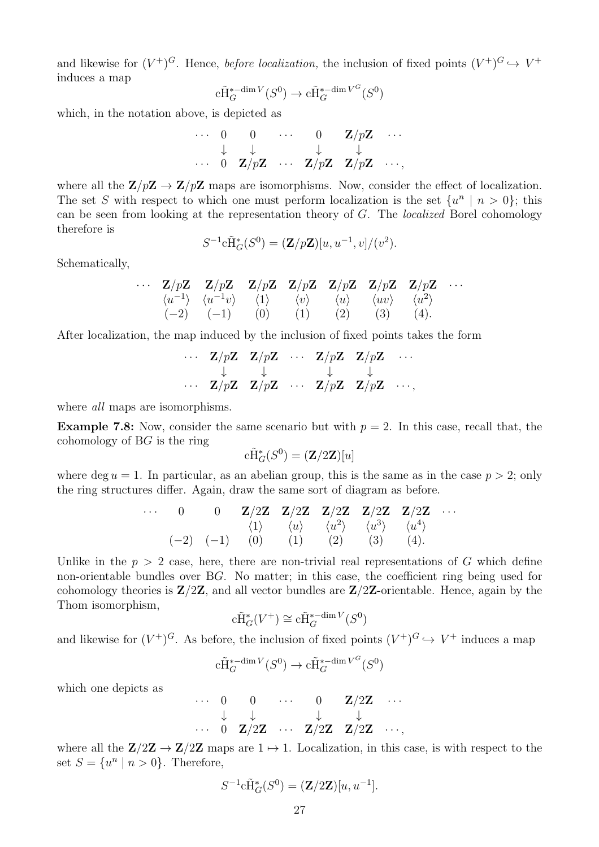and likewise for  $(V^+)^G$ . Hence, *before localization*, the inclusion of fixed points  $(V^+)^G \hookrightarrow V^+$ induces a map

$$
c\widetilde{H}^{*-dim\,V}_G(S^0)\to c\widetilde{H}^{*-dim\,V^G}_G(S^0)
$$

which, in the notation above, is depicted as

$$
\begin{array}{ccccccccc}\n\cdots & 0 & 0 & \cdots & 0 & \mathbf{Z}/p\mathbf{Z} & \cdots \\
& \downarrow & \downarrow & & \downarrow & & \downarrow \\
\cdots & 0 & \mathbf{Z}/p\mathbf{Z} & \cdots & \mathbf{Z}/p\mathbf{Z} & \mathbf{Z}/p\mathbf{Z} & \cdots,\n\end{array}
$$

where all the  $\mathbb{Z}/p\mathbb{Z} \to \mathbb{Z}/p\mathbb{Z}$  maps are isomorphisms. Now, consider the effect of localization. The set S with respect to which one must perform localization is the set  $\{u^n \mid n > 0\}$ ; this can be seen from looking at the representation theory of G. The localized Borel cohomology therefore is

$$
S^{-1}c\tilde{H}^*_{G}(S^0) = (\mathbf{Z}/p\mathbf{Z})[u, u^{-1}, v]/(v^2).
$$

Schematically,

$$
\cdots \quad \mathbf{Z}/p\mathbf{Z} \qquad \mathbf{Z}/p\mathbf{Z} \qquad \mathbf{Z}/p\mathbf{Z} \qquad \mathbf{Z}/p\mathbf{Z} \qquad \mathbf{Z}/p\mathbf{Z} \qquad \mathbf{Z}/p\mathbf{Z} \qquad \mathbf{Z}/p\mathbf{Z} \qquad \cdots
$$
  
\n
$$
\langle u^{-1} \rangle \qquad \langle u^{-1}v \rangle \qquad \langle 1 \rangle \qquad \langle v \rangle \qquad \langle u \rangle \qquad \langle uv \rangle \qquad \langle u^2 \rangle
$$
  
\n
$$
(-2) \qquad (-1) \qquad \quad (0) \qquad \quad (1) \qquad \quad (2) \qquad \quad (3) \qquad \quad (4).
$$

After localization, the map induced by the inclusion of fixed points takes the form

$$
\cdots \quad \begin{array}{ccccccc}\n\mathbf{Z}/p\mathbf{Z} & \mathbf{Z}/p\mathbf{Z} & \cdots & \mathbf{Z}/p\mathbf{Z} & \mathbf{Z}/p\mathbf{Z} & \cdots \\
\downarrow & & \downarrow & & \downarrow & & \downarrow \\
\cdots & \mathbf{Z}/p\mathbf{Z} & \mathbf{Z}/p\mathbf{Z} & \cdots & \mathbf{Z}/p\mathbf{Z} & \mathbf{Z}/p\mathbf{Z} & \cdots,\n\end{array}
$$

where *all* maps are isomorphisms.

**Example 7.8:** Now, consider the same scenario but with  $p = 2$ . In this case, recall that, the cohomology of BG is the ring

$$
\tilde{\mathrm{eff}}_G^*(S^0) = (\mathbf{Z}/2\mathbf{Z})[u]
$$

where deg  $u = 1$ . In particular, as an abelian group, this is the same as in the case  $p > 2$ ; only the ring structures differ. Again, draw the same sort of diagram as before.

· · · 0 0 Z/2Z Z/2Z Z/2Z Z/2Z Z/2Z · · · h1i hui hu 2 i hu 3 i hu 4 i (−2) (−1) (0) (1) (2) (3) (4).

Unlike in the  $p > 2$  case, here, there are non-trivial real representations of G which define non-orientable bundles over BG. No matter; in this case, the coefficient ring being used for cohomology theories is  $\mathbb{Z}/2\mathbb{Z}$ , and all vector bundles are  $\mathbb{Z}/2\mathbb{Z}$ -orientable. Hence, again by the Thom isomorphism,

$$
\mathrm{c}\widetilde{\mathrm{H}}_G^*(V^+) \cong \mathrm{c}\widetilde{\mathrm{H}}_G^{*-\dim V}(S^0)
$$

and likewise for  $(V^+)^G$ . As before, the inclusion of fixed points  $(V^+)^G \hookrightarrow V^+$  induces a map

$$
c\tilde{H}^{*-\dim V}_G(S^0)\to c\tilde{H}^{*-\dim V^G}_G(S^0)
$$

which one depicts as

$$
\begin{array}{ccccccccc}\n\cdots & 0 & 0 & \cdots & 0 & \mathbf{Z}/2\mathbf{Z} & \cdots \\
& \downarrow & \downarrow & & \downarrow & & \downarrow \\
\cdots & 0 & \mathbf{Z}/2\mathbf{Z} & \cdots & \mathbf{Z}/2\mathbf{Z} & \mathbf{Z}/2\mathbf{Z} & \cdots,\n\end{array}
$$

where all the  $\mathbb{Z}/2\mathbb{Z} \to \mathbb{Z}/2\mathbb{Z}$  maps are  $1 \mapsto 1$ . Localization, in this case, is with respect to the set  $S = \{u^n \mid n > 0\}$ . Therefore,

$$
S^{-1}\mathrm{c}\tilde{\mathrm{H}}_G^*(S^0) = (\mathbf{Z}/2\mathbf{Z})[u, u^{-1}].
$$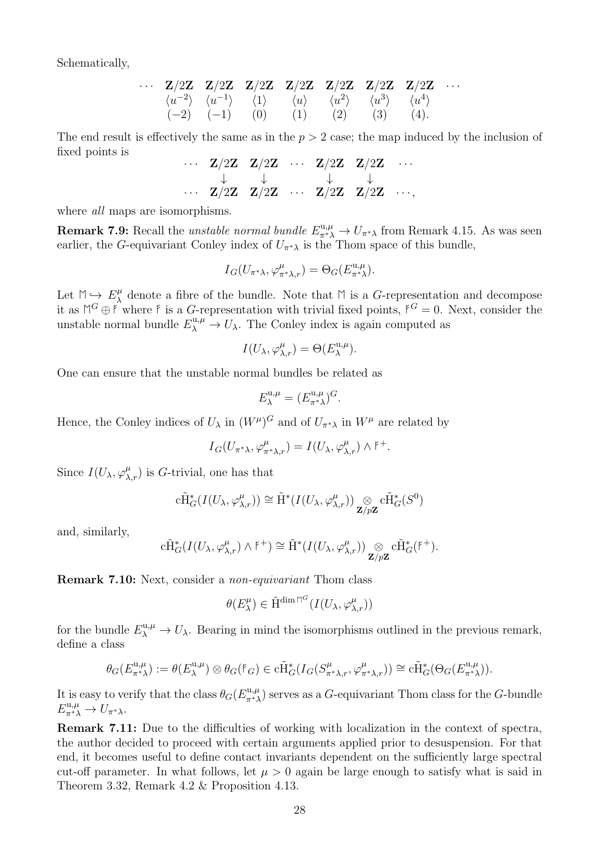Schematically,

$$
\cdots \quad \mathbf{Z}/2\mathbf{Z} \quad \mathbf{Z}/2\mathbf{Z} \quad \mathbf{Z}/2\mathbf{Z} \quad \mathbf{Z}/2\mathbf{Z} \quad \mathbf{Z}/2\mathbf{Z} \quad \mathbf{Z}/2\mathbf{Z} \quad \mathbf{Z}/2\mathbf{Z} \quad \cdots
$$
  
\n
$$
\langle u^{-2} \rangle \quad \langle u^{-1} \rangle \quad \langle 1 \rangle \quad \langle u \rangle \quad \langle u^2 \rangle \quad \langle u^3 \rangle \quad \langle u^4 \rangle
$$
  
\n
$$
(-2) \quad (-1) \quad (0) \quad (1) \quad (2) \quad (3) \quad (4).
$$

The end result is effectively the same as in the  $p > 2$  case; the map induced by the inclusion of fixed points is

$$
\cdots \quad \begin{array}{ccccccccc}\n\cdots & \mathbf{Z}/2\mathbf{Z} & \mathbf{Z}/2\mathbf{Z} & \cdots & \mathbf{Z}/2\mathbf{Z} & \mathbf{Z}/2\mathbf{Z} & \cdots \\
\downarrow & & \downarrow & & \downarrow & & \downarrow \\
\cdots & \mathbf{Z}/2\mathbf{Z} & \mathbf{Z}/2\mathbf{Z} & \cdots & \mathbf{Z}/2\mathbf{Z} & \mathbf{Z}/2\mathbf{Z} & \cdots,\n\end{array}
$$

where *all* maps are isomorphisms.

**Remark 7.9:** Recall the *unstable normal bundle*  $E_{\pi^*\lambda}^{\text{u},\mu} \to U_{\pi^*\lambda}$  from Remark 4.15. As was seen earlier, the G-equivariant Conley index of  $U_{\pi^*\lambda}$  is the Thom space of this bundle,

$$
I_G(U_{\pi^*\lambda}, \varphi_{\pi^*\lambda,r}^{\mu}) = \Theta_G(E_{\pi^*\lambda}^{\mathrm{u},\mu}).
$$

Let  $M \hookrightarrow E_{\lambda}^{\mu}$  $\mu$ <sup>μ</sup> denote a fibre of the bundle. Note that  $\mathbb M$  is a *G*-representation and decompose it as  $M^G \oplus \mathfrak{f}$  where  $\mathfrak{f}$  is a G-representation with trivial fixed points,  $\mathfrak{f}^G = 0$ . Next, consider the unstable normal bundle  $E_{\lambda}^{\mathrm{u},\mu} \to U_{\lambda}$ . The Conley index is again computed as

$$
I(U_{\lambda}, \varphi_{\lambda,r}^{\mu}) = \Theta(E_{\lambda}^{\mathrm{u},\mu}).
$$

One can ensure that the unstable normal bundles be related as

$$
E_{\lambda}^{\mathbf{u},\mu} = (E_{\pi^*\lambda}^{\mathbf{u},\mu})^G.
$$

Hence, the Conley indices of  $U_{\lambda}$  in  $(W^{\mu})^G$  and of  $U_{\pi^*\lambda}$  in  $W^{\mu}$  are related by

 $I_G(U_{\pi^*\lambda}, \varphi_{\pi^*\lambda,r}^{\mu}) = I(U_{\lambda}, \varphi_{\lambda,r}^{\mu}) \wedge {\mathfrak k}^+.$ 

Since  $I(U_\lambda, \varphi_{\lambda,r}^\mu)$  is G-trivial, one has that

$$
c\tilde{H}^*_{G}(I(U_{\lambda}, \varphi^{\mu}_{\lambda, r})) \cong \tilde{H}^*(I(U_{\lambda}, \varphi^{\mu}_{\lambda, r})) \underset{\mathbf{Z}/p\mathbf{Z}}{\otimes} c\tilde{H}^*_{G}(S^0)
$$

and, similarly,

$$
c\tilde{H}^*_{G}(I(U_{\lambda}, \varphi^{\mu}_{\lambda,r}) \wedge {\mathfrak k}^+) \cong \tilde{H}^*(I(U_{\lambda}, \varphi^{\mu}_{\lambda,r})) \underset{{\bf Z}/p{\bf Z}}{\otimes} c\tilde{H}^*_{G}({\mathfrak k}^+).
$$

Remark 7.10: Next, consider a non-equivariant Thom class

$$
\theta(E^\mu_\lambda)\in \tilde{\mathcal{H}}^{\dim \mathbb{M}^G}(I(U_\lambda, \varphi^\mu_{\lambda, r}))
$$

for the bundle  $E_{\lambda}^{\text{u},\mu} \to U_{\lambda}$ . Bearing in mind the isomorphisms outlined in the previous remark, define a class

$$
\theta_G(E_{\pi^*\lambda}^{\mathfrak{u},\mu}) := \theta(E_{\lambda}^{\mathfrak{u},\mu}) \otimes \theta_G(\mathfrak{f}_G) \in \mathrm{c}\tilde{\mathrm{H}}_G^*(I_G(S_{\pi^*\lambda,r}^{\mu}, \varphi_{\pi^*\lambda,r}^{\mu})) \cong \mathrm{c}\tilde{\mathrm{H}}_G^*(\Theta_G(E_{\pi^*\lambda}^{\mathfrak{u},\mu})).
$$

It is easy to verify that the class  $\theta_G(E_{\pi^*\lambda}^{u,\mu})$  serves as a G-equivariant Thom class for the G-bundle  $E_{\pi^*\lambda}^{\mathfrak{u},\mu} \to U_{\pi^*\lambda}.$ 

Remark 7.11: Due to the difficulties of working with localization in the context of spectra, the author decided to proceed with certain arguments applied prior to desuspension. For that end, it becomes useful to define contact invariants dependent on the sufficiently large spectral cut-off parameter. In what follows, let  $\mu > 0$  again be large enough to satisfy what is said in Theorem 3.32, Remark 4.2 & Proposition 4.13.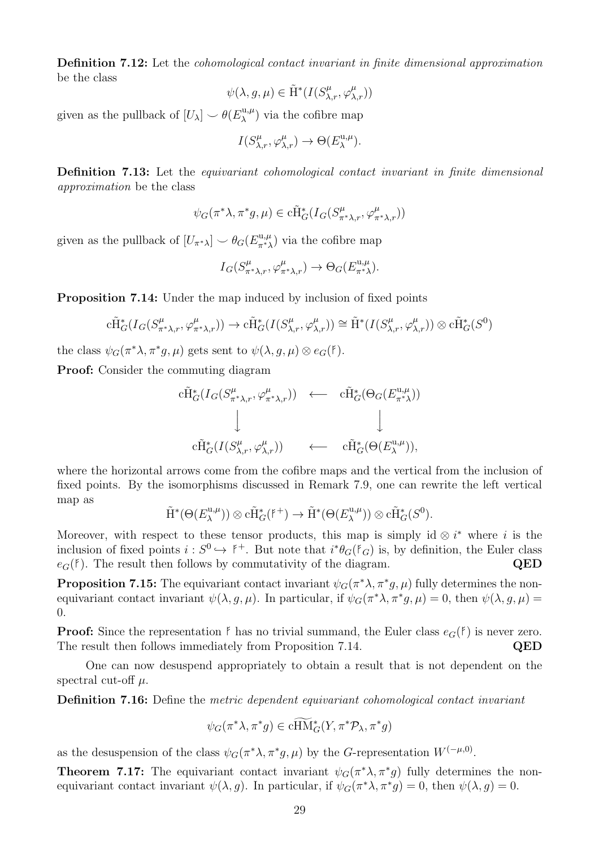Definition 7.12: Let the cohomological contact invariant in finite dimensional approximation be the class

$$
\psi(\lambda,g,\mu)\in \tilde{\mathrm{H}}^*(I(S^\mu_{\lambda,r},\varphi^\mu_{\lambda,r}))
$$

given as the pullback of  $[U_\lambda] \smile \theta(E_\lambda^{\mathrm{u},\mu})$  $\lambda^{(u,\mu)}$  via the cofibre map

$$
I(S_{\lambda,r}^{\mu}, \varphi_{\lambda,r}^{\mu}) \to \Theta(E_{\lambda}^{\mathrm{u},\mu}).
$$

Definition 7.13: Let the *equivariant cohomological contact invariant in finite dimensional* approximation be the class

$$
\psi_G(\pi^*\lambda,\pi^*g,\mu)\in \mathrm{c}\tilde{\mathrm{H}}_G^*(I_G(S^{\mu}_{\pi^*\lambda,r},\varphi^{\mu}_{\pi^*\lambda,r}))
$$

given as the pullback of  $[U_{\pi^*\lambda}] \smile \theta_G(E_{\pi^*\lambda}^{\mathfrak{u},\mu})$  via the cofibre map

$$
I_G(S^{\mu}_{\pi^*\lambda,r},\varphi^{\mu}_{\pi^*\lambda,r})\to \Theta_G(E^{u,\mu}_{\pi^*\lambda}).
$$

Proposition 7.14: Under the map induced by inclusion of fixed points

$$
c\tilde{H}^*_{G}(I_G(S^{\mu}_{\pi^*\lambda,r},\varphi^{\mu}_{\pi^*\lambda,r})) \to c\tilde{H}^*_{G}(I(S^{\mu}_{\lambda,r},\varphi^{\mu}_{\lambda,r})) \cong \tilde{H}^*(I(S^{\mu}_{\lambda,r},\varphi^{\mu}_{\lambda,r})) \otimes c\tilde{H}^*_{G}(S^0)
$$

the class  $\psi_G(\pi^*\lambda, \pi^*g, \mu)$  gets sent to  $\psi(\lambda, g, \mu) \otimes e_G(\mathfrak{k})$ .

Proof: Consider the commuting diagram

$$
c\tilde{H}_{G}^{*}(I_{G}(S_{\pi^{*}\lambda,r}^{\mu},\varphi_{\pi^{*}\lambda,r}^{\mu})) \leftarrow c\tilde{H}_{G}^{*}(\Theta_{G}(E_{\pi^{*}\lambda}^{\mathrm{u},\mu}))
$$
  
\n
$$
\downarrow \qquad \qquad \downarrow \qquad \qquad \downarrow
$$
  
\n
$$
c\tilde{H}_{G}^{*}(I(S_{\lambda,r}^{\mu},\varphi_{\lambda,r}^{\mu})) \leftarrow c\tilde{H}_{G}^{*}(\Theta(E_{\lambda}^{\mathrm{u},\mu})),
$$

where the horizontal arrows come from the cofibre maps and the vertical from the inclusion of fixed points. By the isomorphisms discussed in Remark 7.9, one can rewrite the left vertical map as

$$
\tilde{H}^*(\Theta(E_{\lambda}^{\mathrm{u},\mu}))\otimes c\tilde{H}^*_{G}(\mathfrak{k}^+) \to \tilde{H}^*(\Theta(E_{\lambda}^{\mathrm{u},\mu}))\otimes c\tilde{H}^*_{G}(S^0).
$$

Moreover, with respect to these tensor products, this map is simply id  $\otimes i^*$  where i is the inclusion of fixed points  $i : S^0 \hookrightarrow {}^{\nvdash}$ . But note that  $i^*\theta_G(\mathfrak{k}_G)$  is, by definition, the Euler class  $e_G(f)$ . The result then follows by commutativity of the diagram. QED

**Proposition 7.15:** The equivariant contact invariant  $\psi_G(\pi^*\lambda, \pi^*g, \mu)$  fully determines the nonequivariant contact invariant  $\psi(\lambda, g, \mu)$ . In particular, if  $\psi_G(\pi^*\lambda, \pi^*g, \mu) = 0$ , then  $\psi(\lambda, g, \mu) =$ 0.

**Proof:** Since the representation  $\beta$  has no trivial summand, the Euler class  $e_G(\beta)$  is never zero. The result then follows immediately from Proposition 7.14.  $QED$ 

One can now desuspend appropriately to obtain a result that is not dependent on the spectral cut-off  $\mu$ .

Definition 7.16: Define the metric dependent equivariant cohomological contact invariant

$$
\psi_G(\pi^*\lambda, \pi^*g) \in \operatorname{cHM}_{G}^*(Y, \pi^*\mathcal{P}_\lambda, \pi^*g)
$$

as the desuspension of the class  $\psi_G(\pi^*\lambda, \pi^*g, \mu)$  by the G-representation  $W^{(-\mu, 0)}$ .

**Theorem 7.17:** The equivariant contact invariant  $\psi_G(\pi^*\lambda, \pi^*g)$  fully determines the nonequivariant contact invariant  $\psi(\lambda, g)$ . In particular, if  $\psi_G(\pi^*\lambda, \pi^*g) = 0$ , then  $\psi(\lambda, g) = 0$ .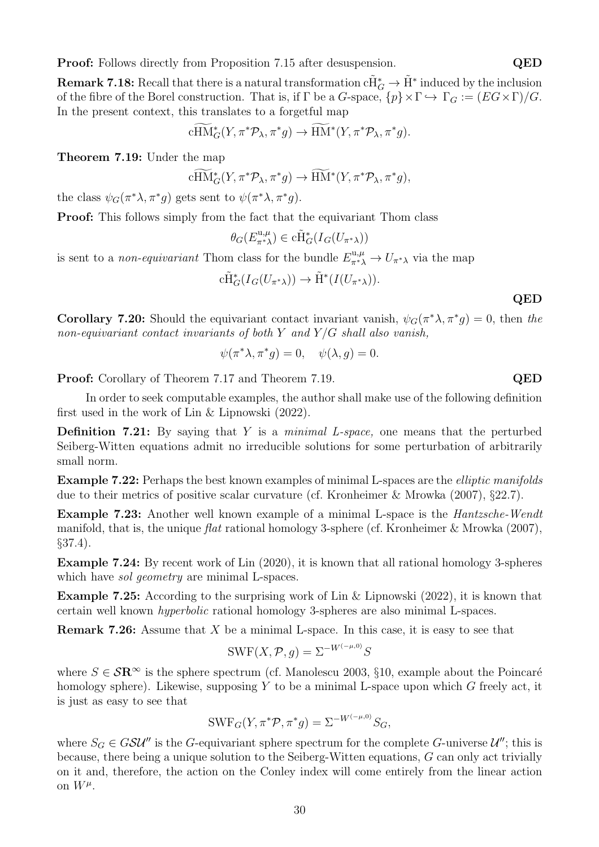**Proof:** Follows directly from Proposition 7.15 after desuspension. QED

**Remark 7.18:** Recall that there is a natural transformation  $c\tilde{H}^*_G \to \tilde{H}^*$  induced by the inclusion of the fibre of the Borel construction. That is, if  $\Gamma$  be a G-space,  $\{p\} \times \Gamma \hookrightarrow \Gamma_G := (EG \times \Gamma)/G$ . In the present context, this translates to a forgetful map

$$
c\widetilde{\text{HM}}^*_G(Y, \pi^* \mathcal{P}_\lambda, \pi^* g) \to \widetilde{\text{HM}}^*(Y, \pi^* \mathcal{P}_\lambda, \pi^* g).
$$

Theorem 7.19: Under the map

$$
\widetilde{cHM}_{G}^{*}(Y, \pi^{*}\mathcal{P}_{\lambda}, \pi^{*}g) \to \widetilde{HM}^{*}(Y, \pi^{*}\mathcal{P}_{\lambda}, \pi^{*}g),
$$

the class  $\psi_G(\pi^*\lambda, \pi^*g)$  gets sent to  $\psi(\pi^*\lambda, \pi^*g)$ .

Proof: This follows simply from the fact that the equivariant Thom class

$$
\theta_G(E_{\pi^*\lambda}^{\mathbf{u},\mu}) \in \mathrm{c}\tilde{\mathrm{H}}_G^*(I_G(U_{\pi^*\lambda}))
$$

is sent to a *non-equivariant* Thom class for the bundle  $E_{\pi^*\lambda}^{\mathfrak{u},\mu} \to U_{\pi^*\lambda}$  via the map

$$
c\tilde{H}^*_{G}(I_G(U_{\pi^*\lambda})) \to \tilde{H}^*(I(U_{\pi^*\lambda})).
$$

QED

**Corollary 7.20:** Should the equivariant contact invariant vanish,  $\psi_G(\pi^*\lambda, \pi^*g) = 0$ , then the non-equivariant contact invariants of both Y and  $Y/G$  shall also vanish,

$$
\psi(\pi^*\lambda, \pi^*g) = 0, \quad \psi(\lambda, g) = 0.
$$

Proof: Corollary of Theorem 7.17 and Theorem 7.19. QED

In order to seek computable examples, the author shall make use of the following definition first used in the work of Lin & Lipnowski (2022).

Definition 7.21: By saying that Y is a *minimal L-space*, one means that the perturbed Seiberg-Witten equations admit no irreducible solutions for some perturbation of arbitrarily small norm.

Example 7.22: Perhaps the best known examples of minimal L-spaces are the elliptic manifolds due to their metrics of positive scalar curvature (cf. Kronheimer & Mrowka (2007), §22.7).

Example 7.23: Another well known example of a minimal L-space is the *Hantzsche-Wendt* manifold, that is, the unique *flat* rational homology 3-sphere (cf. Kronheimer & Mrowka (2007), §37.4).

Example 7.24: By recent work of Lin (2020), it is known that all rational homology 3-spheres which have *sol geometry* are minimal L-spaces.

Example 7.25: According to the surprising work of Lin & Lipnowski (2022), it is known that certain well known hyperbolic rational homology 3-spheres are also minimal L-spaces.

**Remark 7.26:** Assume that  $X$  be a minimal L-space. In this case, it is easy to see that

$$
\text{SWF}(X, \mathcal{P}, g) = \Sigma^{-W^{(-\mu, 0)}} S
$$

where  $S \in \mathcal{S} \mathbb{R}^{\infty}$  is the sphere spectrum (cf. Manolescu 2003, §10, example about the Poincaré homology sphere). Likewise, supposing  $Y$  to be a minimal L-space upon which  $G$  freely act, it is just as easy to see that

$$
\text{SWF}_G(Y, \pi^* \mathcal{P}, \pi^* g) = \Sigma^{-W^{(-\mu, 0)}} S_G,
$$

where  $S_G \in GSU''$  is the G-equivariant sphere spectrum for the complete G-universe  $U''$ ; this is because, there being a unique solution to the Seiberg-Witten equations, G can only act trivially on it and, therefore, the action on the Conley index will come entirely from the linear action on  $W^{\mu}$ .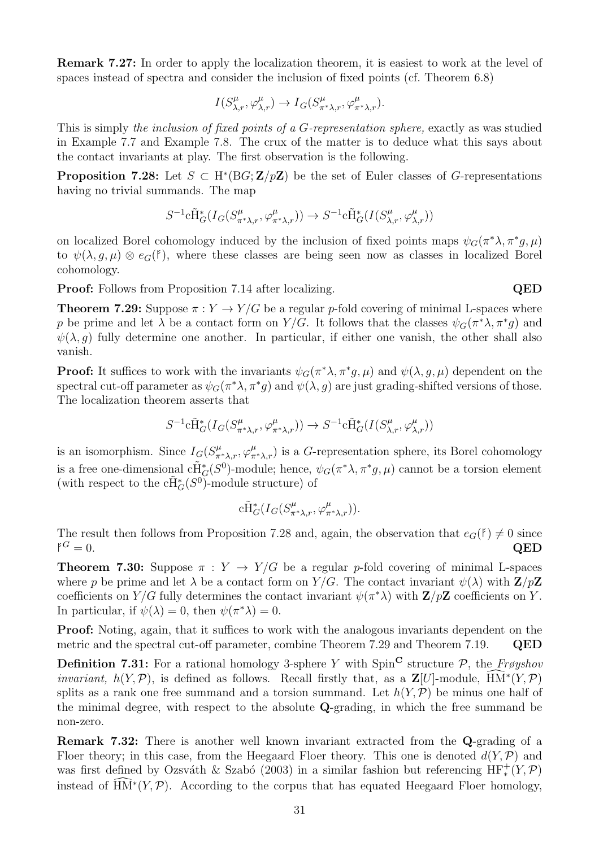Remark 7.27: In order to apply the localization theorem, it is easiest to work at the level of spaces instead of spectra and consider the inclusion of fixed points (cf. Theorem 6.8)

$$
I(S_{\lambda,r}^{\mu}, \varphi_{\lambda,r}^{\mu}) \to I_G(S_{\pi^*\lambda,r}^{\mu}, \varphi_{\pi^*\lambda,r}^{\mu}).
$$

This is simply the inclusion of fixed points of a G-representation sphere, exactly as was studied in Example 7.7 and Example 7.8. The crux of the matter is to deduce what this says about the contact invariants at play. The first observation is the following.

**Proposition 7.28:** Let  $S \subset H^*(BG; \mathbf{Z}/p\mathbf{Z})$  be the set of Euler classes of G-representations having no trivial summands. The map

$$
S^{-1}\mathrm{c}\tilde{\mathrm{H}}^\ast_G(I_G(S^\mu_{\pi^\ast\lambda,r},\varphi^\mu_{\pi^\ast\lambda,r}))\rightarrow S^{-1}\mathrm{c}\tilde{\mathrm{H}}^\ast_G(I(S^\mu_{\lambda,r},\varphi^\mu_{\lambda,r}))
$$

on localized Borel cohomology induced by the inclusion of fixed points maps  $\psi_G(\pi^*\lambda, \pi^*g, \mu)$ to  $\psi(\lambda, g, \mu) \otimes e_G(f)$ , where these classes are being seen now as classes in localized Borel cohomology.

**Proof:** Follows from Proposition 7.14 after localizing. QED

**Theorem 7.29:** Suppose  $\pi : Y \to Y/G$  be a regular p-fold covering of minimal L-spaces where p be prime and let  $\lambda$  be a contact form on Y/G. It follows that the classes  $\psi_G(\pi^*\lambda, \pi^*g)$  and  $\psi(\lambda, q)$  fully determine one another. In particular, if either one vanish, the other shall also vanish.

**Proof:** It suffices to work with the invariants  $\psi_G(\pi^*\lambda, \pi^*g, \mu)$  and  $\psi(\lambda, g, \mu)$  dependent on the spectral cut-off parameter as  $\psi_G(\pi^*\lambda, \pi^*g)$  and  $\psi(\lambda, g)$  are just grading-shifted versions of those. The localization theorem asserts that

$$
S^{-1} \mathrm{c} \tilde{\mathrm{H}}^\ast_G(I_G(S^\mu_{\pi^\ast\lambda,r},\varphi^\mu_{\pi^\ast\lambda,r}))\rightarrow S^{-1} \mathrm{c} \tilde{\mathrm{H}}^\ast_G(I(S^\mu_{\lambda,r},\varphi^\mu_{\lambda,r}))
$$

is an isomorphism. Since  $I_G(S^{\mu}_{\pi^*\lambda,r}, \varphi^{\mu}_{\pi^*\lambda,r})$  is a G-representation sphere, its Borel cohomology is a free one-dimensional  $c\tilde{H}^*_{\mathcal{G}}(S^0)$ -module; hence,  $\psi_G(\pi^*\lambda, \pi^*g, \mu)$  cannot be a torsion element (with respect to the  $c\tilde{H}^*_{G}(S^0)$ -module structure) of

$$
\mathrm{c}\tilde{\mathrm{H}}^\ast_G(I_G(S^\mu_{\pi^\ast\lambda,r},\varphi^\mu_{\pi^\ast\lambda,r})).
$$

The result then follows from Proposition 7.28 and, again, the observation that  $e_G(f) \neq 0$  since  $\beta^G = 0$ . QED  $f^G=0.$  $G = 0.$  QED

**Theorem 7.30:** Suppose  $\pi : Y \to Y/G$  be a regular p-fold covering of minimal L-spaces where p be prime and let  $\lambda$  be a contact form on Y/G. The contact invariant  $\psi(\lambda)$  with  $\mathbf{Z}/p\mathbf{Z}$ coefficients on Y/G fully determines the contact invariant  $\psi(\pi^*\lambda)$  with  $\mathbf{Z}/p\mathbf{Z}$  coefficients on Y. In particular, if  $\psi(\lambda) = 0$ , then  $\psi(\pi^*\lambda) = 0$ .

Proof: Noting, again, that it suffices to work with the analogous invariants dependent on the metric and the spectral cut-off parameter, combine Theorem 7.29 and Theorem 7.19. QED

**Definition 7.31:** For a rational homology 3-sphere Y with  $Spin^{\mathbf{C}}$  structure P, the Frøyshov *invariant,*  $h(Y, \mathcal{P})$ , is defined as follows. Recall firstly that, as a  $\mathbf{Z}[U]$ -module,  $\widehat{H} \widehat{M}^*(Y, \mathcal{P})$ splits as a rank one free summand and a torsion summand. Let  $h(Y, \mathcal{P})$  be minus one half of the minimal degree, with respect to the absolute Q-grading, in which the free summand be non-zero.

Remark 7.32: There is another well known invariant extracted from the Q-grading of a Floer theory; in this case, from the Heegaard Floer theory. This one is denoted  $d(Y, \mathcal{P})$  and was first defined by Ozsváth & Szabó (2003) in a similar fashion but referencing  $HF^+_*(Y, \mathcal{P})$ instead of  $\widehat{HM}^*(Y,\mathcal{P})$ . According to the corpus that has equated Heegaard Floer homology,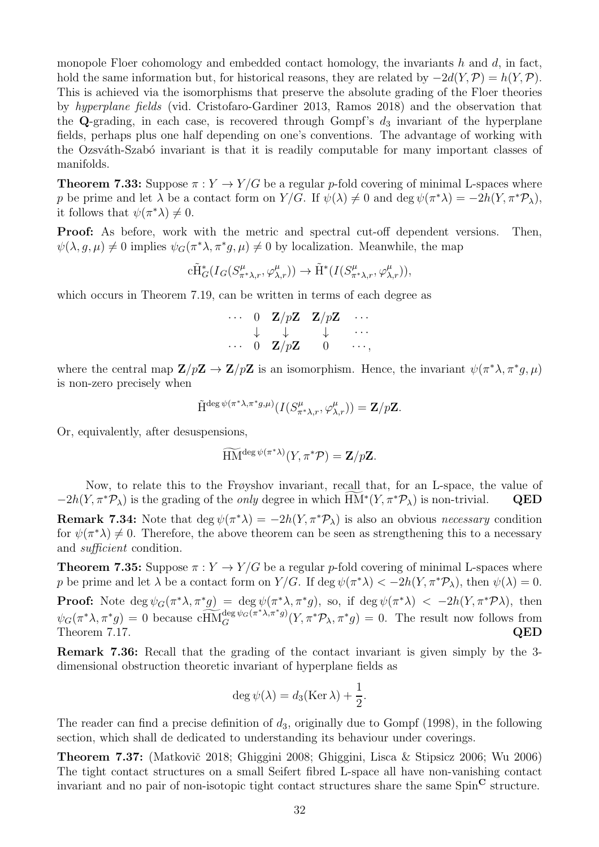monopole Floer cohomology and embedded contact homology, the invariants h and  $d$ , in fact, hold the same information but, for historical reasons, they are related by  $-2d(Y,\mathcal{P}) = h(Y,\mathcal{P})$ . This is achieved via the isomorphisms that preserve the absolute grading of the Floer theories by hyperplane fields (vid. Cristofaro-Gardiner 2013, Ramos 2018) and the observation that the Q-grading, in each case, is recovered through Gompf's  $d_3$  invariant of the hyperplane fields, perhaps plus one half depending on one's conventions. The advantage of working with the Ozsváth-Szabó invariant is that it is readily computable for many important classes of manifolds.

**Theorem 7.33:** Suppose  $\pi : Y \to Y/G$  be a regular p-fold covering of minimal L-spaces where p be prime and let  $\lambda$  be a contact form on  $Y/G$ . If  $\psi(\lambda) \neq 0$  and deg  $\psi(\pi^*\lambda) = -2h(Y, \pi^*\mathcal{P}_\lambda)$ , it follows that  $\psi(\pi^*\lambda) \neq 0$ .

Proof: As before, work with the metric and spectral cut-off dependent versions. Then,  $\psi(\lambda, g, \mu) \neq 0$  implies  $\psi_G(\pi^* \lambda, \pi^* g, \mu) \neq 0$  by localization. Meanwhile, the map

$$
c\tilde{H}^*_{G}(I_G(S^{\mu}_{\pi^*\lambda,r}, \varphi^{\mu}_{\lambda,r})) \to \tilde{H}^*(I(S^{\mu}_{\pi^*\lambda,r}, \varphi^{\mu}_{\lambda,r})),
$$

which occurs in Theorem 7.19, can be written in terms of each degree as

|  |                                     | $\cdots$ 0 $\mathbf{Z}/p\mathbf{Z}$ $\mathbf{Z}/p\mathbf{Z}$ $\cdots$   |            |
|--|-------------------------------------|-------------------------------------------------------------------------|------------|
|  |                                     | $\downarrow \quad \downarrow \quad \quad \downarrow \quad \quad \cdots$ |            |
|  | $\cdots$ 0 $\mathbf{Z}/p\mathbf{Z}$ | -0                                                                      | $\cdots$ . |

where the central map  $\mathbf{Z}/p\mathbf{Z} \to \mathbf{Z}/p\mathbf{Z}$  is an isomorphism. Hence, the invariant  $\psi(\pi^*\lambda, \pi^*g, \mu)$ is non-zero precisely when

$$
\tilde{\mathrm{H}}^{\deg \psi(\pi^*\lambda,\pi^*g,\mu)}(I(S^\mu_{\pi^*\lambda,r},\varphi^\mu_{\lambda,r}))={\mathbf Z}/p{\mathbf Z}.
$$

Or, equivalently, after desuspensions,

$$
\widetilde{\mathop{\rm HM}}^{\deg \psi(\pi^*\lambda)}(Y,\pi^*\mathcal P)=\mathbf Z/p\mathbf Z.
$$

Now, to relate this to the Frøyshov invariant, recall that, for an L-space, the value of  $-2h(Y, \pi^* \mathcal{P}_\lambda)$  is the grading of the *only* degree in which  $HM^*(Y, \pi^* \mathcal{P}_\lambda)$  is non-trivial. QED

**Remark 7.34:** Note that deg  $\psi(\pi^*\lambda) = -2h(Y, \pi^*\mathcal{P}_\lambda)$  is also an obvious *necessary* condition for  $\psi(\pi^*\lambda) \neq 0$ . Therefore, the above theorem can be seen as strengthening this to a necessary and sufficient condition.

**Theorem 7.35:** Suppose  $\pi : Y \to Y/G$  be a regular p-fold covering of minimal L-spaces where p be prime and let  $\lambda$  be a contact form on  $Y/G$ . If  $\deg \psi(\pi^* \lambda) < -2h(Y, \pi^* \mathcal{P}_{\lambda})$ , then  $\psi(\lambda) = 0$ . **Proof:** Note deg  $\psi_G(\pi^*\lambda, \pi^*g) = \deg \psi(\pi^*\lambda, \pi^*g)$ , so, if  $\deg \psi(\pi^*\lambda) < -2h(Y, \pi^*\mathcal{P}\lambda)$ , then  $\psi_G(\pi^*\lambda, \pi^*g) = 0$  because  $c\widetilde{HM}_G^{\text{deg}\psi_G(\pi^*\lambda, \pi^*g)}$  $G_G^{\deg \psi_G(\pi^*\lambda,\pi^*g)}(Y,\pi^*\mathcal{P}_\lambda,\pi^*g) = 0.$  The result now follows from Theorem 7.17. QED

Remark 7.36: Recall that the grading of the contact invariant is given simply by the 3 dimensional obstruction theoretic invariant of hyperplane fields as

$$
\deg \psi(\lambda) = d_3(\text{Ker }\lambda) + \frac{1}{2}.
$$

The reader can find a precise definition of  $d_3$ , originally due to Gompf (1998), in the following section, which shall de dedicated to understanding its behaviour under coverings.

**Theorem 7.37:** (Matkovič 2018; Ghiggini 2008; Ghiggini, Lisca & Stipsicz 2006; Wu 2006) The tight contact structures on a small Seifert fibred L-space all have non-vanishing contact invariant and no pair of non-isotopic tight contact structures share the same  $Spin^{\mathbf{C}}$  structure.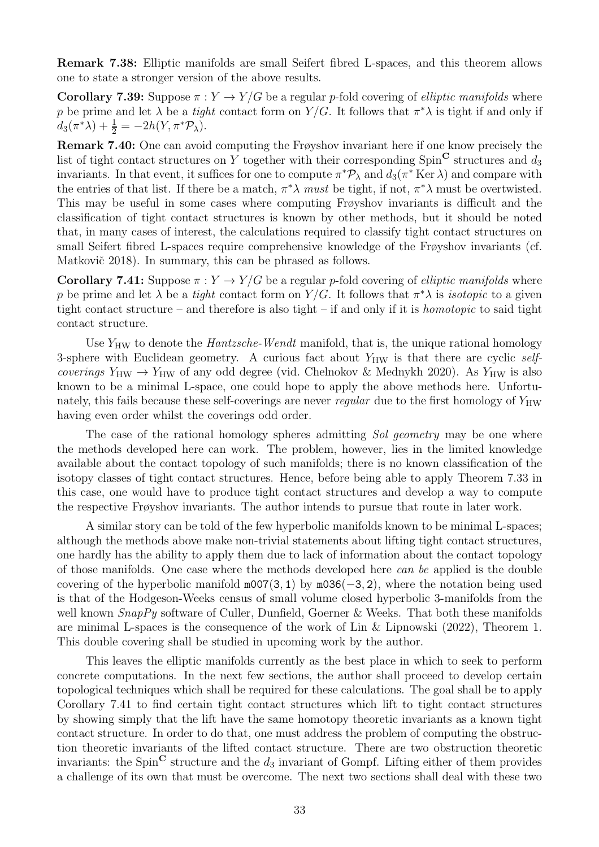Remark 7.38: Elliptic manifolds are small Seifert fibred L-spaces, and this theorem allows one to state a stronger version of the above results.

**Corollary 7.39:** Suppose  $\pi: Y \to Y/G$  be a regular p-fold covering of *elliptic manifolds* where p be prime and let  $\lambda$  be a *tight* contact form on Y/G. It follows that  $\pi^*\lambda$  is tight if and only if  $d_3(\pi^*\lambda) + \frac{1}{2} = -2h(Y, \pi^*\mathcal{P}_\lambda).$ 

Remark 7.40: One can avoid computing the Frøyshov invariant here if one know precisely the list of tight contact structures on Y together with their corresponding  $Spin^{\mathbf{C}}$  structures and  $d_3$ invariants. In that event, it suffices for one to compute  $\pi^* \mathcal{P}_\lambda$  and  $d_3(\pi^* \text{Ker }\lambda)$  and compare with the entries of that list. If there be a match,  $\pi^* \lambda$  must be tight, if not,  $\pi^* \lambda$  must be overtwisted. This may be useful in some cases where computing Frøyshov invariants is difficult and the classification of tight contact structures is known by other methods, but it should be noted that, in many cases of interest, the calculations required to classify tight contact structures on small Seifert fibred L-spaces require comprehensive knowledge of the Frøyshov invariants (cf. Matkovič 2018). In summary, this can be phrased as follows.

Corollary 7.41: Suppose  $\pi : Y \to Y/G$  be a regular p-fold covering of *elliptic manifolds* where p be prime and let  $\lambda$  be a *tight* contact form on Y/G. It follows that  $\pi^*\lambda$  is *isotopic* to a given tight contact structure – and therefore is also tight – if and only if it is homotopic to said tight contact structure.

Use  $Y_{HW}$  to denote the *Hantzsche-Wendt* manifold, that is, the unique rational homology 3-sphere with Euclidean geometry. A curious fact about  $Y_{HW}$  is that there are cyclic selfcoverings  $Y_{HW} \rightarrow Y_{HW}$  of any odd degree (vid. Chelnokov & Mednykh 2020). As  $Y_{HW}$  is also known to be a minimal L-space, one could hope to apply the above methods here. Unfortunately, this fails because these self-coverings are never *regular* due to the first homology of  $Y_{HW}$ having even order whilst the coverings odd order.

The case of the rational homology spheres admitting Sol geometry may be one where the methods developed here can work. The problem, however, lies in the limited knowledge available about the contact topology of such manifolds; there is no known classification of the isotopy classes of tight contact structures. Hence, before being able to apply Theorem 7.33 in this case, one would have to produce tight contact structures and develop a way to compute the respective Frøyshov invariants. The author intends to pursue that route in later work.

A similar story can be told of the few hyperbolic manifolds known to be minimal L-spaces; although the methods above make non-trivial statements about lifting tight contact structures, one hardly has the ability to apply them due to lack of information about the contact topology of those manifolds. One case where the methods developed here can be applied is the double covering of the hyperbolic manifold  $m007(3, 1)$  by  $m036(-3, 2)$ , where the notation being used is that of the Hodgeson-Weeks census of small volume closed hyperbolic 3-manifolds from the well known  $SnapPy$  software of Culler, Dunfield, Goerner & Weeks. That both these manifolds are minimal L-spaces is the consequence of the work of Lin & Lipnowski (2022), Theorem 1. This double covering shall be studied in upcoming work by the author.

This leaves the elliptic manifolds currently as the best place in which to seek to perform concrete computations. In the next few sections, the author shall proceed to develop certain topological techniques which shall be required for these calculations. The goal shall be to apply Corollary 7.41 to find certain tight contact structures which lift to tight contact structures by showing simply that the lift have the same homotopy theoretic invariants as a known tight contact structure. In order to do that, one must address the problem of computing the obstruction theoretic invariants of the lifted contact structure. There are two obstruction theoretic invariants: the Spin<sup>C</sup> structure and the  $d_3$  invariant of Gompf. Lifting either of them provides a challenge of its own that must be overcome. The next two sections shall deal with these two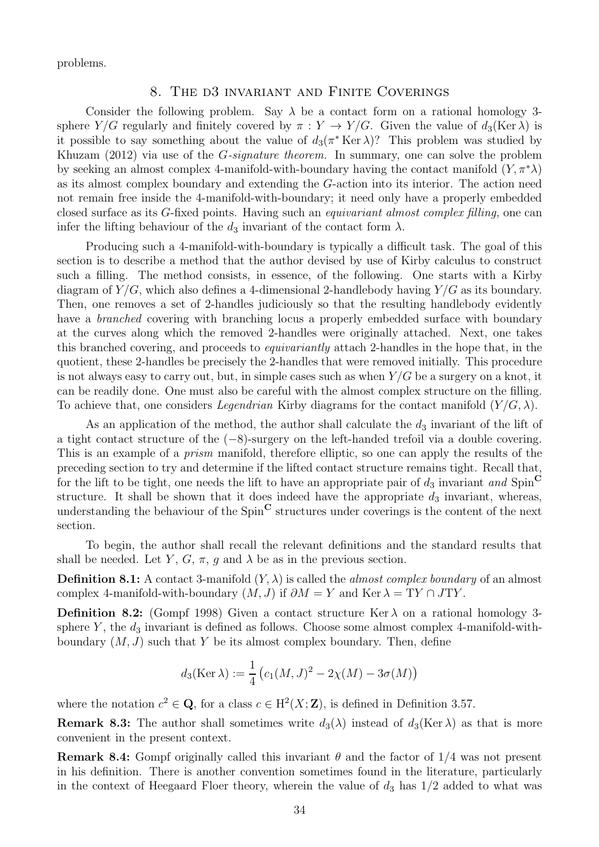problems.

#### 8. The d3 invariant and Finite Coverings

Consider the following problem. Say  $\lambda$  be a contact form on a rational homology 3sphere Y/G regularly and finitely covered by  $\pi: Y \to Y/G$ . Given the value of  $d_3(\text{Ker }\lambda)$  is it possible to say something about the value of  $d_3(\pi^* \text{Ker } \lambda)$ ? This problem was studied by Khuzam (2012) via use of the *G-signature theorem*. In summary, one can solve the problem by seeking an almost complex 4-manifold-with-boundary having the contact manifold  $(Y, \pi^* \lambda)$ as its almost complex boundary and extending the G-action into its interior. The action need not remain free inside the 4-manifold-with-boundary; it need only have a properly embedded closed surface as its G-fixed points. Having such an equivariant almost complex filling, one can infer the lifting behaviour of the  $d_3$  invariant of the contact form  $\lambda$ .

Producing such a 4-manifold-with-boundary is typically a difficult task. The goal of this section is to describe a method that the author devised by use of Kirby calculus to construct such a filling. The method consists, in essence, of the following. One starts with a Kirby diagram of  $Y/G$ , which also defines a 4-dimensional 2-handlebody having  $Y/G$  as its boundary. Then, one removes a set of 2-handles judiciously so that the resulting handlebody evidently have a *branched* covering with branching locus a properly embedded surface with boundary at the curves along which the removed 2-handles were originally attached. Next, one takes this branched covering, and proceeds to equivariantly attach 2-handles in the hope that, in the quotient, these 2-handles be precisely the 2-handles that were removed initially. This procedure is not always easy to carry out, but, in simple cases such as when  $Y/G$  be a surgery on a knot, it can be readily done. One must also be careful with the almost complex structure on the filling. To achieve that, one considers *Legendrian* Kirby diagrams for the contact manifold  $(Y/G, \lambda)$ .

As an application of the method, the author shall calculate the  $d_3$  invariant of the lift of a tight contact structure of the (−8)-surgery on the left-handed trefoil via a double covering. This is an example of a prism manifold, therefore elliptic, so one can apply the results of the preceding section to try and determine if the lifted contact structure remains tight. Recall that, for the lift to be tight, one needs the lift to have an appropriate pair of  $d_3$  invariant and Spin<sup>C</sup> structure. It shall be shown that it does indeed have the appropriate  $d_3$  invariant, whereas, understanding the behaviour of the  $Spin^{\mathbf{C}}$  structures under coverings is the content of the next section.

To begin, the author shall recall the relevant definitions and the standard results that shall be needed. Let Y, G,  $\pi$ , g and  $\lambda$  be as in the previous section.

**Definition 8.1:** A contact 3-manifold  $(Y, \lambda)$  is called the *almost complex boundary* of an almost complex 4-manifold-with-boundary  $(M, J)$  if  $\partial M = Y$  and Ker  $\lambda = TY \cap JTY$ .

**Definition 8.2:** (Gompf 1998) Given a contact structure Ker  $\lambda$  on a rational homology 3sphere Y, the  $d_3$  invariant is defined as follows. Choose some almost complex 4-manifold-withboundary  $(M, J)$  such that Y be its almost complex boundary. Then, define

$$
d_3(\text{Ker }\lambda) := \frac{1}{4} (c_1(M, J)^2 - 2\chi(M) - 3\sigma(M))
$$

where the notation  $c^2 \in \mathbf{Q}$ , for a class  $c \in H^2(X; \mathbf{Z})$ , is defined in Definition 3.57.

**Remark 8.3:** The author shall sometimes write  $d_3(\lambda)$  instead of  $d_3(Ker \lambda)$  as that is more convenient in the present context.

**Remark 8.4:** Gompf originally called this invariant  $\theta$  and the factor of  $1/4$  was not present in his definition. There is another convention sometimes found in the literature, particularly in the context of Heegaard Floer theory, wherein the value of  $d_3$  has  $1/2$  added to what was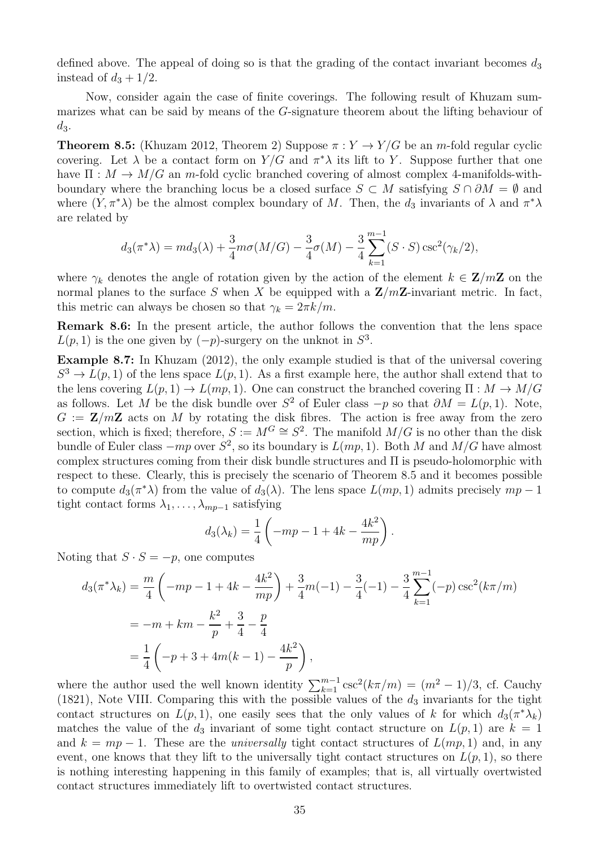defined above. The appeal of doing so is that the grading of the contact invariant becomes  $d_3$ instead of  $d_3 + 1/2$ .

Now, consider again the case of finite coverings. The following result of Khuzam summarizes what can be said by means of the G-signature theorem about the lifting behaviour of  $d_3$ .

**Theorem 8.5:** (Khuzam 2012, Theorem 2) Suppose  $\pi : Y \to Y/G$  be an *m*-fold regular cyclic covering. Let  $\lambda$  be a contact form on  $Y/G$  and  $\pi^*\lambda$  its lift to Y. Suppose further that one have  $\Pi : M \to M/G$  an m-fold cyclic branched covering of almost complex 4-manifolds-withboundary where the branching locus be a closed surface  $S \subset M$  satisfying  $S \cap \partial M = \emptyset$  and where  $(Y, \pi^*\lambda)$  be the almost complex boundary of M. Then, the  $d_3$  invariants of  $\lambda$  and  $\pi^*\lambda$ are related by

$$
d_3(\pi^*\lambda) = md_3(\lambda) + \frac{3}{4}m\sigma(M/G) - \frac{3}{4}\sigma(M) - \frac{3}{4}\sum_{k=1}^{m-1} (S \cdot S) \csc^2(\gamma_k/2),
$$

where  $\gamma_k$  denotes the angle of rotation given by the action of the element  $k \in \mathbb{Z}/m\mathbb{Z}$  on the normal planes to the surface S when X be equipped with a  $\mathbf{Z}/m\mathbf{Z}$ -invariant metric. In fact, this metric can always be chosen so that  $\gamma_k = 2\pi k/m$ .

Remark 8.6: In the present article, the author follows the convention that the lens space  $L(p, 1)$  is the one given by  $(-p)$ -surgery on the unknot in  $S^3$ .

Example 8.7: In Khuzam (2012), the only example studied is that of the universal covering  $S^3 \to L(p, 1)$  of the lens space  $L(p, 1)$ . As a first example here, the author shall extend that to the lens covering  $L(p, 1) \to L(mp, 1)$ . One can construct the branched covering  $\Pi : M \to M/G$ as follows. Let M be the disk bundle over  $S^2$  of Euler class  $-p$  so that  $\partial M = L(p, 1)$ . Note,  $G := \mathbf{Z}/m\mathbf{Z}$  acts on M by rotating the disk fibres. The action is free away from the zero section, which is fixed; therefore,  $S := M^G \cong S^2$ . The manifold  $M/G$  is no other than the disk bundle of Euler class  $-mp$  over  $S^2$ , so its boundary is  $L(mp, 1)$ . Both M and  $M/G$  have almost complex structures coming from their disk bundle structures and Π is pseudo-holomorphic with respect to these. Clearly, this is precisely the scenario of Theorem 8.5 and it becomes possible to compute  $d_3(\pi^*\lambda)$  from the value of  $d_3(\lambda)$ . The lens space  $L(mp, 1)$  admits precisely  $mp-1$ tight contact forms  $\lambda_1, \ldots, \lambda_{mp-1}$  satisfying

$$
d_3(\lambda_k) = \frac{1}{4} \left( -mp - 1 + 4k - \frac{4k^2}{mp} \right).
$$

Noting that  $S \cdot S = -p$ , one computes

$$
d_3(\pi^* \lambda_k) = \frac{m}{4} \left( -mp - 1 + 4k - \frac{4k^2}{mp} \right) + \frac{3}{4}m(-1) - \frac{3}{4}(-1) - \frac{3}{4} \sum_{k=1}^{m-1} (-p) \csc^2(k\pi/m)
$$
  
=  $-m + km - \frac{k^2}{p} + \frac{3}{4} - \frac{p}{4}$   
=  $\frac{1}{4} \left( -p + 3 + 4m(k - 1) - \frac{4k^2}{p} \right)$ ,

where the author used the well known identity  $\sum_{k=1}^{m-1} \csc^2(k\pi/m) = (m^2 - 1)/3$ , cf. Cauchy (1821), Note VIII. Comparing this with the possible values of the  $d_3$  invariants for the tight contact structures on  $L(p, 1)$ , one easily sees that the only values of k for which  $d_3(\pi^* \lambda_k)$ matches the value of the  $d_3$  invariant of some tight contact structure on  $L(p, 1)$  are  $k = 1$ and  $k = mp - 1$ . These are the *universally* tight contact structures of  $L(mp, 1)$  and, in any event, one knows that they lift to the universally tight contact structures on  $L(p, 1)$ , so there is nothing interesting happening in this family of examples; that is, all virtually overtwisted contact structures immediately lift to overtwisted contact structures.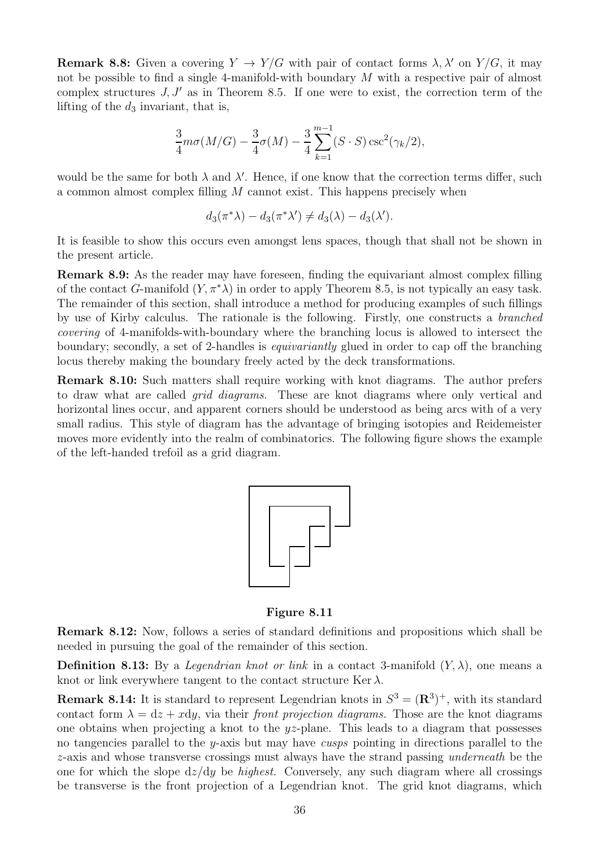**Remark 8.8:** Given a covering  $Y \to Y/G$  with pair of contact forms  $\lambda, \lambda'$  on  $Y/G$ , it may not be possible to find a single 4-manifold-with boundary M with a respective pair of almost complex structures  $J, J'$  as in Theorem 8.5. If one were to exist, the correction term of the lifting of the  $d_3$  invariant, that is,

$$
\frac{3}{4}m\sigma(M/G) - \frac{3}{4}\sigma(M) - \frac{3}{4}\sum_{k=1}^{m-1} (S \cdot S) \csc^2(\gamma_k/2),
$$

would be the same for both  $\lambda$  and  $\lambda'$ . Hence, if one know that the correction terms differ, such a common almost complex filling  $M$  cannot exist. This happens precisely when

$$
d_3(\pi^*\lambda) - d_3(\pi^*\lambda') \neq d_3(\lambda) - d_3(\lambda').
$$

It is feasible to show this occurs even amongst lens spaces, though that shall not be shown in the present article.

Remark 8.9: As the reader may have foreseen, finding the equivariant almost complex filling of the contact G-manifold  $(Y, \pi^* \lambda)$  in order to apply Theorem 8.5, is not typically an easy task. The remainder of this section, shall introduce a method for producing examples of such fillings by use of Kirby calculus. The rationale is the following. Firstly, one constructs a branched covering of 4-manifolds-with-boundary where the branching locus is allowed to intersect the boundary; secondly, a set of 2-handles is equivariantly glued in order to cap off the branching locus thereby making the boundary freely acted by the deck transformations.

Remark 8.10: Such matters shall require working with knot diagrams. The author prefers to draw what are called grid diagrams. These are knot diagrams where only vertical and horizontal lines occur, and apparent corners should be understood as being arcs with of a very small radius. This style of diagram has the advantage of bringing isotopies and Reidemeister moves more evidently into the realm of combinatorics. The following figure shows the example of the left-handed trefoil as a grid diagram.



Figure 8.11

Remark 8.12: Now, follows a series of standard definitions and propositions which shall be needed in pursuing the goal of the remainder of this section.

**Definition 8.13:** By a *Legendrian knot or link* in a contact 3-manifold  $(Y, \lambda)$ , one means a knot or link everywhere tangent to the contact structure Ker  $\lambda$ .

**Remark 8.14:** It is standard to represent Legendrian knots in  $S^3 = (\mathbb{R}^3)^+$ , with its standard contact form  $\lambda = dz + x dy$ , via their *front projection diagrams*. Those are the knot diagrams one obtains when projecting a knot to the yz-plane. This leads to a diagram that possesses no tangencies parallel to the y-axis but may have cusps pointing in directions parallel to the z-axis and whose transverse crossings must always have the strand passing underneath be the one for which the slope  $dz/dy$  be *highest*. Conversely, any such diagram where all crossings be transverse is the front projection of a Legendrian knot. The grid knot diagrams, which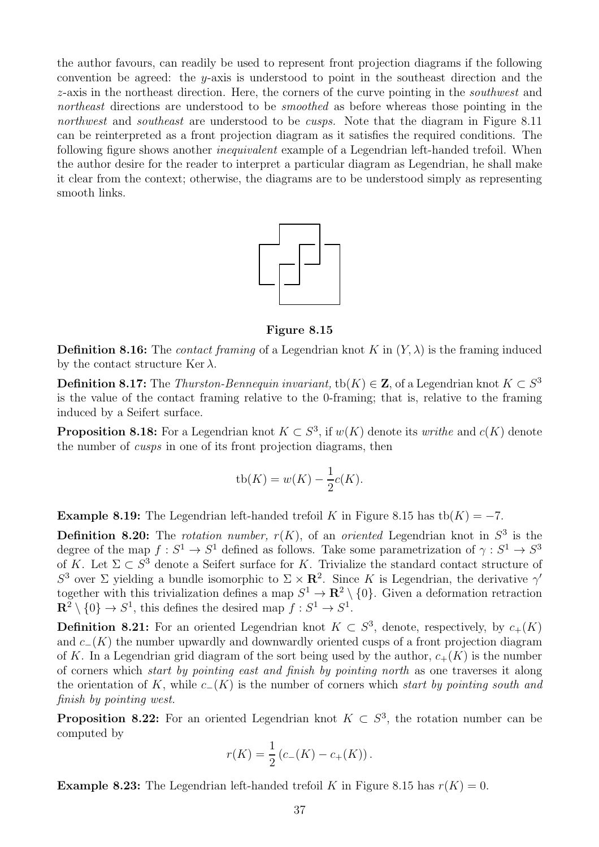the author favours, can readily be used to represent front projection diagrams if the following convention be agreed: the y-axis is understood to point in the southeast direction and the z-axis in the northeast direction. Here, the corners of the curve pointing in the southwest and northeast directions are understood to be *smoothed* as before whereas those pointing in the northwest and southeast are understood to be cusps. Note that the diagram in Figure 8.11 can be reinterpreted as a front projection diagram as it satisfies the required conditions. The following figure shows another *inequivalent* example of a Legendrian left-handed trefoil. When the author desire for the reader to interpret a particular diagram as Legendrian, he shall make it clear from the context; otherwise, the diagrams are to be understood simply as representing smooth links.



Figure 8.15

**Definition 8.16:** The *contact framing* of a Legendrian knot K in  $(Y, \lambda)$  is the framing induced by the contact structure Ker  $\lambda$ .

**Definition 8.17:** The *Thurston-Bennequin invariant*,  $\text{tb}(K) \in \mathbb{Z}$ , of a Legendrian knot  $K \subset S^3$ is the value of the contact framing relative to the 0-framing; that is, relative to the framing induced by a Seifert surface.

**Proposition 8.18:** For a Legendrian knot  $K \subset S^3$ , if  $w(K)$  denote its *writhe* and  $c(K)$  denote the number of cusps in one of its front projection diagrams, then

$$
tb(K) = w(K) - \frac{1}{2}c(K).
$$

**Example 8.19:** The Legendrian left-handed trefoil K in Figure 8.15 has tb(K) =  $-7$ .

**Definition 8.20:** The *rotation number,*  $r(K)$ , of an *oriented* Legendrian knot in  $S^3$  is the degree of the map  $f: S^1 \to S^1$  defined as follows. Take some parametrization of  $\gamma: S^1 \to S^3$ of K. Let  $\Sigma \subset S^3$  denote a Seifert surface for K. Trivialize the standard contact structure of S<sup>3</sup> over Σ yielding a bundle isomorphic to  $\Sigma \times \mathbb{R}^2$ . Since K is Legendrian, the derivative  $\gamma'$ together with this trivialization defines a map  $S^1 \to \mathbb{R}^2 \setminus \{0\}$ . Given a deformation retraction  $\mathbf{R}^2 \setminus \{0\} \to S^1$ , this defines the desired map  $f : S^1 \to S^1$ .

**Definition 8.21:** For an oriented Legendrian knot  $K \subset S^3$ , denote, respectively, by  $c_+(K)$ and  $c_-(K)$  the number upwardly and downwardly oriented cusps of a front projection diagram of K. In a Legendrian grid diagram of the sort being used by the author,  $c_{+}(K)$  is the number of corners which start by pointing east and finish by pointing north as one traverses it along the orientation of K, while  $c_-(K)$  is the number of corners which start by pointing south and finish by pointing west.

**Proposition 8.22:** For an oriented Legendrian knot  $K \subset S^3$ , the rotation number can be computed by

$$
r(K) = \frac{1}{2} (c_{-}(K) - c_{+}(K)).
$$

**Example 8.23:** The Legendrian left-handed trefoil K in Figure 8.15 has  $r(K) = 0$ .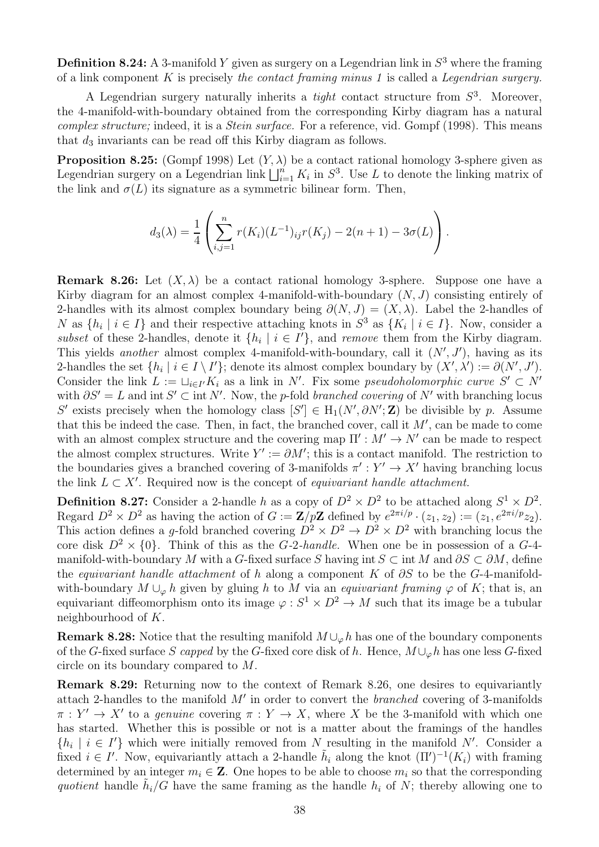**Definition 8.24:** A 3-manifold Y given as surgery on a Legendrian link in  $S^3$  where the framing of a link component  $K$  is precisely the contact framing minus 1 is called a Legendrian surgery.

A Legendrian surgery naturally inherits a *tight* contact structure from  $S^3$ . Moreover, the 4-manifold-with-boundary obtained from the corresponding Kirby diagram has a natural complex structure; indeed, it is a *Stein surface*. For a reference, vid. Gompf (1998). This means that  $d_3$  invariants can be read off this Kirby diagram as follows.

**Proposition 8.25:** (Gompf 1998) Let  $(Y, \lambda)$  be a contact rational homology 3-sphere given as Legendrian surgery on a Legendrian link  $\bigsqcup_{i=1}^n K_i$  in  $S^3$ . Use L to denote the linking matrix of the link and  $\sigma(L)$  its signature as a symmetric bilinear form. Then,

$$
d_3(\lambda) = \frac{1}{4} \left( \sum_{i,j=1}^n r(K_i)(L^{-1})_{ij}r(K_j) - 2(n+1) - 3\sigma(L) \right).
$$

**Remark 8.26:** Let  $(X, \lambda)$  be a contact rational homology 3-sphere. Suppose one have a Kirby diagram for an almost complex 4-manifold-with-boundary  $(N, J)$  consisting entirely of 2-handles with its almost complex boundary being  $\partial(N, J) = (X, \lambda)$ . Label the 2-handles of N as  $\{h_i \mid i \in I\}$  and their respective attaching knots in  $S^3$  as  $\{K_i \mid i \in I\}$ . Now, consider a subset of these 2-handles, denote it  $\{h_i \mid i \in I'\}$ , and remove them from the Kirby diagram. This yields another almost complex 4-manifold-with-boundary, call it  $(N', J')$ , having as its 2-handles the set  $\{h_i \mid i \in I \setminus I'\}$ ; denote its almost complex boundary by  $(X', \lambda') := \partial(N', J')$ . Consider the link  $L := \bigcup_{i \in I'} K_i$  as a link in N'. Fix some pseudoholomorphic curve  $S' \subset N'$ with  $\partial S' = L$  and int  $S' \subset \text{int } N'$ . Now, the p-fold branched covering of N' with branching locus S' exists precisely when the homology class  $[S'] \in H_1(N', \partial N'; \mathbb{Z})$  be divisible by p. Assume that this be indeed the case. Then, in fact, the branched cover, call it  $M'$ , can be made to come with an almost complex structure and the covering map  $\Pi' : M' \to N'$  can be made to respect the almost complex structures. Write  $Y' := \partial M'$ ; this is a contact manifold. The restriction to the boundaries gives a branched covering of 3-manifolds  $\pi' : Y' \to X'$  having branching locus the link  $L \subset X'$ . Required now is the concept of *equivariant handle attachment*.

**Definition 8.27:** Consider a 2-handle h as a copy of  $D^2 \times D^2$  to be attached along  $S^1 \times D^2$ . Regard  $D^2 \times D^2$  as having the action of  $G := \mathbf{Z}/p\mathbf{Z}$  defined by  $e^{2\pi i/p} \cdot (z_1, z_2) := (z_1, e^{2\pi i/p} z_2)$ . This action defines a g-fold branched covering  $D^2 \times D^2 \to D^2 \times D^2$  with branching locus the core disk  $D^2 \times \{0\}$ . Think of this as the G-2-handle. When one be in possession of a G-4manifold-with-boundary M with a G-fixed surface S having int  $S \subset \text{int } M$  and  $\partial S \subset \partial M$ , define the equivariant handle attachment of h along a component K of  $\partial S$  to be the G-4-manifoldwith-boundary  $M \cup_{\varphi} h$  given by gluing h to M via an *equivariant framing*  $\varphi$  of K; that is, an equivariant diffeomorphism onto its image  $\varphi : S^1 \times D^2 \to M$  such that its image be a tubular neighbourhood of K.

**Remark 8.28:** Notice that the resulting manifold  $M \cup_{\varphi} h$  has one of the boundary components of the G-fixed surface S capped by the G-fixed core disk of h. Hence,  $M\cup_{\varphi} h$  has one less G-fixed circle on its boundary compared to M.

Remark 8.29: Returning now to the context of Remark 8.26, one desires to equivariantly attach 2-handles to the manifold  $M'$  in order to convert the *branched* covering of 3-manifolds  $\pi : Y' \to X'$  to a *genuine* covering  $\pi : Y \to X$ , where X be the 3-manifold with which one has started. Whether this is possible or not is a matter about the framings of the handles  $\{h_i \mid i \in I'\}$  which were initially removed from N resulting in the manifold N'. Consider a fixed  $i \in I'$ . Now, equivariantly attach a 2-handle  $\tilde{h}_i$  along the knot  $(\Pi')^{-1}(K_i)$  with framing determined by an integer  $m_i \in \mathbb{Z}$ . One hopes to be able to choose  $m_i$  so that the corresponding quotient handle  $\tilde{h}_i/G$  have the same framing as the handle  $h_i$  of N; thereby allowing one to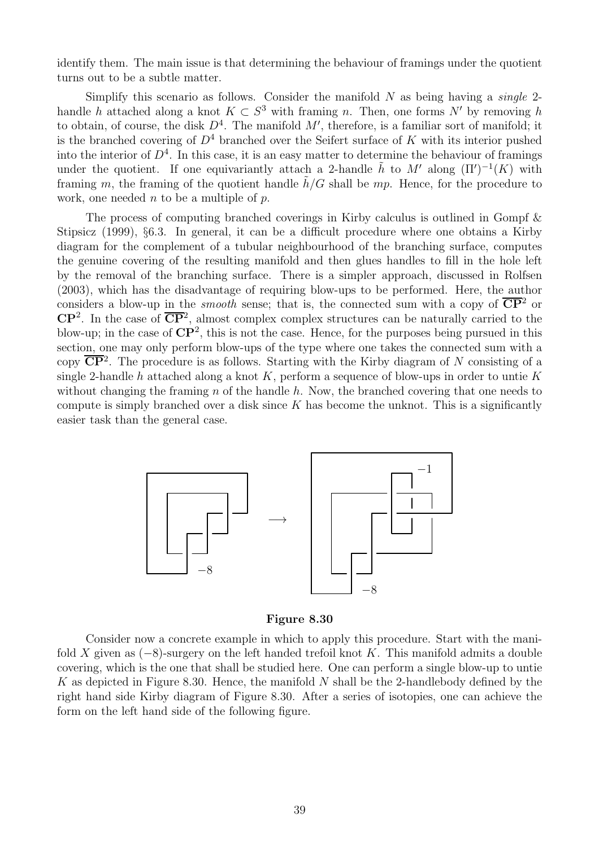identify them. The main issue is that determining the behaviour of framings under the quotient turns out to be a subtle matter.

Simplify this scenario as follows. Consider the manifold  $N$  as being having a *single* 2handle h attached along a knot  $K \subset S^3$  with framing n. Then, one forms N' by removing h to obtain, of course, the disk  $D<sup>4</sup>$ . The manifold  $M'$ , therefore, is a familiar sort of manifold; it is the branched covering of  $D<sup>4</sup>$  branched over the Seifert surface of K with its interior pushed into the interior of  $D<sup>4</sup>$ . In this case, it is an easy matter to determine the behaviour of framings under the quotient. If one equivariantly attach a 2-handle  $\tilde{h}$  to M' along  $(\Pi')^{-1}(K)$  with framing m, the framing of the quotient handle  $h/G$  shall be mp. Hence, for the procedure to work, one needed  $n$  to be a multiple of  $p$ .

The process of computing branched coverings in Kirby calculus is outlined in Gompf & Stipsicz (1999), §6.3. In general, it can be a difficult procedure where one obtains a Kirby diagram for the complement of a tubular neighbourhood of the branching surface, computes the genuine covering of the resulting manifold and then glues handles to fill in the hole left by the removal of the branching surface. There is a simpler approach, discussed in Rolfsen (2003), which has the disadvantage of requiring blow-ups to be performed. Here, the author considers a blow-up in the *smooth* sense; that is, the connected sum with a copy of  $\overline{CP}{}^2$  or  $\mathbb{CP}^2$ . In the case of  $\overline{\mathbb{CP}}^2$ , almost complex complex structures can be naturally carried to the blow-up; in the case of  $\mathbb{C}\mathbb{P}^2$ , this is not the case. Hence, for the purposes being pursued in this section, one may only perform blow-ups of the type where one takes the connected sum with a copy  $\overline{\text{CP}}^2$ . The procedure is as follows. Starting with the Kirby diagram of N consisting of a single 2-handle h attached along a knot K, perform a sequence of blow-ups in order to untie K without changing the framing  $n$  of the handle  $h$ . Now, the branched covering that one needs to compute is simply branched over a disk since  $K$  has become the unknot. This is a significantly easier task than the general case.



Figure 8.30

Consider now a concrete example in which to apply this procedure. Start with the manifold X given as  $(-8)$ -surgery on the left handed trefoil knot K. This manifold admits a double covering, which is the one that shall be studied here. One can perform a single blow-up to untie K as depicted in Figure 8.30. Hence, the manifold N shall be the 2-handlebody defined by the right hand side Kirby diagram of Figure 8.30. After a series of isotopies, one can achieve the form on the left hand side of the following figure.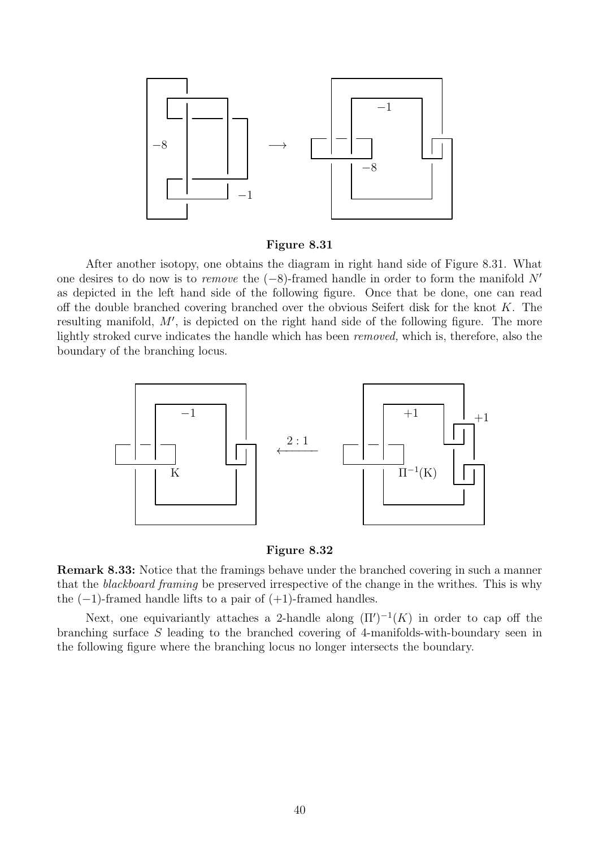

Figure 8.31

After another isotopy, one obtains the diagram in right hand side of Figure 8.31. What one desires to do now is to *remove* the  $(-8)$ -framed handle in order to form the manifold N' as depicted in the left hand side of the following figure. Once that be done, one can read off the double branched covering branched over the obvious Seifert disk for the knot K. The resulting manifold, M', is depicted on the right hand side of the following figure. The more lightly stroked curve indicates the handle which has been removed, which is, therefore, also the boundary of the branching locus.



#### Figure 8.32

Remark 8.33: Notice that the framings behave under the branched covering in such a manner that the blackboard framing be preserved irrespective of the change in the writhes. This is why the  $(-1)$ -framed handle lifts to a pair of  $(+1)$ -framed handles.

Next, one equivariantly attaches a 2-handle along  $(\Pi')^{-1}(K)$  in order to cap off the branching surface S leading to the branched covering of 4-manifolds-with-boundary seen in the following figure where the branching locus no longer intersects the boundary.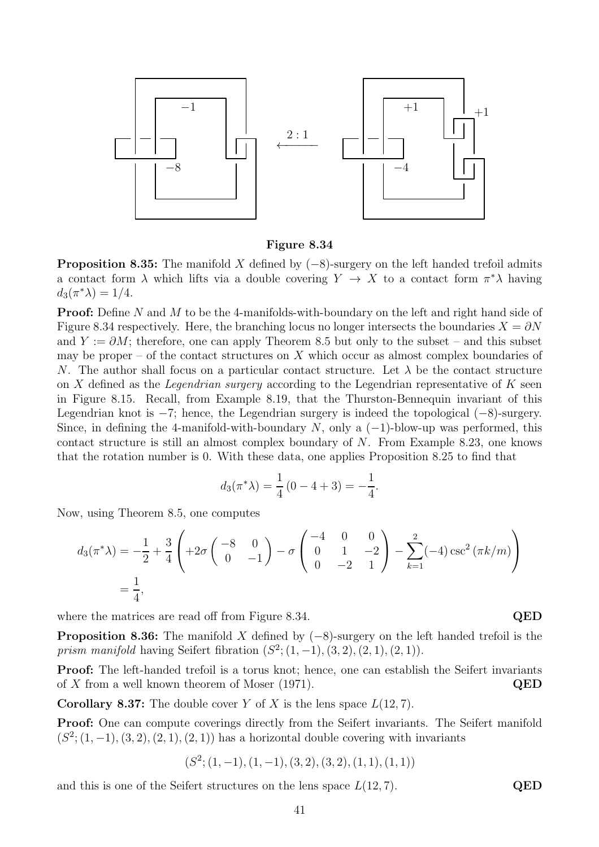

Figure 8.34

**Proposition 8.35:** The manifold X defined by  $(-8)$ -surgery on the left handed trefoil admits a contact form  $\lambda$  which lifts via a double covering  $Y \to X$  to a contact form  $\pi^* \lambda$  having  $d_3(\pi^*\lambda) = 1/4.$ 

**Proof:** Define N and M to be the 4-manifolds-with-boundary on the left and right hand side of Figure 8.34 respectively. Here, the branching locus no longer intersects the boundaries  $X = \partial N$ and  $Y := \partial M$ ; therefore, one can apply Theorem 8.5 but only to the subset – and this subset may be proper – of the contact structures on  $X$  which occur as almost complex boundaries of N. The author shall focus on a particular contact structure. Let  $\lambda$  be the contact structure on X defined as the *Legendrian surgery* according to the Legendrian representative of  $K$  seen in Figure 8.15. Recall, from Example 8.19, that the Thurston-Bennequin invariant of this Legendrian knot is  $-7$ ; hence, the Legendrian surgery is indeed the topological  $(-8)$ -surgery. Since, in defining the 4-manifold-with-boundary N, only a  $(-1)$ -blow-up was performed, this contact structure is still an almost complex boundary of  $N$ . From Example 8.23, one knows that the rotation number is 0. With these data, one applies Proposition 8.25 to find that

$$
d_3(\pi^* \lambda) = \frac{1}{4} (0 - 4 + 3) = -\frac{1}{4}.
$$

Now, using Theorem 8.5, one computes

$$
d_3(\pi^*\lambda) = -\frac{1}{2} + \frac{3}{4} \left( +2\sigma \begin{pmatrix} -8 & 0 \\ 0 & -1 \end{pmatrix} - \sigma \begin{pmatrix} -4 & 0 & 0 \\ 0 & 1 & -2 \\ 0 & -2 & 1 \end{pmatrix} - \sum_{k=1}^2 (-4) \csc^2(\pi k/m) \right)
$$
  
=  $\frac{1}{4}$ ,

where the matrices are read off from Figure 8.34. QED

**Proposition 8.36:** The manifold X defined by  $(-8)$ -surgery on the left handed trefoil is the *prism manifold* having Seifert fibration  $(S^2; (1, -1), (3, 2), (2, 1), (2, 1)).$ 

Proof: The left-handed trefoil is a torus knot; hence, one can establish the Seifert invariants of X from a well known theorem of Moser (1971). QED

**Corollary 8.37:** The double cover Y of X is the lens space  $L(12, 7)$ .

Proof: One can compute coverings directly from the Seifert invariants. The Seifert manifold  $(S^2; (1, -1), (3, 2), (2, 1), (2, 1))$  has a horizontal double covering with invariants

$$
(\mathcal{S}^2; (1,-1), (1,-1), (3,2), (3,2), (1,1), (1,1))
$$

and this is one of the Seifert structures on the lens space  $L(12, 7)$ . QED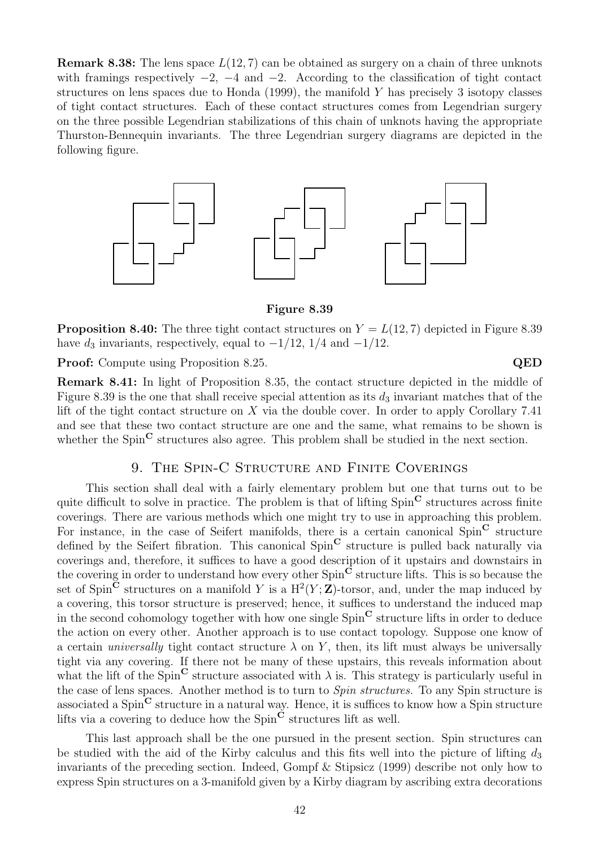**Remark 8.38:** The lens space  $L(12, 7)$  can be obtained as surgery on a chain of three unknots with framings respectively  $-2$ ,  $-4$  and  $-2$ . According to the classification of tight contact structures on lens spaces due to Honda  $(1999)$ , the manifold Y has precisely 3 isotopy classes of tight contact structures. Each of these contact structures comes from Legendrian surgery on the three possible Legendrian stabilizations of this chain of unknots having the appropriate Thurston-Bennequin invariants. The three Legendrian surgery diagrams are depicted in the following figure.



Figure 8.39

**Proposition 8.40:** The three tight contact structures on  $Y = L(12, 7)$  depicted in Figure 8.39 have  $d_3$  invariants, respectively, equal to  $-1/12$ ,  $1/4$  and  $-1/12$ .

**Proof:** Compute using Proposition 8.25. QED

Remark 8.41: In light of Proposition 8.35, the contact structure depicted in the middle of Figure 8.39 is the one that shall receive special attention as its  $d_3$  invariant matches that of the lift of the tight contact structure on  $X$  via the double cover. In order to apply Corollary 7.41 and see that these two contact structure are one and the same, what remains to be shown is whether the  $Spin^{\mathbb{C}}$  structures also agree. This problem shall be studied in the next section.

#### 9. The Spin-C Structure and Finite Coverings

This section shall deal with a fairly elementary problem but one that turns out to be quite difficult to solve in practice. The problem is that of lifting Spin<sup>C</sup> structures across finite coverings. There are various methods which one might try to use in approaching this problem. For instance, in the case of Seifert manifolds, there is a certain canonical  $Spin^{\mathbb{C}}$  structure defined by the Seifert fibration. This canonical  $Spin^{\mathbf{C}}$  structure is pulled back naturally via coverings and, therefore, it suffices to have a good description of it upstairs and downstairs in the covering in order to understand how every other  $Spin^{\mathbf{C}}$  structure lifts. This is so because the set of Spin<sup> $\check{C}$ </sup> structures on a manifold Y is a  $H^2(Y;\mathbf{Z})$ -torsor, and, under the map induced by a covering, this torsor structure is preserved; hence, it suffices to understand the induced map in the second cohomology together with how one single  $Spin^{\mathbf{C}}$  structure lifts in order to deduce the action on every other. Another approach is to use contact topology. Suppose one know of a certain *universally* tight contact structure  $\lambda$  on Y, then, its lift must always be universally tight via any covering. If there not be many of these upstairs, this reveals information about what the lift of the Spin<sup>C</sup> structure associated with  $\lambda$  is. This strategy is particularly useful in the case of lens spaces. Another method is to turn to Spin structures. To any Spin structure is associated a  $Spin^{\mathbf{C}}$  structure in a natural way. Hence, it is suffices to know how a Spin structure lifts via a covering to deduce how the  $Spin^{\check{C}}$  structures lift as well.

This last approach shall be the one pursued in the present section. Spin structures can be studied with the aid of the Kirby calculus and this fits well into the picture of lifting  $d_3$ invariants of the preceding section. Indeed, Gompf & Stipsicz (1999) describe not only how to express Spin structures on a 3-manifold given by a Kirby diagram by ascribing extra decorations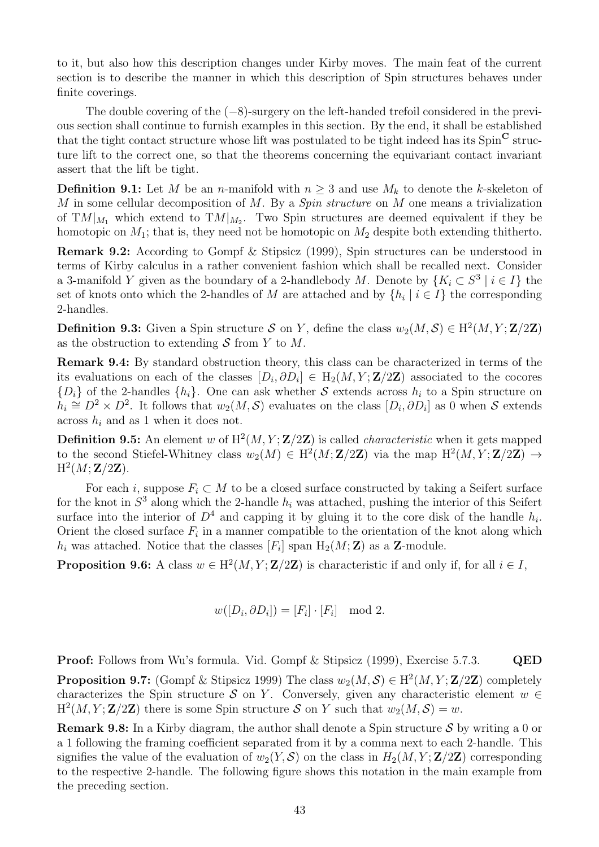to it, but also how this description changes under Kirby moves. The main feat of the current section is to describe the manner in which this description of Spin structures behaves under finite coverings.

The double covering of the  $(-8)$ -surgery on the left-handed trefoil considered in the previous section shall continue to furnish examples in this section. By the end, it shall be established that the tight contact structure whose lift was postulated to be tight indeed has its  $Spin^{\mathbf{C}}$  structure lift to the correct one, so that the theorems concerning the equivariant contact invariant assert that the lift be tight.

**Definition 9.1:** Let M be an n-manifold with  $n \geq 3$  and use  $M_k$  to denote the k-skeleton of M in some cellular decomposition of M. By a Spin structure on M one means a trivialization of  $TM|_{M_1}$  which extend to  $TM|_{M_2}$ . Two Spin structures are deemed equivalent if they be homotopic on  $M_1$ ; that is, they need not be homotopic on  $M_2$  despite both extending thitherto.

Remark 9.2: According to Gompf & Stipsicz (1999), Spin structures can be understood in terms of Kirby calculus in a rather convenient fashion which shall be recalled next. Consider a 3-manifold Y given as the boundary of a 2-handlebody M. Denote by  $\{K_i \subset S^3 \mid i \in I\}$  the set of knots onto which the 2-handles of M are attached and by  $\{h_i \mid i \in I\}$  the corresponding 2-handles.

**Definition 9.3:** Given a Spin structure S on Y, define the class  $w_2(M, S) \in H^2(M, Y; \mathbf{Z}/2\mathbf{Z})$ as the obstruction to extending  $S$  from Y to M.

Remark 9.4: By standard obstruction theory, this class can be characterized in terms of the its evaluations on each of the classes  $[D_i, \partial D_i] \in H_2(M, Y; \mathbf{Z}/2\mathbf{Z})$  associated to the cocores  ${D_i}$  of the 2-handles  ${h_i}$ . One can ask whether S extends across  $h_i$  to a Spin structure on  $h_i \cong D^2 \times D^2$ . It follows that  $w_2(M, \mathcal{S})$  evaluates on the class  $[D_i, \partial D_i]$  as 0 when S extends across  $h_i$  and as 1 when it does not.

**Definition 9.5:** An element w of  $H^2(M, Y; \mathbf{Z}/2\mathbf{Z})$  is called *characteristic* when it gets mapped to the second Stiefel-Whitney class  $w_2(M) \in H^2(M; \mathbf{Z}/2\mathbf{Z})$  via the map  $H^2(M, Y; \mathbf{Z}/2\mathbf{Z}) \to$  $\mathrm{H}^2(M;\mathbf{Z}/2\mathbf{Z}).$ 

For each i, suppose  $F_i \subset M$  to be a closed surface constructed by taking a Seifert surface for the knot in  $S^3$  along which the 2-handle  $h_i$  was attached, pushing the interior of this Seifert surface into the interior of  $D^4$  and capping it by gluing it to the core disk of the handle  $h_i$ . Orient the closed surface  $F_i$  in a manner compatible to the orientation of the knot along which  $h_i$  was attached. Notice that the classes  $[F_i]$  span  $H_2(M; Z)$  as a Z-module.

**Proposition 9.6:** A class  $w \in H^2(M, Y; \mathbf{Z}/2\mathbf{Z})$  is characteristic if and only if, for all  $i \in I$ ,

$$
w([D_i, \partial D_i]) = [F_i] \cdot [F_i] \mod 2.
$$

Proof: Follows from Wu's formula. Vid. Gompf & Stipsicz (1999), Exercise 5.7.3. QED

**Proposition 9.7:** (Gompf & Stipsicz 1999) The class  $w_2(M, \mathcal{S}) \in H^2(M, Y; \mathbf{Z}/2\mathbf{Z})$  completely characterizes the Spin structure S on Y. Conversely, given any characteristic element  $w \in$  $H^2(M, Y; \mathbf{Z}/2\mathbf{Z})$  there is some Spin structure S on Y such that  $w_2(M, S) = w$ .

**Remark 9.8:** In a Kirby diagram, the author shall denote a Spin structure  $S$  by writing a 0 or a 1 following the framing coefficient separated from it by a comma next to each 2-handle. This signifies the value of the evaluation of  $w_2(Y, \mathcal{S})$  on the class in  $H_2(M, Y; \mathbf{Z}/2\mathbf{Z})$  corresponding to the respective 2-handle. The following figure shows this notation in the main example from the preceding section.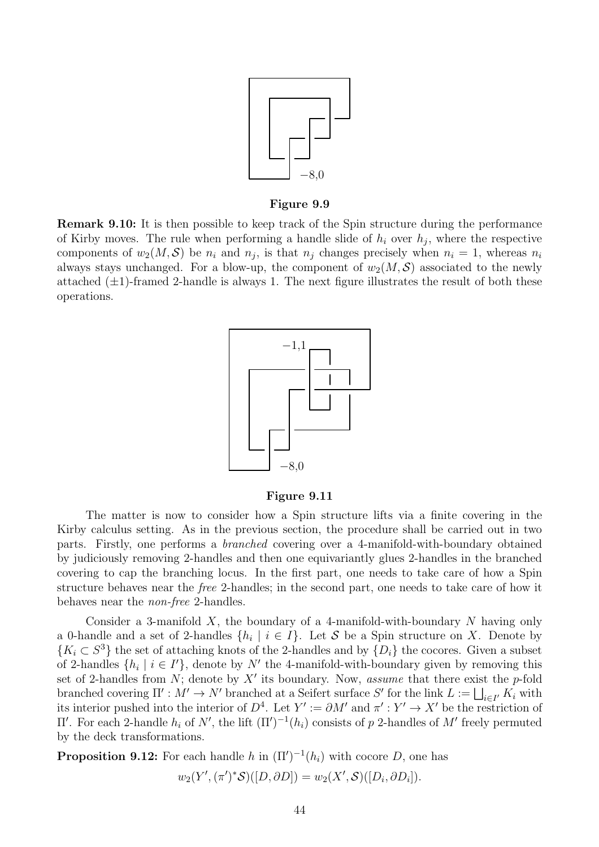

#### Figure 9.9

Remark 9.10: It is then possible to keep track of the Spin structure during the performance of Kirby moves. The rule when performing a handle slide of  $h_i$  over  $h_j$ , where the respective components of  $w_2(M, \mathcal{S})$  be  $n_i$  and  $n_j$ , is that  $n_j$  changes precisely when  $n_i = 1$ , whereas  $n_i$ always stays unchanged. For a blow-up, the component of  $w_2(M, S)$  associated to the newly attached  $(\pm 1)$ -framed 2-handle is always 1. The next figure illustrates the result of both these operations.



Figure 9.11

The matter is now to consider how a Spin structure lifts via a finite covering in the Kirby calculus setting. As in the previous section, the procedure shall be carried out in two parts. Firstly, one performs a branched covering over a 4-manifold-with-boundary obtained by judiciously removing 2-handles and then one equivariantly glues 2-handles in the branched covering to cap the branching locus. In the first part, one needs to take care of how a Spin structure behaves near the free 2-handles; in the second part, one needs to take care of how it behaves near the non-free 2-handles.

Consider a 3-manifold  $X$ , the boundary of a 4-manifold-with-boundary  $N$  having only a 0-handle and a set of 2-handles  $\{h_i \mid i \in I\}$ . Let S be a Spin structure on X. Denote by  ${K_i \subset S^3}$  the set of attaching knots of the 2-handles and by  ${D_i}$  the cocores. Given a subset of 2-handles  $\{h_i \mid i \in I'\}$ , denote by N' the 4-manifold-with-boundary given by removing this set of 2-handles from  $N$ ; denote by  $X'$  its boundary. Now, *assume* that there exist the p-fold branched covering  $\Pi' : M' \to N'$  branched at a Seifert surface S' for the link  $L := \bigsqcup_{i \in I'} K_i$  with its interior pushed into the interior of  $D^4$ . Let  $Y' := \partial M'$  and  $\pi' : Y' \to X'$  be the restriction of  $\Pi'$ . For each 2-handle  $h_i$  of  $N'$ , the lift  $(\Pi')^{-1}(h_i)$  consists of p 2-handles of M' freely permuted by the deck transformations.

**Proposition 9.12:** For each handle h in  $(\Pi')^{-1}(h_i)$  with cocore D, one has

$$
w_2(Y', (\pi')^* \mathcal{S})([D, \partial D]) = w_2(X', \mathcal{S})([D_i, \partial D_i]).
$$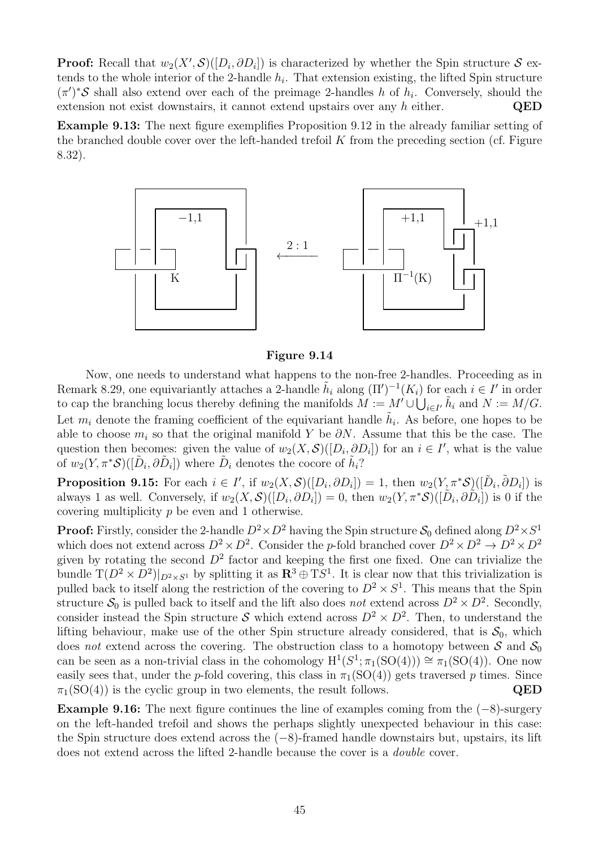**Proof:** Recall that  $w_2(X', \mathcal{S})([D_i, \partial D_i])$  is characterized by whether the Spin structure  $\mathcal{S}$  extends to the whole interior of the 2-handle  $h_i$ . That extension existing, the lifted Spin structure  $(\pi')^*$ S shall also extend over each of the preimage 2-handles h of  $h_i$ . Conversely, should the extension not exist downstairs, it cannot extend upstairs over any  $h$  either.  $QED$ 

Example 9.13: The next figure exemplifies Proposition 9.12 in the already familiar setting of the branched double cover over the left-handed trefoil  $K$  from the preceding section (cf. Figure 8.32).



Figure 9.14

Now, one needs to understand what happens to the non-free 2-handles. Proceeding as in Remark 8.29, one equivariantly attaches a 2-handle  $\tilde{h}_i$  along  $(\Pi')^{-1}(K_i)$  for each  $i \in I'$  in order to cap the branching locus thereby defining the manifolds  $M := M' \cup \bigcup_{i \in I'} \tilde{h}_i$  and  $N := M/G$ . Let  $m_i$  denote the framing coefficient of the equivariant handle  $\tilde{h}_i$ . As before, one hopes to be able to choose  $m_i$  so that the original manifold Y be  $\partial N$ . Assume that this be the case. The question then becomes: given the value of  $w_2(X, \mathcal{S})([D_i, \partial D_i])$  for an  $i \in I'$ , what is the value of  $w_2(Y, \pi^* \mathcal{S})([\tilde{D}_i, \partial \tilde{D}_i])$  where  $\tilde{D}_i$  denotes the cocore of  $\tilde{h}_i$ ?

**Proposition 9.15:** For each  $i \in I'$ , if  $w_2(X, \mathcal{S})([D_i, \partial D_i]) = 1$ , then  $w_2(Y, \pi^* \mathcal{S})([\tilde{D}_i, \tilde{\partial} D_i])$  is always 1 as well. Conversely, if  $w_2(X, \mathcal{S})([D_i, \partial D_i]) = 0$ , then  $w_2(Y, \pi^* \mathcal{S})([\tilde{D}_i, \partial \tilde{D}_i])$  is 0 if the covering multiplicity p be even and 1 otherwise.

**Proof:** Firstly, consider the 2-handle  $D^2 \times D^2$  having the Spin structure  $S_0$  defined along  $D^2 \times S^1$ which does not extend across  $D^2 \times D^2$ . Consider the p-fold branched cover  $D^2 \times D^2 \to D^2 \times D^2$ given by rotating the second  $D^2$  factor and keeping the first one fixed. One can trivialize the bundle  $T(D^2 \times D^2)|_{D^2 \times S^1}$  by splitting it as  $\mathbb{R}^3 \oplus T S^1$ . It is clear now that this trivialization is pulled back to itself along the restriction of the covering to  $D^2 \times S^1$ . This means that the Spin structure  $S_0$  is pulled back to itself and the lift also does not extend across  $D^2 \times D^2$ . Secondly, consider instead the Spin structure S which extend across  $D^2 \times D^2$ . Then, to understand the lifting behaviour, make use of the other Spin structure already considered, that is  $S_0$ , which does not extend across the covering. The obstruction class to a homotopy between  $S$  and  $S_0$ can be seen as a non-trivial class in the cohomology  $H^1(S^1; \pi_1(SO(4))) \cong \pi_1(SO(4))$ . One now easily sees that, under the p-fold covering, this class in  $\pi_1(SO(4))$  gets traversed p times. Since  $\pi_1(SO(4))$  is the cyclic group in two elements, the result follows. QED

Example 9.16: The next figure continues the line of examples coming from the  $(-8)$ -surgery on the left-handed trefoil and shows the perhaps slightly unexpected behaviour in this case: the Spin structure does extend across the (−8)-framed handle downstairs but, upstairs, its lift does not extend across the lifted 2-handle because the cover is a double cover.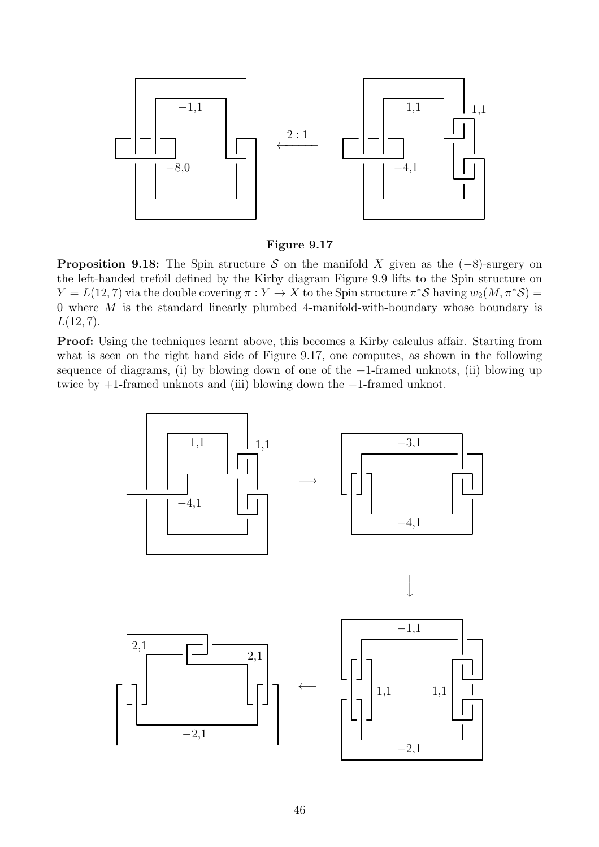

Figure 9.17

**Proposition 9.18:** The Spin structure S on the manifold X given as the  $(-8)$ -surgery on the left-handed trefoil defined by the Kirby diagram Figure 9.9 lifts to the Spin structure on  $Y = L(12, 7)$  via the double covering  $\pi : Y \to X$  to the Spin structure  $\pi^* S$  having  $w_2(M, \pi^* S) =$ 0 where  $M$  is the standard linearly plumbed 4-manifold-with-boundary whose boundary is  $L(12, 7)$ .

Proof: Using the techniques learnt above, this becomes a Kirby calculus affair. Starting from what is seen on the right hand side of Figure 9.17, one computes, as shown in the following sequence of diagrams, (i) by blowing down of one of the  $+1$ -framed unknots, (ii) blowing up twice by +1-framed unknots and (iii) blowing down the −1-framed unknot.

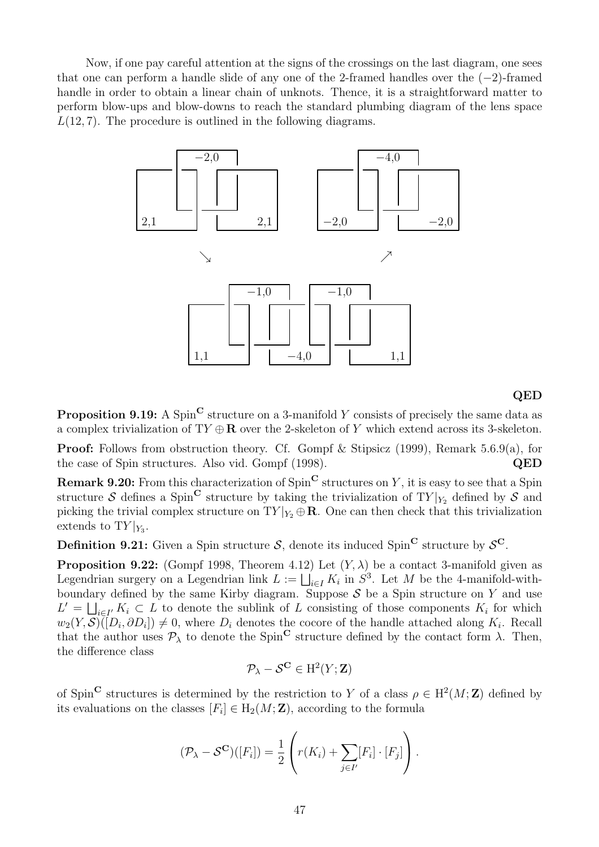Now, if one pay careful attention at the signs of the crossings on the last diagram, one sees that one can perform a handle slide of any one of the 2-framed handles over the  $(-2)$ -framed handle in order to obtain a linear chain of unknots. Thence, it is a straightforward matter to perform blow-ups and blow-downs to reach the standard plumbing diagram of the lens space  $L(12, 7)$ . The procedure is outlined in the following diagrams.



#### QED

**Proposition 9.19:** A Spin<sup>C</sup> structure on a 3-manifold Y consists of precisely the same data as a complex trivialization of  $TY \oplus \mathbf{R}$  over the 2-skeleton of Y which extend across its 3-skeleton.

Proof: Follows from obstruction theory. Cf. Gompf & Stipsicz (1999), Remark 5.6.9(a), for the case of Spin structures. Also vid. Gompf (1998). QED

**Remark 9.20:** From this characterization of  $Spin^{\mathbf{C}}$  structures on Y, it is easy to see that a Spin structure S defines a Spin<sup>C</sup> structure by taking the trivialization of  $TY|_{Y_2}$  defined by S and picking the trivial complex structure on  $TY|_{Y_2} \oplus \mathbf{R}$ . One can then check that this trivialization extends to  $TY|_{Y_3}$ .

**Definition 9.21:** Given a Spin structure  $S$ , denote its induced Spin<sup>C</sup> structure by  $S^C$ .

**Proposition 9.22:** (Gompf 1998, Theorem 4.12) Let  $(Y, \lambda)$  be a contact 3-manifold given as Legendrian surgery on a Legendrian link  $L := \bigsqcup_{i \in I} K_i$  in  $S^3$ . Let M be the 4-manifold-withboundary defined by the same Kirby diagram. Suppose  $S$  be a Spin structure on Y and use  $L' = \bigsqcup_{i \in I'} K_i \subset L$  to denote the sublink of L consisting of those components  $K_i$  for which  $w_2(Y, \mathcal{S})([D_i, \partial D_i]) \neq 0$ , where  $D_i$  denotes the cocore of the handle attached along  $K_i$ . Recall that the author uses  $\mathcal{P}_{\lambda}$  to denote the Spin<sup>C</sup> structure defined by the contact form  $\lambda$ . Then, the difference class

$$
\mathcal{P}_\lambda-\mathcal{S}^{\mathbf{C}}\in \mathrm{H}^2(Y;\mathbf{Z})
$$

of Spin<sup>C</sup> structures is determined by the restriction to Y of a class  $\rho \in H^2(M; \mathbb{Z})$  defined by its evaluations on the classes  $[F_i] \in H_2(M; \mathbf{Z})$ , according to the formula

$$
(\mathcal{P}_{\lambda} - \mathcal{S}^{\mathbf{C}})([F_i]) = \frac{1}{2} \left( r(K_i) + \sum_{j \in I'} [F_i] \cdot [F_j] \right).
$$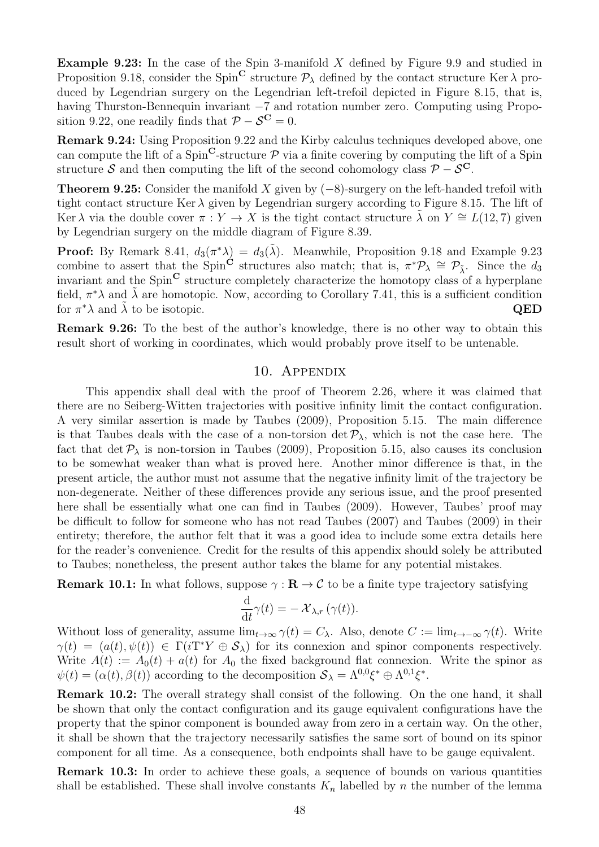**Example 9.23:** In the case of the Spin 3-manifold  $X$  defined by Figure 9.9 and studied in Proposition 9.18, consider the Spin<sup>C</sup> structure  $\mathcal{P}_{\lambda}$  defined by the contact structure Ker  $\lambda$  produced by Legendrian surgery on the Legendrian left-trefoil depicted in Figure 8.15, that is, having Thurston-Bennequin invariant −7 and rotation number zero. Computing using Proposition 9.22, one readily finds that  $\mathcal{P} - \mathcal{S}^{\mathbf{C}} = 0$ .

Remark 9.24: Using Proposition 9.22 and the Kirby calculus techniques developed above, one can compute the lift of a  $Spin^{\mathbb{C}}$ -structure  $\mathcal P$  via a finite covering by computing the lift of a Spin structure S and then computing the lift of the second cohomology class  $\mathcal{P} - \mathcal{S}^C$ .

**Theorem 9.25:** Consider the manifold X given by  $(-8)$ -surgery on the left-handed trefoil with tight contact structure Ker  $\lambda$  given by Legendrian surgery according to Figure 8.15. The lift of Ker  $\lambda$  via the double cover  $\pi : Y \to X$  is the tight contact structure  $\tilde{\lambda}$  on  $Y \cong L(12, 7)$  given by Legendrian surgery on the middle diagram of Figure 8.39.

**Proof:** By Remark 8.41,  $d_3(\pi^*\lambda) = d_3(\tilde{\lambda})$ . Meanwhile, Proposition 9.18 and Example 9.23 combine to assert that the Spin<sup>C</sup> structures also match; that is,  $\pi^* \mathcal{P}_\lambda \cong \mathcal{P}_{\tilde{\lambda}}$ . Since the d<sub>3</sub> invariant and the  $Spin^{\mathbf{C}}$  structure completely characterize the homotopy class of a hyperplane field,  $\pi^*\lambda$  and  $\tilde{\lambda}$  are homotopic. Now, according to Corollary 7.41, this is a sufficient condition for  $\pi^*\lambda$  and  $\tilde{\lambda}$  to be isotopic.  $QED$ 

Remark 9.26: To the best of the author's knowledge, there is no other way to obtain this result short of working in coordinates, which would probably prove itself to be untenable.

# 10. Appendix

This appendix shall deal with the proof of Theorem 2.26, where it was claimed that there are no Seiberg-Witten trajectories with positive infinity limit the contact configuration. A very similar assertion is made by Taubes (2009), Proposition 5.15. The main difference is that Taubes deals with the case of a non-torsion det  $P_{\lambda}$ , which is not the case here. The fact that det  $P_\lambda$  is non-torsion in Taubes (2009), Proposition 5.15, also causes its conclusion to be somewhat weaker than what is proved here. Another minor difference is that, in the present article, the author must not assume that the negative infinity limit of the trajectory be non-degenerate. Neither of these differences provide any serious issue, and the proof presented here shall be essentially what one can find in Taubes (2009). However, Taubes' proof may be difficult to follow for someone who has not read Taubes (2007) and Taubes (2009) in their entirety; therefore, the author felt that it was a good idea to include some extra details here for the reader's convenience. Credit for the results of this appendix should solely be attributed to Taubes; nonetheless, the present author takes the blame for any potential mistakes.

**Remark 10.1:** In what follows, suppose  $\gamma : \mathbb{R} \to \mathcal{C}$  to be a finite type trajectory satisfying

$$
\frac{\mathrm{d}}{\mathrm{d}t}\gamma(t)=-\mathcal{X}_{\lambda,r}\left(\gamma(t)\right).
$$

Without loss of generality, assume  $\lim_{t\to\infty} \gamma(t) = C_\lambda$ . Also, denote  $C := \lim_{t\to-\infty} \gamma(t)$ . Write  $\gamma(t) = (a(t), \psi(t)) \in \Gamma(i\Gamma^*Y \oplus \mathcal{S}_\lambda)$  for its connexion and spinor components respectively. Write  $A(t) := A_0(t) + a(t)$  for  $A_0$  the fixed background flat connexion. Write the spinor as  $\psi(t) = (\alpha(t), \beta(t))$  according to the decomposition  $S_{\lambda} = \Lambda^{0,0} \xi^* \oplus \Lambda^{0,1} \xi^*$ .

Remark 10.2: The overall strategy shall consist of the following. On the one hand, it shall be shown that only the contact configuration and its gauge equivalent configurations have the property that the spinor component is bounded away from zero in a certain way. On the other, it shall be shown that the trajectory necessarily satisfies the same sort of bound on its spinor component for all time. As a consequence, both endpoints shall have to be gauge equivalent.

Remark 10.3: In order to achieve these goals, a sequence of bounds on various quantities shall be established. These shall involve constants  $K_n$  labelled by n the number of the lemma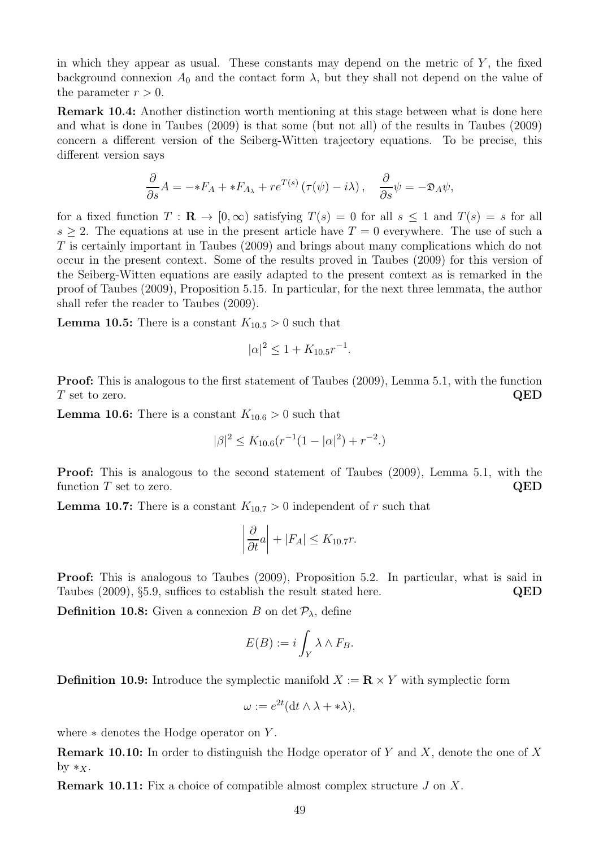in which they appear as usual. These constants may depend on the metric of  $Y$ , the fixed background connexion  $A_0$  and the contact form  $\lambda$ , but they shall not depend on the value of the parameter  $r > 0$ .

Remark 10.4: Another distinction worth mentioning at this stage between what is done here and what is done in Taubes (2009) is that some (but not all) of the results in Taubes (2009) concern a different version of the Seiberg-Witten trajectory equations. To be precise, this different version says

$$
\frac{\partial}{\partial s}A = -*F_A + *F_{A_{\lambda}} + re^{T(s)}\left(\tau(\psi) - i\lambda\right), \quad \frac{\partial}{\partial s}\psi = -\mathfrak{D}_A\psi,
$$

for a fixed function  $T : \mathbf{R} \to [0, \infty)$  satisfying  $T(s) = 0$  for all  $s \leq 1$  and  $T(s) = s$  for all  $s \geq 2$ . The equations at use in the present article have  $T = 0$  everywhere. The use of such a T is certainly important in Taubes (2009) and brings about many complications which do not occur in the present context. Some of the results proved in Taubes (2009) for this version of the Seiberg-Witten equations are easily adapted to the present context as is remarked in the proof of Taubes (2009), Proposition 5.15. In particular, for the next three lemmata, the author shall refer the reader to Taubes (2009).

**Lemma 10.5:** There is a constant  $K_{10.5} > 0$  such that

$$
|\alpha|^2 \le 1 + K_{10.5} r^{-1}.
$$

Proof: This is analogous to the first statement of Taubes (2009), Lemma 5.1, with the function  $T$  set to zero.  $QED$ 

**Lemma 10.6:** There is a constant  $K_{10.6} > 0$  such that

$$
|\beta|^2 \le K_{10.6}(r^{-1}(1-|\alpha|^2) + r^{-2}.)
$$

Proof: This is analogous to the second statement of Taubes (2009), Lemma 5.1, with the function  $T$  set to zero.  $QED$ 

**Lemma 10.7:** There is a constant  $K_{10.7} > 0$  independent of r such that

$$
\left|\frac{\partial}{\partial t}a\right| + |F_A| \le K_{10.7}r.
$$

Proof: This is analogous to Taubes (2009), Proposition 5.2. In particular, what is said in Taubes (2009), §5.9, suffices to establish the result stated here. QED

**Definition 10.8:** Given a connexion B on det  $P_{\lambda}$ , define

$$
E(B) := i \int_Y \lambda \wedge F_B.
$$

**Definition 10.9:** Introduce the symplectic manifold  $X := \mathbb{R} \times Y$  with symplectic form

$$
\omega := e^{2t} (\mathrm{d} t \wedge \lambda + * \lambda),
$$

where  $*$  denotes the Hodge operator on Y.

**Remark 10.10:** In order to distinguish the Hodge operator of Y and X, denote the one of X by  $*_{X}$ .

**Remark 10.11:** Fix a choice of compatible almost complex structure  $J$  on  $X$ .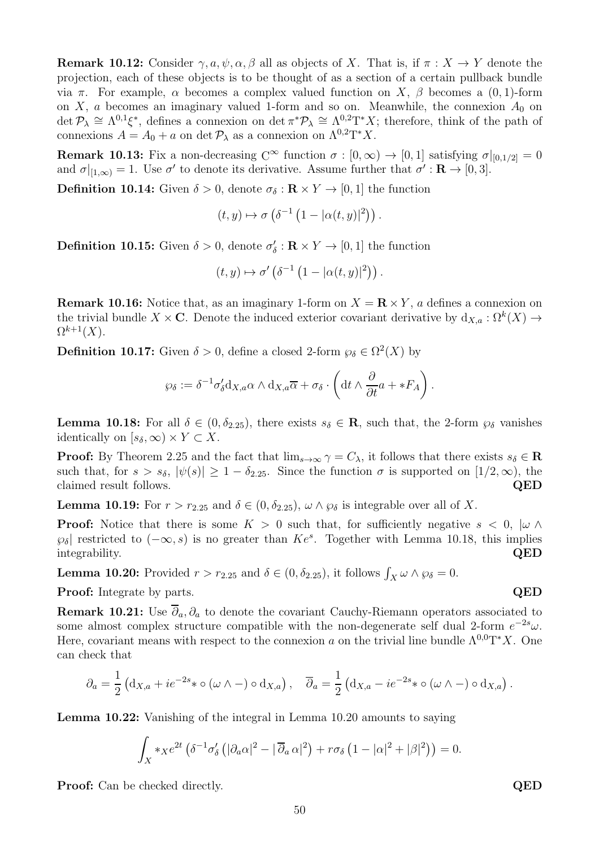**Remark 10.12:** Consider  $\gamma, a, \psi, \alpha, \beta$  all as objects of X. That is, if  $\pi : X \to Y$  denote the projection, each of these objects is to be thought of as a section of a certain pullback bundle via π. For example, α becomes a complex valued function on X, β becomes a (0, 1)-form on X, a becomes an imaginary valued 1-form and so on. Meanwhile, the connexion  $A_0$  on  $\det \mathcal{P}_{\lambda} \cong \Lambda^{0,1} \xi^*$ , defines a connexion on  $\det \pi^* \mathcal{P}_{\lambda} \cong \Lambda^{0,2} T^* X$ ; therefore, think of the path of connexions  $A = A_0 + a$  on det  $\mathcal{P}_{\lambda}$  as a connexion on  $\Lambda^{0,2}T^*X$ .

**Remark 10.13:** Fix a non-decreasing  $C^{\infty}$  function  $\sigma : [0, \infty) \to [0, 1]$  satisfying  $\sigma|_{[0,1/2]} = 0$ and  $\sigma|_{[1,\infty)} = 1$ . Use  $\sigma'$  to denote its derivative. Assume further that  $\sigma' : \mathbf{R} \to [0,3]$ .

**Definition 10.14:** Given  $\delta > 0$ , denote  $\sigma_{\delta} : \mathbf{R} \times Y \to [0, 1]$  the function

$$
(t,y)\mapsto \sigma\left(\delta^{-1}\left(1-|\alpha(t,y)|^2\right)\right).
$$

**Definition 10.15:** Given  $\delta > 0$ , denote  $\sigma'_{\delta} : \mathbf{R} \times Y \to [0, 1]$  the function

$$
(t,y)\mapsto \sigma'\left(\delta^{-1}\left(1-|\alpha(t,y)|^2\right)\right).
$$

**Remark 10.16:** Notice that, as an imaginary 1-form on  $X = \mathbb{R} \times Y$ , a defines a connexion on the trivial bundle  $X \times \mathbf{C}$ . Denote the induced exterior covariant derivative by  $d_{X,a} : \Omega^k(X) \to$  $\Omega^{k+1}(X)$ .

**Definition 10.17:** Given  $\delta > 0$ , define a closed 2-form  $\wp_{\delta} \in \Omega^2(X)$  by

$$
\wp_{\delta} := \delta^{-1} \sigma'_{\delta} d_{X,a} \alpha \wedge d_{X,a} \overline{\alpha} + \sigma_{\delta} \cdot \left( dt \wedge \frac{\partial}{\partial t} a + *F_A \right).
$$

**Lemma 10.18:** For all  $\delta \in (0, \delta_{2.25})$ , there exists  $s_{\delta} \in \mathbb{R}$ , such that, the 2-form  $\wp_{\delta}$  vanishes identically on  $[s_\delta, \infty) \times Y \subset X$ .

**Proof:** By Theorem 2.25 and the fact that  $\lim_{s\to\infty} \gamma = C_\lambda$ , it follows that there exists  $s_\delta \in \mathbb{R}$ such that, for  $s > s_{\delta}$ ,  $|\psi(s)| \ge 1 - \delta_{2.25}$ . Since the function  $\sigma$  is supported on  $[1/2, \infty)$ , the claimed result follows. claimed result follows.

**Lemma 10.19:** For  $r > r_{2.25}$  and  $\delta \in (0, \delta_{2.25})$ ,  $\omega \wedge \varphi_{\delta}$  is integrable over all of X.

**Proof:** Notice that there is some  $K > 0$  such that, for sufficiently negative  $s < 0$ ,  $|\omega \wedge \omega|$  $\varphi_{\delta}$  restricted to  $(-\infty, s)$  is no greater than  $Ke^s$ . Together with Lemma 10.18, this implies integrability. QED

**Lemma 10.20:** Provided  $r > r_{2.25}$  and  $\delta \in (0, \delta_{2.25})$ , it follows  $\int_X \omega \wedge \wp_{\delta} = 0$ .

Proof: Integrate by parts. QED

Remark 10.21: Use  $\overline{\partial}_a$ ,  $\partial_a$  to denote the covariant Cauchy-Riemann operators associated to some almost complex structure compatible with the non-degenerate self dual 2-form  $e^{-2s}\omega$ . Here, covariant means with respect to the connexion a on the trivial line bundle  $\Lambda^{0,0}T^*X$ . One can check that

$$
\partial_a = \frac{1}{2} \left( \mathrm{d}_{X,a} + i e^{-2s} * \circ (\omega \wedge -) \circ \mathrm{d}_{X,a} \right), \quad \overline{\partial}_a = \frac{1}{2} \left( \mathrm{d}_{X,a} - i e^{-2s} * \circ (\omega \wedge -) \circ \mathrm{d}_{X,a} \right).
$$

Lemma 10.22: Vanishing of the integral in Lemma 10.20 amounts to saying

$$
\int_X *x e^{2t} \left( \delta^{-1} \sigma'_\delta \left( |\partial_a \alpha|^2 - |\overline{\partial}_a \alpha|^2 \right) + r \sigma_\delta \left( 1 - |\alpha|^2 + |\beta|^2 \right) \right) = 0.
$$

**Proof:** Can be checked directly. QED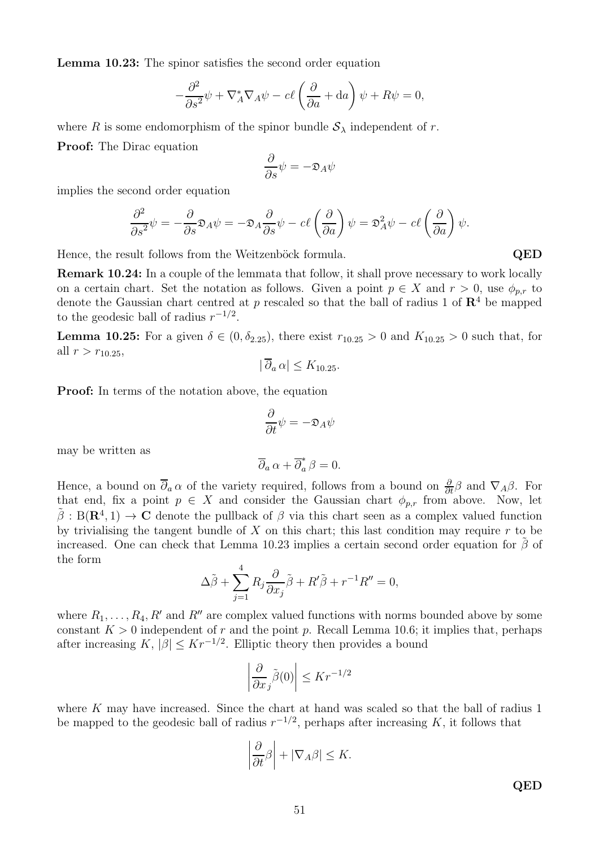Lemma 10.23: The spinor satisfies the second order equation

$$
-\frac{\partial^2}{\partial s^2}\psi + \nabla_A^* \nabla_A \psi - c\ell \left(\frac{\partial}{\partial a} + da\right)\psi + R\psi = 0,
$$

where R is some endomorphism of the spinor bundle  $S_\lambda$  independent of r. Proof: The Dirac equation

$$
\frac{\partial}{\partial s}\psi = -\mathfrak{D}_A\psi
$$

implies the second order equation

$$
\frac{\partial^2}{\partial s^2}\psi = -\frac{\partial}{\partial s}\mathfrak{D}_A\psi = -\mathfrak{D}_A\frac{\partial}{\partial s}\psi - c\ell\left(\frac{\partial}{\partial a}\right)\psi = \mathfrak{D}_A^2\psi - c\ell\left(\frac{\partial}{\partial a}\right)\psi.
$$

Hence, the result follows from the Weitzenböck formula. QED

Remark 10.24: In a couple of the lemmata that follow, it shall prove necessary to work locally on a certain chart. Set the notation as follows. Given a point  $p \in X$  and  $r > 0$ , use  $\phi_{p,r}$  to denote the Gaussian chart centred at p rescaled so that the ball of radius 1 of  $\mathbb{R}^4$  be mapped to the geodesic ball of radius  $r^{-1/2}$ .

**Lemma 10.25:** For a given  $\delta \in (0, \delta_{2.25})$ , there exist  $r_{10.25} > 0$  and  $K_{10.25} > 0$  such that, for all  $r > r_{10.25}$ ,

$$
|\partial_a \alpha| \le K_{10.25}.
$$

Proof: In terms of the notation above, the equation

$$
\frac{\partial}{\partial t}\psi = -\mathfrak{D}_A\psi
$$

may be written as

$$
\overline{\partial}_a\,\alpha+\overline{\partial}_a^*\,\beta=0.
$$

Hence, a bound on  $\overline{\partial}_a \alpha$  of the variety required, follows from a bound on  $\frac{\partial}{\partial t} \beta$  and  $\nabla_A \beta$ . For that end, fix a point  $p \in X$  and consider the Gaussian chart  $\phi_{p,r}$  from above. Now, let  $\tilde{\beta}: B(\mathbf{R}^4, 1) \to \mathbf{C}$  denote the pullback of  $\beta$  via this chart seen as a complex valued function by trivialising the tangent bundle of  $X$  on this chart; this last condition may require  $r$  to be increased. One can check that Lemma 10.23 implies a certain second order equation for  $\tilde{\beta}$  of the form

$$
\Delta \tilde{\beta} + \sum_{j=1}^{4} R_j \frac{\partial}{\partial x_j} \tilde{\beta} + R' \tilde{\beta} + r^{-1} R'' = 0,
$$

where  $R_1, \ldots, R_4, R'$  and  $R''$  are complex valued functions with norms bounded above by some constant  $K > 0$  independent of r and the point p. Recall Lemma 10.6; it implies that, perhaps after increasing  $K$ ,  $|\beta| \leq Kr^{-1/2}$ . Elliptic theory then provides a bound

$$
\left| \frac{\partial}{\partial x_j} \tilde{\beta}(0) \right| \le Kr^{-1/2}
$$

where K may have increased. Since the chart at hand was scaled so that the ball of radius 1 be mapped to the geodesic ball of radius  $r^{-1/2}$ , perhaps after increasing K, it follows that

$$
\left|\frac{\partial}{\partial t}\beta\right| + |\nabla_A \beta| \le K.
$$

QED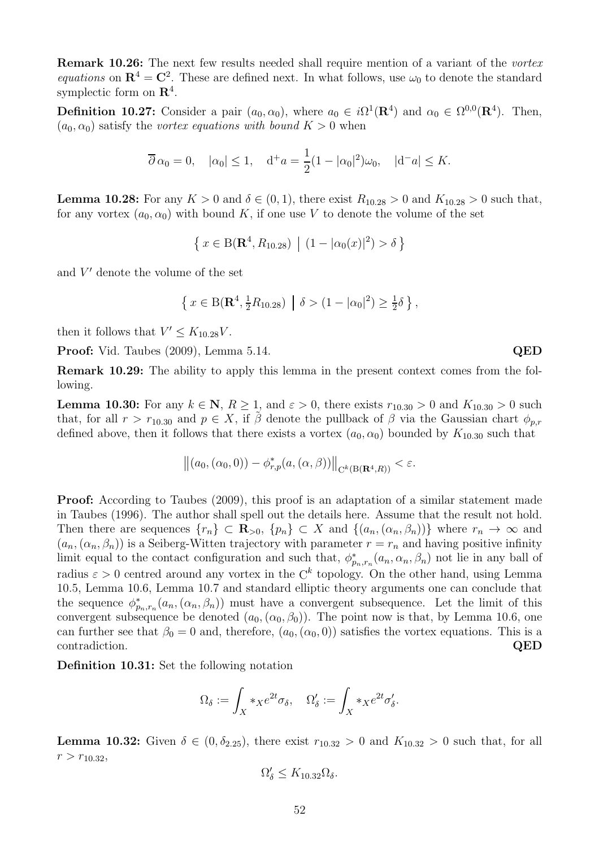Remark 10.26: The next few results needed shall require mention of a variant of the vortex equations on  $\mathbb{R}^4 = \mathbb{C}^2$ . These are defined next. In what follows, use  $\omega_0$  to denote the standard symplectic form on  $\mathbb{R}^4$ .

**Definition 10.27:** Consider a pair  $(a_0, \alpha_0)$ , where  $a_0 \in i\Omega^1(\mathbf{R}^4)$  and  $\alpha_0 \in \Omega^{0,0}(\mathbf{R}^4)$ . Then,  $(a_0, \alpha_0)$  satisfy the vortex equations with bound  $K > 0$  when

$$
\overline{\partial}\alpha_0 = 0
$$
,  $|\alpha_0| \le 1$ ,  $d^+a = \frac{1}{2}(1 - |\alpha_0|^2)\omega_0$ ,  $|d^-a| \le K$ .

**Lemma 10.28:** For any  $K > 0$  and  $\delta \in (0, 1)$ , there exist  $R_{10.28} > 0$  and  $K_{10.28} > 0$  such that, for any vortex  $(a_0, \alpha_0)$  with bound K, if one use V to denote the volume of the set

 $\{x \in B(\mathbf{R}^4, R_{10.28}) \mid (1 - |\alpha_0(x)|^2) > \delta \}$ 

and  $V'$  denote the volume of the set

$$
\left\{ x \in B(\mathbf{R}^4, \frac{1}{2}R_{10.28}) \middle| \delta > (1 - |\alpha_0|^2) \ge \frac{1}{2}\delta \right\},\
$$

then it follows that  $V' \leq K_{10.28}V$ .

Proof: Vid. Taubes (2009), Lemma 5.14. QED

Remark 10.29: The ability to apply this lemma in the present context comes from the following.

**Lemma 10.30:** For any  $k \in \mathbb{N}$ ,  $R \ge 1$ , and  $\varepsilon > 0$ , there exists  $r_{10.30} > 0$  and  $K_{10.30} > 0$  such that, for all  $r > r_{10.30}$  and  $p \in X$ , if  $\beta$  denote the pullback of  $\beta$  via the Gaussian chart  $\phi_{p,r}$ defined above, then it follows that there exists a vortex  $(a_0, \alpha_0)$  bounded by  $K_{10,30}$  such that

$$
\left\|(a_0,(\alpha_0,0))-\phi_{r,p}^*(a,(\alpha,\beta))\right\|_{\mathcal{C}^k(\mathcal{B}(\mathbf{R}^4,R))}<\varepsilon.
$$

Proof: According to Taubes (2009), this proof is an adaptation of a similar statement made in Taubes (1996). The author shall spell out the details here. Assume that the result not hold. Then there are sequences  $\{r_n\} \subset \mathbf{R}_{>0}$ ,  $\{p_n\} \subset X$  and  $\{(a_n,(\alpha_n,\beta_n))\}$  where  $r_n \to \infty$  and  $(a_n,(\alpha_n,\beta_n))$  is a Seiberg-Witten trajectory with parameter  $r=r_n$  and having positive infinity limit equal to the contact configuration and such that,  $\phi_{p_n,r_n}^*(a_n, \alpha_n, \beta_n)$  not lie in any ball of radius  $\varepsilon > 0$  centred around any vortex in the  $\mathbb{C}^k$  topology. On the other hand, using Lemma 10.5, Lemma 10.6, Lemma 10.7 and standard elliptic theory arguments one can conclude that the sequence  $\phi_{p_n,r_n}^*(a_n,(\alpha_n,\beta_n))$  must have a convergent subsequence. Let the limit of this convergent subsequence be denoted  $(a_0, (\alpha_0, \beta_0))$ . The point now is that, by Lemma 10.6, one can further see that  $\beta_0 = 0$  and, therefore,  $(a_0, (\alpha_0, 0))$  satisfies the vortex equations. This is a contradiction.  $QED$ 

Definition 10.31: Set the following notation

$$
\Omega_{\delta} := \int_X *_{X} e^{2t} \sigma_{\delta}, \quad \Omega'_{\delta} := \int_X *_{X} e^{2t} \sigma'_{\delta}.
$$

**Lemma 10.32:** Given  $\delta \in (0, \delta_{2.25})$ , there exist  $r_{10.32} > 0$  and  $K_{10.32} > 0$  such that, for all  $r > r_{10.32}$ 

$$
\Omega'_{\delta} \leq K_{10.32} \Omega_{\delta}.
$$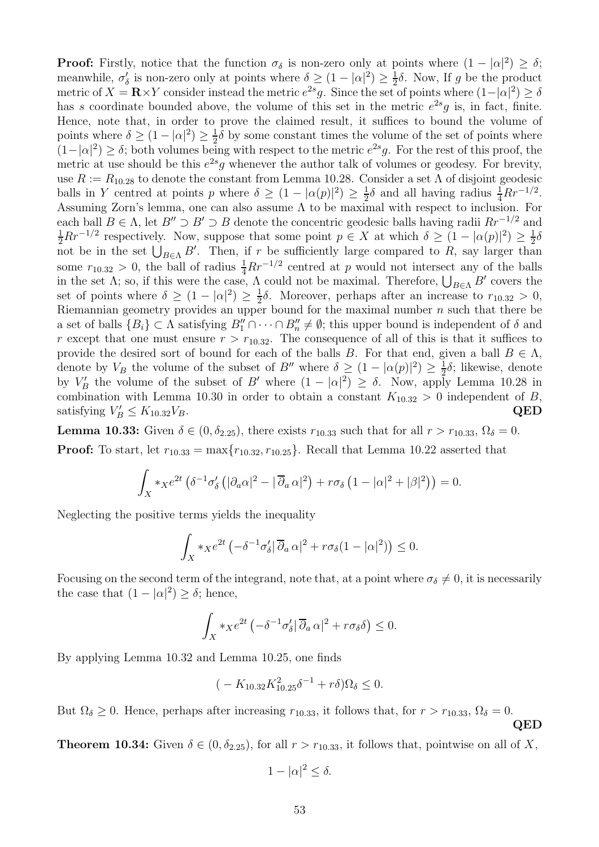**Proof:** Firstly, notice that the function  $\sigma_{\delta}$  is non-zero only at points where  $(1 - |\alpha|^2) \ge \delta$ ; meanwhile,  $\sigma'_{\delta}$  is non-zero only at points where  $\delta \geq (1 - |\alpha|^2) \geq \frac{1}{2}$  $\frac{1}{2}\delta$ . Now, If g be the product metric of  $X = \mathbf{R} \times Y$  consider instead the metric  $e^{2s}g$ . Since the set of points where  $(1-|\alpha|^2) \ge \delta$ has s coordinate bounded above, the volume of this set in the metric  $e^{2s}g$  is, in fact, finite. Hence, note that, in order to prove the claimed result, it suffices to bound the volume of points where  $\delta \geq (1 - |\alpha|^2) \geq \frac{1}{2}$  $\frac{1}{2}\delta$  by some constant times the volume of the set of points where  $(1-|\alpha|^2) \ge \delta$ ; both volumes being with respect to the metric  $e^{2s}g$ . For the rest of this proof, the metric at use should be this  $e^{2s}g$  whenever the author talk of volumes or geodesy. For brevity, use  $R := R_{10.28}$  to denote the constant from Lemma 10.28. Consider a set  $\Lambda$  of disjoint geodesic balls in Y centred at points p where  $\delta \geq (1 - |\alpha(p)|^2) \geq \frac{1}{2}$  $\frac{1}{2}\delta$  and all having radius  $\frac{1}{4}Rr^{-1/2}$ . Assuming Zorn's lemma, one can also assume  $\Lambda$  to be maximal with respect to inclusion. For each ball  $B \in \Lambda$ , let  $B'' \supset B' \supset B$  denote the concentric geodesic balls having radii  $Rr^{-1/2}$  and  $\frac{1}{2}Rr^{-1/2}$  respectively. Now, suppose that some point  $p \in X$  at which  $\delta \geq (1 - |\alpha(p)|^2) \geq \frac{1}{2}$  $rac{1}{2}\delta$ not be in the set  $\bigcup_{B\in\Lambda} B'$ . Then, if r be sufficiently large compared to R, say larger than some  $r_{10.32} > 0$ , the ball of radius  $\frac{1}{4}Rr^{-1/2}$  centred at p would not intersect any of the balls in the set  $\Lambda$ ; so, if this were the case,  $\Lambda$  could not be maximal. Therefore,  $\bigcup_{B\in\Lambda} B'$  covers the set of points where  $\delta \geq (1 - |\alpha|^2) \geq \frac{1}{2}$  $\frac{1}{2}\delta$ . Moreover, perhaps after an increase to  $r_{10.32} > 0$ , Riemannian geometry provides an upper bound for the maximal number  $n$  such that there be a set of balls  $\{B_i\} \subset \Lambda$  satisfying  $B''_1 \cap \cdots \cap B''_n \neq \emptyset$ ; this upper bound is independent of  $\delta$  and r except that one must ensure  $r > r_{10.32}$ . The consequence of all of this is that it suffices to provide the desired sort of bound for each of the balls B. For that end, given a ball  $B \in \Lambda$ , denote by  $V_B$  the volume of the subset of B'' where  $\delta \geq (1 - |\alpha(p)|^2) \geq \frac{1}{2}\delta$ ; likewise, denote by  $V'_B$  the volume of the subset of B' where  $(1 - |\alpha|^2) \ge \delta$ . Now, apply Lemma 10.28 in combination with Lemma 10.30 in order to obtain a constant  $K_{10.32} > 0$  independent of B, satisfying  $V'_B \le K_{10.32} V_B$ . QED

**Lemma 10.33:** Given  $\delta \in (0, \delta_{2.25})$ , there exists  $r_{10.33}$  such that for all  $r > r_{10.33}$ ,  $\Omega_{\delta} = 0$ . **Proof:** To start, let  $r_{10.33} = \max\{r_{10.32}, r_{10.25}\}\.$  Recall that Lemma 10.22 asserted that

$$
\int_X *x e^{2t} \left( \delta^{-1} \sigma'_\delta \left( |\partial_a \alpha|^2 - |\overline{\partial}_a \alpha|^2 \right) + r \sigma_\delta \left( 1 - |\alpha|^2 + |\beta|^2 \right) \right) = 0.
$$

Neglecting the positive terms yields the inequality

$$
\int_X *_X e^{2t} \left( -\delta^{-1} \sigma_\delta' |\overline{\partial}_a \alpha|^2 + r \sigma_\delta (1 - |\alpha|^2) \right) \le 0.
$$

Focusing on the second term of the integrand, note that, at a point where  $\sigma_{\delta} \neq 0$ , it is necessarily the case that  $(1 - |\alpha|^2) \ge \delta$ ; hence,

$$
\int_X *_X e^{2t} \left( -\delta^{-1} \sigma'_\delta \middle| \overline{\partial}_a \alpha \middle|^2 + r \sigma_\delta \delta \right) \leq 0.
$$

By applying Lemma 10.32 and Lemma 10.25, one finds

$$
(-K_{10.32}K_{10.25}^2\delta^{-1} + r\delta)\Omega_\delta \le 0.
$$

But  $\Omega_{\delta} \geq 0$ . Hence, perhaps after increasing  $r_{10.33}$ , it follows that, for  $r > r_{10.33}$ ,  $\Omega_{\delta} = 0$ . QED

**Theorem 10.34:** Given  $\delta \in (0, \delta_{2.25})$ , for all  $r > r_{10.33}$ , it follows that, pointwise on all of X,

$$
1 - |\alpha|^2 \le \delta.
$$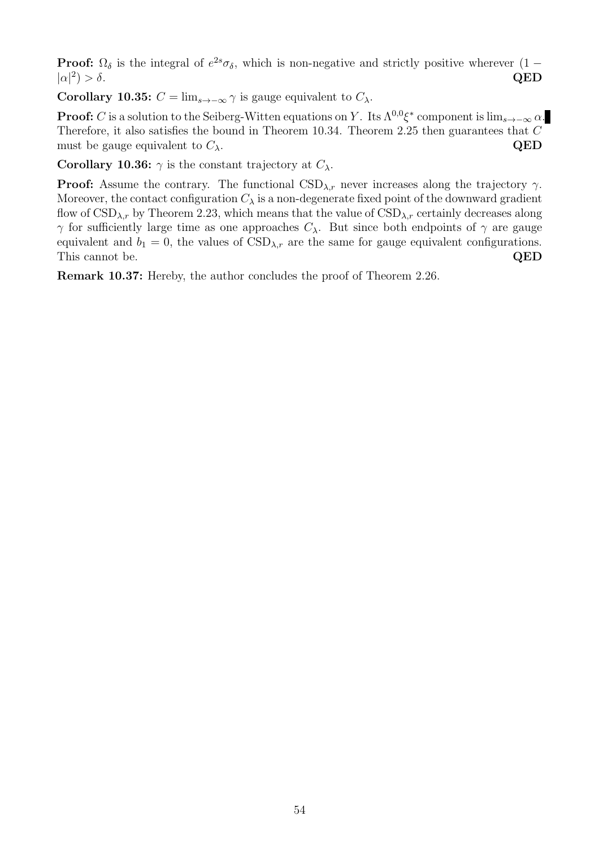**Proof:**  $\Omega_{\delta}$  is the integral of  $e^{2s}\sigma_{\delta}$ , which is non-negative and strictly positive wherever  $(1 |\alpha|^2$  $) > \delta$ . QED

Corollary 10.35:  $C = \lim_{s \to -\infty} \gamma$  is gauge equivalent to  $C_{\lambda}$ .

**Proof:** C is a solution to the Seiberg-Witten equations on Y. Its  $\Lambda^{0,0}\xi^*$  component is  $\lim_{s\to-\infty} \alpha$ . Therefore, it also satisfies the bound in Theorem 10.34. Theorem 2.25 then guarantees that  $C$ must be gauge equivalent to  $C_{\lambda}$ . QED

Corollary 10.36:  $\gamma$  is the constant trajectory at  $C_{\lambda}$ .

**Proof:** Assume the contrary. The functional  $\text{CSD}_{\lambda,r}$  never increases along the trajectory  $\gamma$ . Moreover, the contact configuration  $C_{\lambda}$  is a non-degenerate fixed point of the downward gradient flow of  $\text{CSD}_{\lambda,r}$  by Theorem 2.23, which means that the value of  $\text{CSD}_{\lambda,r}$  certainly decreases along  $γ$  for sufficiently large time as one approaches  $C_λ$ . But since both endpoints of  $γ$  are gauge equivalent and  $b_1 = 0$ , the values of  $\text{CSD}_{\lambda,r}$  are the same for gauge equivalent configurations. This cannot be. QED

Remark 10.37: Hereby, the author concludes the proof of Theorem 2.26.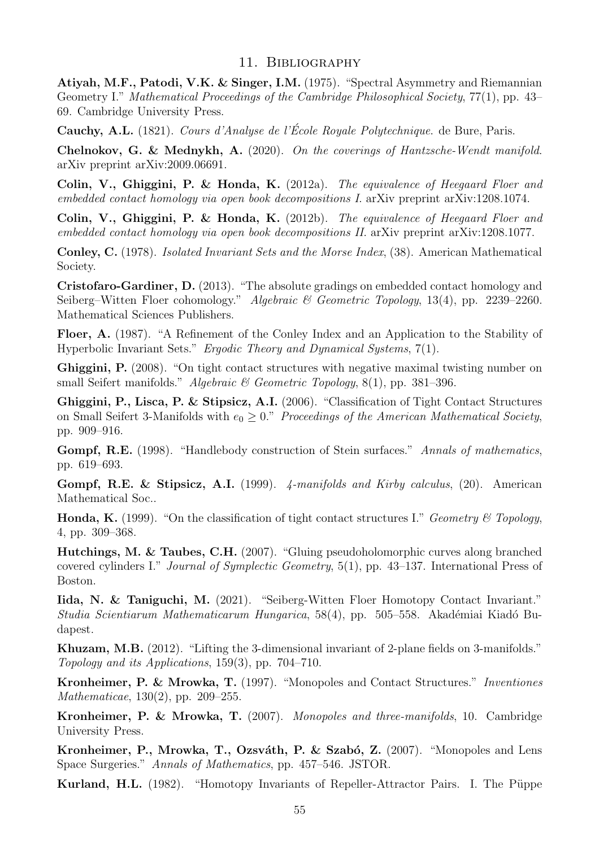# 11. Bibliography

Atiyah, M.F., Patodi, V.K. & Singer, I.M. (1975). "Spectral Asymmetry and Riemannian Geometry I." Mathematical Proceedings of the Cambridge Philosophical Society, 77(1), pp. 43– 69. Cambridge University Press.

Cauchy, A.L. (1821). Cours d'Analyse de l'École Royale Polytechnique. de Bure, Paris.

Chelnokov, G. & Mednykh, A. (2020). On the coverings of Hantzsche-Wendt manifold. arXiv preprint arXiv:2009.06691.

Colin, V., Ghiggini, P. & Honda, K. (2012a). The equivalence of Heegaard Floer and embedded contact homology via open book decompositions I. arXiv preprint arXiv:1208.1074.

Colin, V., Ghiggini, P. & Honda, K. (2012b). The equivalence of Heegaard Floer and embedded contact homology via open book decompositions II. arXiv preprint arXiv:1208.1077.

Conley, C. (1978). Isolated Invariant Sets and the Morse Index, (38). American Mathematical Society.

Cristofaro-Gardiner, D. (2013). "The absolute gradings on embedded contact homology and Seiberg–Witten Floer cohomology." Algebraic & Geometric Topology, 13(4), pp. 2239–2260. Mathematical Sciences Publishers.

Floer, A. (1987). "A Refinement of the Conley Index and an Application to the Stability of Hyperbolic Invariant Sets." Ergodic Theory and Dynamical Systems, 7(1).

Ghiggini, P. (2008). "On tight contact structures with negative maximal twisting number on small Seifert manifolds." Algebraic & Geometric Topology, 8(1), pp. 381–396.

Ghiggini, P., Lisca, P. & Stipsicz, A.I. (2006). "Classification of Tight Contact Structures on Small Seifert 3-Manifolds with  $e_0 \geq 0$ ." Proceedings of the American Mathematical Society, pp. 909–916.

Gompf, R.E. (1998). "Handlebody construction of Stein surfaces." Annals of mathematics, pp. 619–693.

Gompf, R.E. & Stipsicz, A.I. (1999). 4-manifolds and Kirby calculus, (20). American Mathematical Soc..

**Honda, K.** (1999). "On the classification of tight contact structures I." Geometry & Topology, 4, pp. 309–368.

Hutchings, M. & Taubes, C.H. (2007). "Gluing pseudoholomorphic curves along branched covered cylinders I." Journal of Symplectic Geometry, 5(1), pp. 43–137. International Press of Boston.

Iida, N. & Taniguchi, M. (2021). "Seiberg-Witten Floer Homotopy Contact Invariant." Studia Scientiarum Mathematicarum Hungarica, 58(4), pp. 505–558. Akadémiai Kiadó Budapest.

Khuzam, M.B. (2012). "Lifting the 3-dimensional invariant of 2-plane fields on 3-manifolds." Topology and its Applications, 159(3), pp. 704–710.

Kronheimer, P. & Mrowka, T. (1997). "Monopoles and Contact Structures." Inventiones Mathematicae, 130(2), pp. 209–255.

Kronheimer, P. & Mrowka, T. (2007). Monopoles and three-manifolds, 10. Cambridge University Press.

Kronheimer, P., Mrowka, T., Ozsváth, P. & Szabó, Z. (2007). "Monopoles and Lens Space Surgeries." Annals of Mathematics, pp. 457–546. JSTOR.

Kurland, H.L. (1982). "Homotopy Invariants of Repeller-Attractor Pairs. I. The Püppe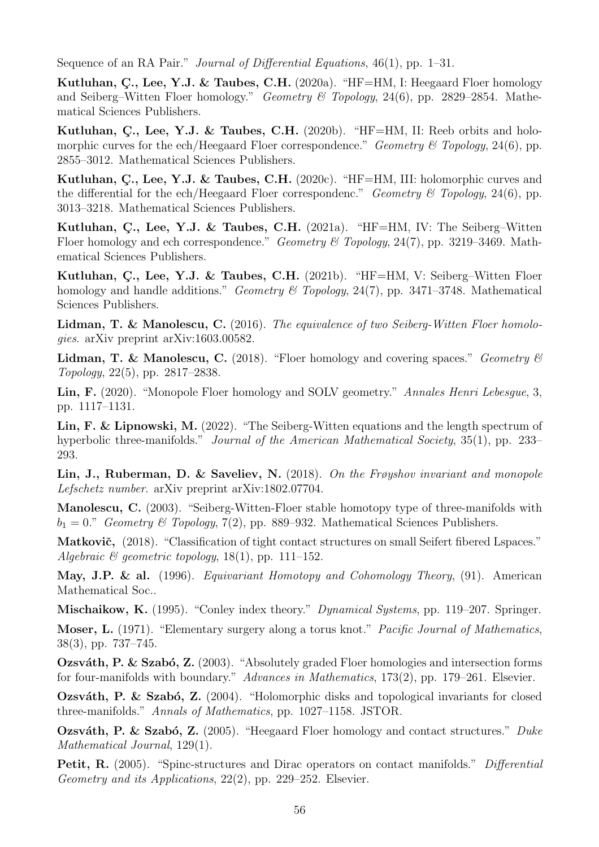Sequence of an RA Pair." Journal of Differential Equations, 46(1), pp. 1–31.

Kutluhan, C., Lee, Y.J. & Taubes, C.H.  $(2020a)$ . "HF=HM, I: Heegaard Floer homology and Seiberg–Witten Floer homology." Geometry & Topology, 24(6), pp. 2829–2854. Mathematical Sciences Publishers.

Kutluhan, C., Lee, Y.J. & Taubes, C.H.  $(2020b)$ . "HF=HM, II: Reeb orbits and holomorphic curves for the ech/Heegaard Floer correspondence." Geometry & Topology, 24(6), pp. 2855–3012. Mathematical Sciences Publishers.

Kutluhan, C., Lee, Y.J. & Taubes, C.H.  $(2020c)$ . "HF=HM, III: holomorphic curves and the differential for the ech/Heegaard Floer correspondenc." Geometry & Topology, 24(6), pp. 3013–3218. Mathematical Sciences Publishers.

Kutluhan, C., Lee, Y.J. & Taubes, C.H.  $(2021a)$ . "HF=HM, IV: The Seiberg–Witten Floer homology and ech correspondence." Geometry & Topology, 24(7), pp. 3219–3469. Mathematical Sciences Publishers.

Kutluhan, C., Lee, Y.J. & Taubes, C.H.  $(2021b)$ . "HF=HM, V: Seiberg–Witten Floer homology and handle additions." Geometry & Topology, 24(7), pp. 3471–3748. Mathematical Sciences Publishers.

Lidman, T. & Manolescu, C. (2016). The equivalence of two Seiberg-Witten Floer homologies. arXiv preprint arXiv:1603.00582.

**Lidman, T. & Manolescu, C.** (2018). "Floer homology and covering spaces." Geometry  $\mathcal{B}$ Topology, 22(5), pp. 2817–2838.

Lin, F. (2020). "Monopole Floer homology and SOLV geometry." Annales Henri Lebesgue, 3, pp. 1117–1131.

Lin, F. & Lipnowski, M. (2022). "The Seiberg-Witten equations and the length spectrum of hyperbolic three-manifolds." *Journal of the American Mathematical Society*, 35(1), pp. 233– 293.

Lin, J., Ruberman, D. & Saveliev, N. (2018). On the Frøyshov invariant and monopole Lefschetz number. arXiv preprint arXiv:1802.07704.

Manolescu, C. (2003). "Seiberg-Witten-Floer stable homotopy type of three-manifolds with  $b_1 = 0$ ." Geometry & Topology, 7(2), pp. 889–932. Mathematical Sciences Publishers.

Matkovič, (2018). "Classification of tight contact structures on small Seifert fibered Lspaces." Algebraic  $\mathcal B$  geometric topology, 18(1), pp. 111–152.

May, J.P. & al. (1996). Equivariant Homotopy and Cohomology Theory, (91). American Mathematical Soc..

Mischaikow, K. (1995). "Conley index theory." Dynamical Systems, pp. 119–207. Springer.

Moser, L. (1971). "Elementary surgery along a torus knot." Pacific Journal of Mathematics, 38(3), pp. 737–745.

**Ozsváth, P. & Szabó, Z.** (2003). "Absolutely graded Floer homologies and intersection forms for four-manifolds with boundary." Advances in Mathematics, 173(2), pp. 179–261. Elsevier.

**Ozsváth, P. & Szabó, Z.** (2004). "Holomorphic disks and topological invariants for closed three-manifolds." Annals of Mathematics, pp. 1027–1158. JSTOR.

Ozsváth, P. & Szabó, Z. (2005). "Heegaard Floer homology and contact structures." Duke Mathematical Journal, 129(1).

Petit, R. (2005). "Spinc-structures and Dirac operators on contact manifolds." Differential Geometry and its Applications, 22(2), pp. 229–252. Elsevier.